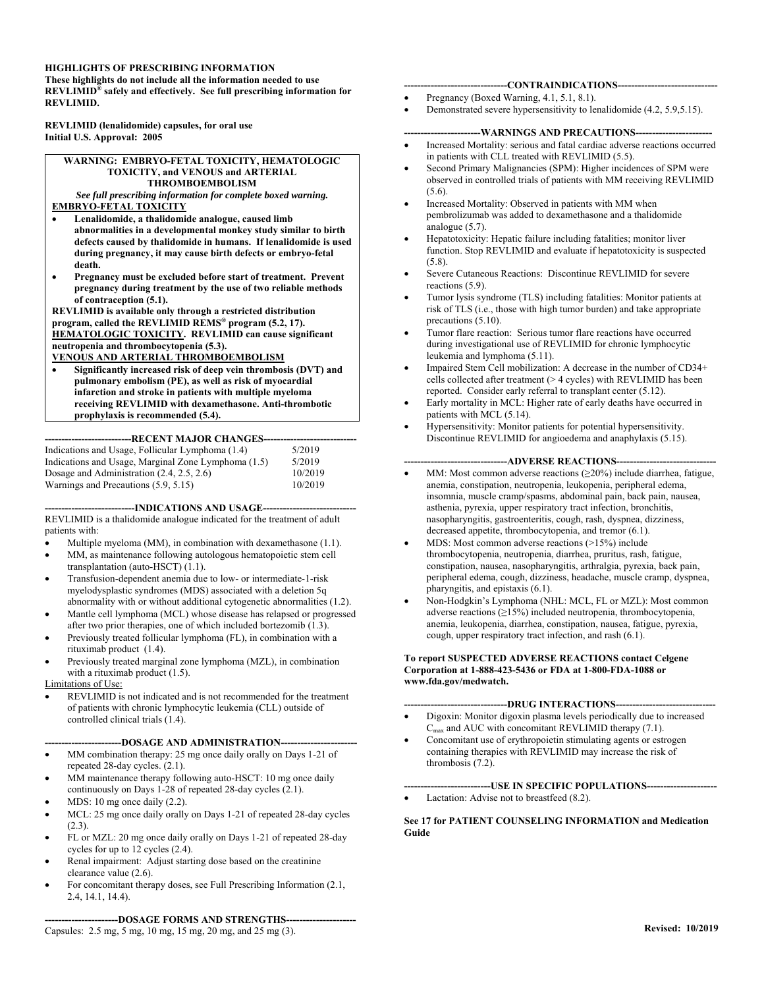## **HIGHLIGHTS OF PRESCRIBING INFORMATION**

**These highlights do not include all the information needed to use REVLIMID® safely and effectively. See full prescribing information for REVLIMID.** 

**REVLIMID (lenalidomide) capsules, for oral use Initial U.S. Approval: 2005** 

#### **WARNING: EMBRYO-FETAL TOXICITY, HEMATOLOGIC TOXICITY, and VENOUS and ARTERIAL THROMBOEMBOLISM**

*See full prescribing information for complete boxed warning.*  **EMBRYO-FETAL TOXICITY** 

- **Lenalidomide, a thalidomide analogue, caused limb abnormalities in a developmental monkey study similar to birth defects caused by thalidomide in humans. If lenalidomide is used during pregnancy, it may cause birth defects or embryo-fetal death.**
- **Pregnancy must be excluded before start of treatment. Prevent pregnancy during treatment by the use of two reliable methods of contraception (5.1).**

**REVLIMID is available only through a restricted distribution program, called the REVLIMID REMS® program (5.2, 17). HEMATOLOGIC TOXICITY. REVLIMID can cause significant neutropenia and thrombocytopenia (5.3).** 

## **VENOUS AND ARTERIAL THROMBOEMBOLISM**

 **Significantly increased risk of deep vein thrombosis (DVT) and pulmonary embolism (PE), as well as risk of myocardial infarction and stroke in patients with multiple myeloma receiving REVLIMID with dexamethasone. Anti-thrombotic prophylaxis is recommended (5.4).** 

## **--------------------------RECENT MAJOR CHANGES----------------------------**

| Indications and Usage, Follicular Lymphoma (1.4)    | 5/2019  |
|-----------------------------------------------------|---------|
| Indications and Usage, Marginal Zone Lymphoma (1.5) | 5/2019  |
| Dosage and Administration $(2.4, 2.5, 2.6)$         | 10/2019 |
| Warnings and Precautions (5.9, 5.15)                | 10/2019 |

**---------------------------INDICATIONS AND USAGE----------------------------** 

REVLIMID is a thalidomide analogue indicated for the treatment of adult patients with:

- Multiple myeloma (MM), in combination with dexamethasone (1.1).
- MM, as maintenance following autologous hematopoietic stem cell transplantation (auto-HSCT)  $(1.1)$ .
- Transfusion-dependent anemia due to low- or intermediate-1-risk myelodysplastic syndromes (MDS) associated with a deletion 5q abnormality with or without additional cytogenetic abnormalities (1.2).
- Mantle cell lymphoma (MCL) whose disease has relapsed or progressed after two prior therapies, one of which included bortezomib (1.3).
- Previously treated follicular lymphoma (FL), in combination with a rituximab product (1.4).
- Previously treated marginal zone lymphoma (MZL), in combination with a rituximab product (1.5).

# Limitations of Use:

 REVLIMID is not indicated and is not recommended for the treatment of patients with chronic lymphocytic leukemia (CLL) outside of controlled clinical trials (1.4).

## **-----------------------DOSAGE AND ADMINISTRATION-----------------------**

- MM combination therapy: 25 mg once daily orally on Days 1-21 of repeated 28-day cycles. (2.1).
- MM maintenance therapy following auto-HSCT: 10 mg once daily continuously on Days 1-28 of repeated 28-day cycles (2.1).
- MDS: 10 mg once daily (2.2).
- MCL: 25 mg once daily orally on Days 1-21 of repeated 28-day cycles  $(2.3).$
- FL or MZL: 20 mg once daily orally on Days 1-21 of repeated 28-day cycles for up to 12 cycles (2.4).
- Renal impairment: Adjust starting dose based on the creatinine clearance value (2.6).
- For concomitant therapy doses, see Full Prescribing Information (2.1, 2.4, 14.1, 14.4).

# **----------------------DOSAGE FORMS AND STRENGTHS---------------------**

Capsules: 2.5 mg, 5 mg, 10 mg, 15 mg, 20 mg, and 25 mg (3).

## **-------------------------------CONTRAINDICATIONS------------------------------**

- Pregnancy (Boxed Warning, 4.1, 5.1, 8.1).
- Demonstrated severe hypersensitivity to lenalidomide (4.2, 5.9,5.15).

## --WARNINGS AND PRECAUTIONS---

- Increased Mortality: serious and fatal cardiac adverse reactions occurred in patients with CLL treated with REVLIMID (5.5).
- Second Primary Malignancies (SPM): Higher incidences of SPM were observed in controlled trials of patients with MM receiving REVLIMID (5.6).
- Increased Mortality: Observed in patients with MM when pembrolizumab was added to dexamethasone and a thalidomide analogue (5.7).
- Hepatotoxicity: Hepatic failure including fatalities; monitor liver function. Stop REVLIMID and evaluate if hepatotoxicity is suspected (5.8).
- Severe Cutaneous Reactions: Discontinue REVLIMID for severe reactions (5.9).
- Tumor lysis syndrome (TLS) including fatalities: Monitor patients at risk of TLS (i.e., those with high tumor burden) and take appropriate precautions (5.10).
- Tumor flare reaction: Serious tumor flare reactions have occurred during investigational use of REVLIMID for chronic lymphocytic leukemia and lymphoma (5.11).
- Impaired Stem Cell mobilization: A decrease in the number of CD34+ cells collected after treatment (> 4 cycles) with REVLIMID has been reported. Consider early referral to transplant center (5.12).
- Early mortality in MCL: Higher rate of early deaths have occurred in patients with MCL (5.14).
- Hypersensitivity: Monitor patients for potential hypersensitivity. Discontinue REVLIMID for angioedema and anaphylaxis (5.15).

## **-------------------------------ADVERSE REACTIONS------------------------------**

- MM: Most common adverse reactions (≥20%) include diarrhea, fatigue, anemia, constipation, neutropenia, leukopenia, peripheral edema, insomnia, muscle cramp/spasms, abdominal pain, back pain, nausea, asthenia, pyrexia, upper respiratory tract infection, bronchitis, nasopharyngitis, gastroenteritis, cough, rash, dyspnea, dizziness, decreased appetite, thrombocytopenia, and tremor (6.1).
- MDS: Most common adverse reactions (>15%) include thrombocytopenia, neutropenia, diarrhea, pruritus, rash, fatigue, constipation, nausea, nasopharyngitis, arthralgia, pyrexia, back pain, peripheral edema, cough, dizziness, headache, muscle cramp, dyspnea, pharyngitis, and epistaxis (6.1).
- Non-Hodgkin's Lymphoma (NHL: MCL, FL or MZL): Most common adverse reactions (≥15%) included neutropenia, thrombocytopenia, anemia, leukopenia, diarrhea, constipation, nausea, fatigue, pyrexia, cough, upper respiratory tract infection, and rash (6.1).

#### **To report SUSPECTED ADVERSE REACTIONS contact Celgene Corporation at 1-888-423-5436 or FDA at 1-800-FDA-1088 or www.fda.gov/medwatch.**

# ---DRUG INTERACTIONS-----

- Digoxin: Monitor digoxin plasma levels periodically due to increased  $C_{\text{max}}$  and AUC with concomitant REVLIMID therapy (7.1).
- Concomitant use of erythropoietin stimulating agents or estrogen containing therapies with REVLIMID may increase the risk of thrombosis (7.2).

**--------------------------USE IN SPECIFIC POPULATIONS---------------------**  Lactation: Advise not to breastfeed (8.2).

## **See 17 for PATIENT COUNSELING INFORMATION and Medication Guide**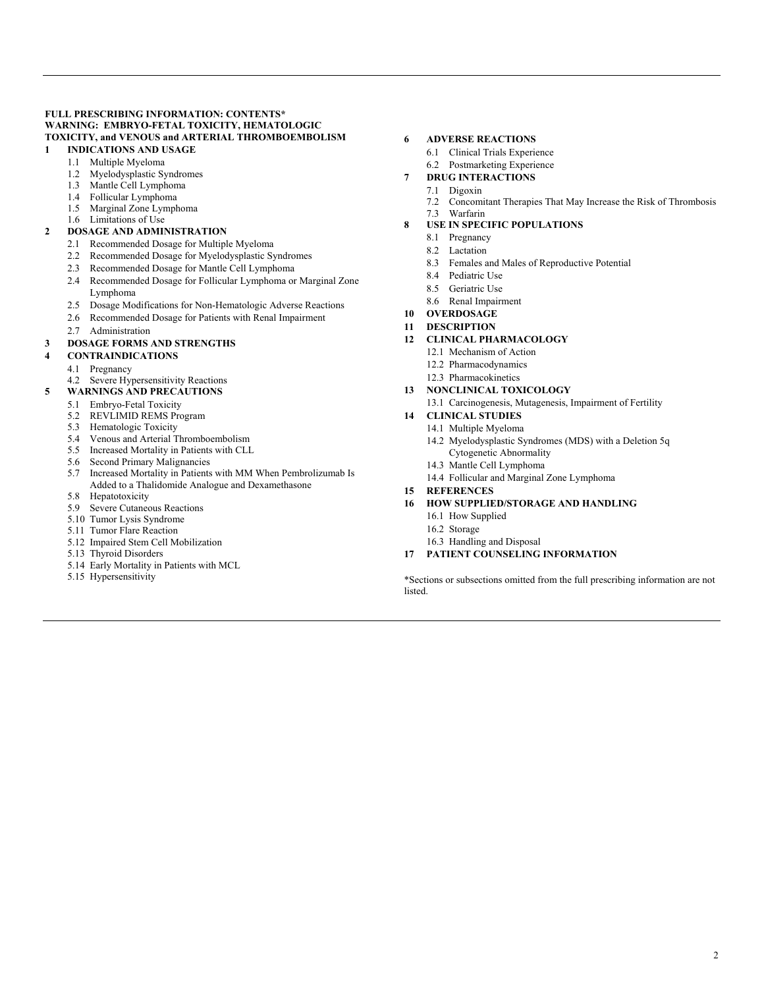## **FULL PRESCRIBING INFORMATION: CONTENTS\* WARNING: EMBRYO-FETAL TOXICITY, HEMATOLOGIC TOXICITY, and VENOUS and ARTERIAL THROMBOEMBOLISM**

- **1 INDICATIONS AND USAGE** 
	- 1.1 Multiple Myeloma
	- 1.2 Myelodysplastic Syndromes
	- 1.3 Mantle Cell Lymphoma
	- 1.4 Follicular Lymphoma
	- 1.5 Marginal Zone Lymphoma
	- 1.6 Limitations of Use

# **2 DOSAGE AND ADMINISTRATION**

- 2.1 Recommended Dosage for Multiple Myeloma
- 2.2 Recommended Dosage for Myelodysplastic Syndromes
- 2.3 Recommended Dosage for Mantle Cell Lymphoma
- 2.4 Recommended Dosage for Follicular Lymphoma or Marginal Zone Lymphoma
- 2.5 Dosage Modifications for Non-Hematologic Adverse Reactions
- 2.6 Recommended Dosage for Patients with Renal Impairment
- 2.7 Administration

## **3 DOSAGE FORMS AND STRENGTHS**

## **4 CONTRAINDICATIONS**

- 4.1 Pregnancy
- 4.2 Severe Hypersensitivity Reactions
- **5 WARNINGS AND PRECAUTIONS** 
	- 5.1 Embryo-Fetal Toxicity
	- 5.2 REVLIMID REMS Program
	- 5.3 Hematologic Toxicity
	- 5.4 Venous and Arterial Thromboembolism
	- 5.5 Increased Mortality in Patients with CLL
	- 5.6 Second Primary Malignancies
	- 5.7 Increased Mortality in Patients with MM When Pembrolizumab Is Added to a Thalidomide Analogue and Dexamethasone
	- 5.8 Hepatotoxicity
	- 5.9 Severe Cutaneous Reactions
	- 5.10 Tumor Lysis Syndrome
	- 5.11 Tumor Flare Reaction
	- 5.12 Impaired Stem Cell Mobilization
	- 5.13 Thyroid Disorders
	- 5.14 Early Mortality in Patients with MCL
	- 5.15 Hypersensitivity

## **6 ADVERSE REACTIONS**

- 6.1 Clinical Trials Experience
- 6.2 Postmarketing Experience
- **7 DRUG INTERACTIONS** 
	- 7.1 Digoxin
	- 7.2 Concomitant Therapies That May Increase the Risk of Thrombosis
	- 7.3 Warfarin
- **8 USE IN SPECIFIC POPULATIONS** 
	- 8.1 Pregnancy
	- 8.2 Lactation
	- 8.3 Females and Males of Reproductive Potential
	- 8.4 Pediatric Use
	- 8.5 Geriatric Use
	- 8.6 Renal Impairment
- **10 OVERDOSAGE**
- **11 DESCRIPTION**
- **12 CLINICAL PHARMACOLOGY** 
	- 12.1 Mechanism of Action
	- 12.2 Pharmacodynamics
	- 12.3 Pharmacokinetics
- **13 NONCLINICAL TOXICOLOGY** 
	- 13.1 Carcinogenesis, Mutagenesis, Impairment of Fertility

## **14 CLINICAL STUDIES**

- 14.1 Multiple Myeloma
	- 14.2 Myelodysplastic Syndromes (MDS) with a Deletion 5q
	- Cytogenetic Abnormality
	- 14.3 Mantle Cell Lymphoma
	- 14.4 Follicular and Marginal Zone Lymphoma

# **15 REFERENCES**

- **16 HOW SUPPLIED/STORAGE AND HANDLING** 
	- 16.1 How Supplied
	- 16.2 Storage
	- 16.3 Handling and Disposal
- **17 PATIENT COUNSELING INFORMATION**

\*Sections or subsections omitted from the full prescribing information are not listed.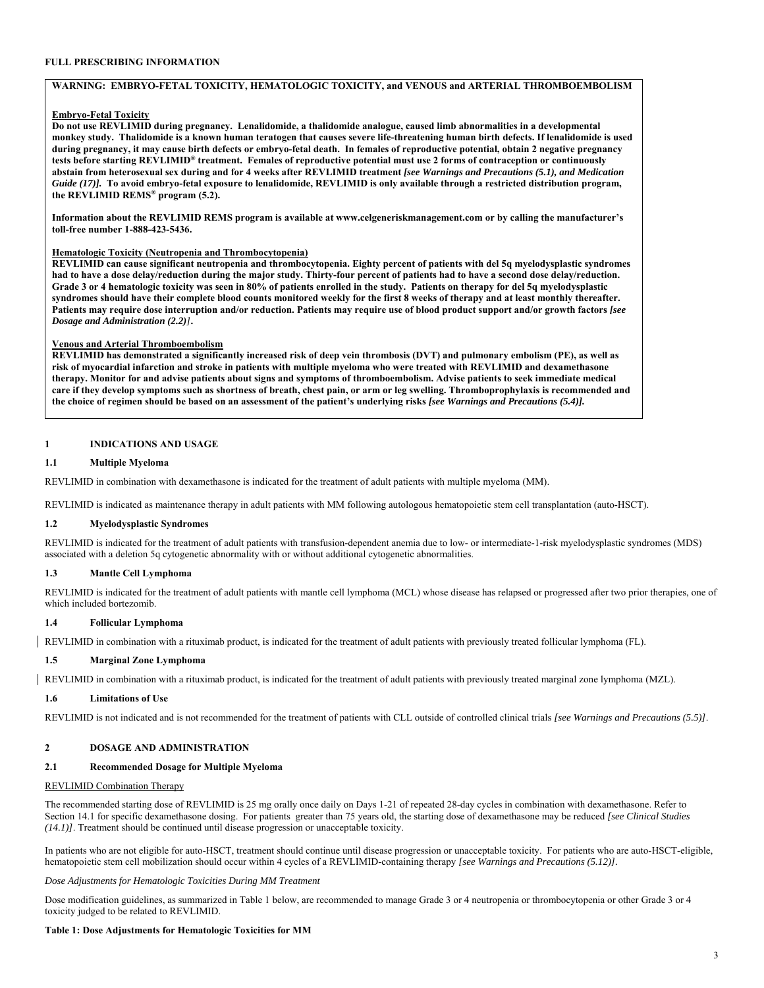#### **FULL PRESCRIBING INFORMATION**

#### **WARNING: EMBRYO-FETAL TOXICITY, HEMATOLOGIC TOXICITY, and VENOUS and ARTERIAL THROMBOEMBOLISM**

## **Embryo-Fetal Toxicity**

**Do not use REVLIMID during pregnancy. Lenalidomide, a thalidomide analogue, caused limb abnormalities in a developmental monkey study. Thalidomide is a known human teratogen that causes severe life-threatening human birth defects. If lenalidomide is used during pregnancy, it may cause birth defects or embryo-fetal death. In females of reproductive potential, obtain 2 negative pregnancy tests before starting REVLIMID® treatment. Females of reproductive potential must use 2 forms of contraception or continuously abstain from heterosexual sex during and for 4 weeks after REVLIMID treatment** *[see Warnings and Precautions (5.1), and Medication Guide (17)].* **To avoid embryo-fetal exposure to lenalidomide, REVLIMID is only available through a restricted distribution program, the REVLIMID REMS® program (5.2).**

**Information about the REVLIMID REMS program is available at www.celgeneriskmanagement.com or by calling the manufacturer's toll-free number 1-888-423-5436.**

#### **Hematologic Toxicity (Neutropenia and Thrombocytopenia)**

**REVLIMID can cause significant neutropenia and thrombocytopenia. Eighty percent of patients with del 5q myelodysplastic syndromes had to have a dose delay/reduction during the major study. Thirty-four percent of patients had to have a second dose delay/reduction. Grade 3 or 4 hematologic toxicity was seen in 80% of patients enrolled in the study. Patients on therapy for del 5q myelodysplastic syndromes should have their complete blood counts monitored weekly for the first 8 weeks of therapy and at least monthly thereafter. Patients may require dose interruption and/or reduction. Patients may require use of blood product support and/or growth factors** *[see Dosage and Administration (2.2)]***.**

## **Venous and Arterial Thromboembolism**

**REVLIMID has demonstrated a significantly increased risk of deep vein thrombosis (DVT) and pulmonary embolism (PE), as well as risk of myocardial infarction and stroke in patients with multiple myeloma who were treated with REVLIMID and dexamethasone therapy. Monitor for and advise patients about signs and symptoms of thromboembolism. Advise patients to seek immediate medical care if they develop symptoms such as shortness of breath, chest pain, or arm or leg swelling. Thromboprophylaxis is recommended and the choice of regimen should be based on an assessment of the patient's underlying risks** *[see Warnings and Precautions (5.4)].*

## **1 INDICATIONS AND USAGE**

#### **1.1 Multiple Myeloma**

REVLIMID in combination with dexamethasone is indicated for the treatment of adult patients with multiple myeloma (MM).

REVLIMID is indicated as maintenance therapy in adult patients with MM following autologous hematopoietic stem cell transplantation (auto-HSCT).

#### **1.2 Myelodysplastic Syndromes**

REVLIMID is indicated for the treatment of adult patients with transfusion-dependent anemia due to low- or intermediate-1-risk myelodysplastic syndromes (MDS) associated with a deletion 5q cytogenetic abnormality with or without additional cytogenetic abnormalities.

#### **1.3 Mantle Cell Lymphoma**

REVLIMID is indicated for the treatment of adult patients with mantle cell lymphoma (MCL) whose disease has relapsed or progressed after two prior therapies, one of which included bortezomib.

#### **1.4 Follicular Lymphoma**

REVLIMID in combination with a rituximab product, is indicated for the treatment of adult patients with previously treated follicular lymphoma (FL).

#### **1.5 Marginal Zone Lymphoma**

REVLIMID in combination with a rituximab product, is indicated for the treatment of adult patients with previously treated marginal zone lymphoma (MZL).

## **1.6 Limitations of Use**

REVLIMID is not indicated and is not recommended for the treatment of patients with CLL outside of controlled clinical trials *[see Warnings and Precautions (5.5)]*.

## **2 DOSAGE AND ADMINISTRATION**

## **2.1 Recommended Dosage for Multiple Myeloma**

## REVLIMID Combination Therapy

The recommended starting dose of REVLIMID is 25 mg orally once daily on Days 1-21 of repeated 28-day cycles in combination with dexamethasone. Refer to Section 14.1 for specific dexamethasone dosing. For patients greater than 75 years old, the starting dose of dexamethasone may be reduced *[see Clinical Studies (14.1)]*. Treatment should be continued until disease progression or unacceptable toxicity.

In patients who are not eligible for auto-HSCT, treatment should continue until disease progression or unacceptable toxicity. For patients who are auto-HSCT-eligible, hematopoietic stem cell mobilization should occur within 4 cycles of a REVLIMID-containing therapy *[see Warnings and Precautions (5.12)].* 

#### *Dose Adjustments for Hematologic Toxicities During MM Treatment*

Dose modification guidelines, as summarized in Table 1 below, are recommended to manage Grade 3 or 4 neutropenia or thrombocytopenia or other Grade 3 or 4 toxicity judged to be related to REVLIMID.

#### **Table 1: Dose Adjustments for Hematologic Toxicities for MM**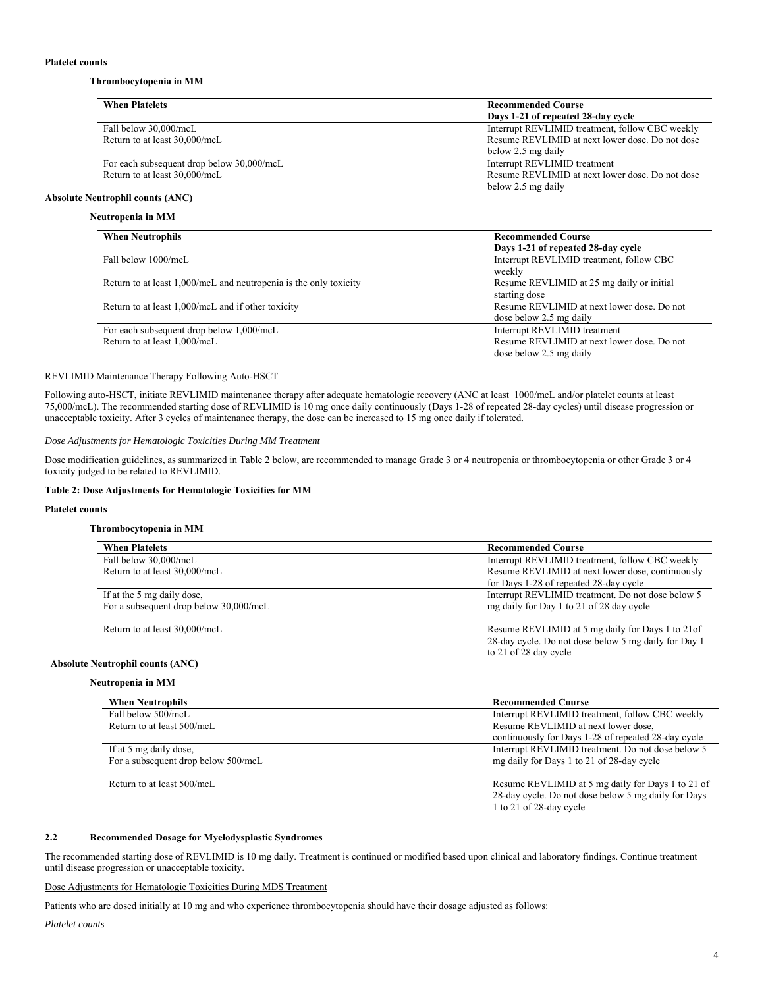## **Thrombocytopenia in MM**

| <b>When Platelets</b>                     | <b>Recommended Course</b>                       |
|-------------------------------------------|-------------------------------------------------|
|                                           | Days 1-21 of repeated 28-day cycle              |
| Fall below 30,000/mcL                     | Interrupt REVLIMID treatment, follow CBC weekly |
| Return to at least 30,000/mcL             | Resume REVLIMID at next lower dose. Do not dose |
|                                           | below 2.5 mg daily                              |
| For each subsequent drop below 30,000/mcL | Interrupt REVLIMID treatment                    |
| Return to at least 30,000/mcL             | Resume REVLIMID at next lower dose. Do not dose |
|                                           | below 2.5 mg daily                              |
| <b>Absolute Neutrophil counts (ANC)</b>   |                                                 |

## **Neutropenia in MM**

| <b>When Neutrophils</b>                                           | <b>Recommended Course</b>                  |
|-------------------------------------------------------------------|--------------------------------------------|
|                                                                   | Days 1-21 of repeated 28-day cycle         |
| Fall below 1000/mcL                                               | Interrupt REVLIMID treatment, follow CBC   |
|                                                                   | weekly                                     |
| Return to at least 1,000/mcL and neutropenia is the only toxicity | Resume REVLIMID at 25 mg daily or initial  |
|                                                                   | starting dose                              |
| Return to at least 1,000/mcL and if other toxicity                | Resume REVLIMID at next lower dose. Do not |
|                                                                   | dose below 2.5 mg daily                    |
| For each subsequent drop below 1,000/mcL                          | Interrupt REVLIMID treatment               |
| Return to at least 1,000/mcL                                      | Resume REVLIMID at next lower dose. Do not |
|                                                                   | dose below 2.5 mg daily                    |

## REVLIMID Maintenance Therapy Following Auto-HSCT

Following auto-HSCT, initiate REVLIMID maintenance therapy after adequate hematologic recovery (ANC at least 1000/mcL and/or platelet counts at least 75,000/mcL). The recommended starting dose of REVLIMID is 10 mg once daily continuously (Days 1-28 of repeated 28-day cycles) until disease progression or unacceptable toxicity. After 3 cycles of maintenance therapy, the dose can be increased to 15 mg once daily if tolerated.

#### *Dose Adjustments for Hematologic Toxicities During MM Treatment*

Dose modification guidelines, as summarized in Table 2 below, are recommended to manage Grade 3 or 4 neutropenia or thrombocytopenia or other Grade 3 or 4 toxicity judged to be related to REVLIMID.

#### **Table 2: Dose Adjustments for Hematologic Toxicities for MM**

## **Platelet counts**

## **Thrombocytopenia in MM**

| <b>When Platelets</b>                   | <b>Recommended Course</b>                                                                                                          |
|-----------------------------------------|------------------------------------------------------------------------------------------------------------------------------------|
| Fall below 30,000/mcL                   | Interrupt REVLIMID treatment, follow CBC weekly                                                                                    |
|                                         |                                                                                                                                    |
| Return to at least 30,000/mcL           | Resume REVLIMID at next lower dose, continuously                                                                                   |
|                                         | for Days 1-28 of repeated 28-day cycle                                                                                             |
| If at the 5 mg daily dose,              | Interrupt REVLIMID treatment. Do not dose below 5                                                                                  |
| For a subsequent drop below 30,000/mcL  | mg daily for Day 1 to 21 of 28 day cycle                                                                                           |
| Return to at least 30,000/mcL           | Resume REVLIMID at 5 mg daily for Days 1 to 21 of<br>28-day cycle. Do not dose below 5 mg daily for Day 1<br>to 21 of 28 day cycle |
| <b>Absolute Neutrophil counts (ANC)</b> |                                                                                                                                    |
| Neutropenia in MM                       |                                                                                                                                    |

| <b>Recommended Course</b>                                                                                                           |
|-------------------------------------------------------------------------------------------------------------------------------------|
| Interrupt REVLIMID treatment, follow CBC weekly                                                                                     |
| Resume REVLIMID at next lower dose,                                                                                                 |
| continuously for Days 1-28 of repeated 28-day cycle                                                                                 |
| Interrupt REVLIMID treatment. Do not dose below 5                                                                                   |
| mg daily for Days 1 to 21 of 28-day cycle                                                                                           |
| Resume REVLIMID at 5 mg daily for Days 1 to 21 of<br>28-day cycle. Do not dose below 5 mg daily for Days<br>1 to 21 of 28-day cycle |
|                                                                                                                                     |

## **2.2 Recommended Dosage for Myelodysplastic Syndromes**

The recommended starting dose of REVLIMID is 10 mg daily. Treatment is continued or modified based upon clinical and laboratory findings. Continue treatment until disease progression or unacceptable toxicity.

Dose Adjustments for Hematologic Toxicities During MDS Treatment

Patients who are dosed initially at 10 mg and who experience thrombocytopenia should have their dosage adjusted as follows:

*Platelet counts*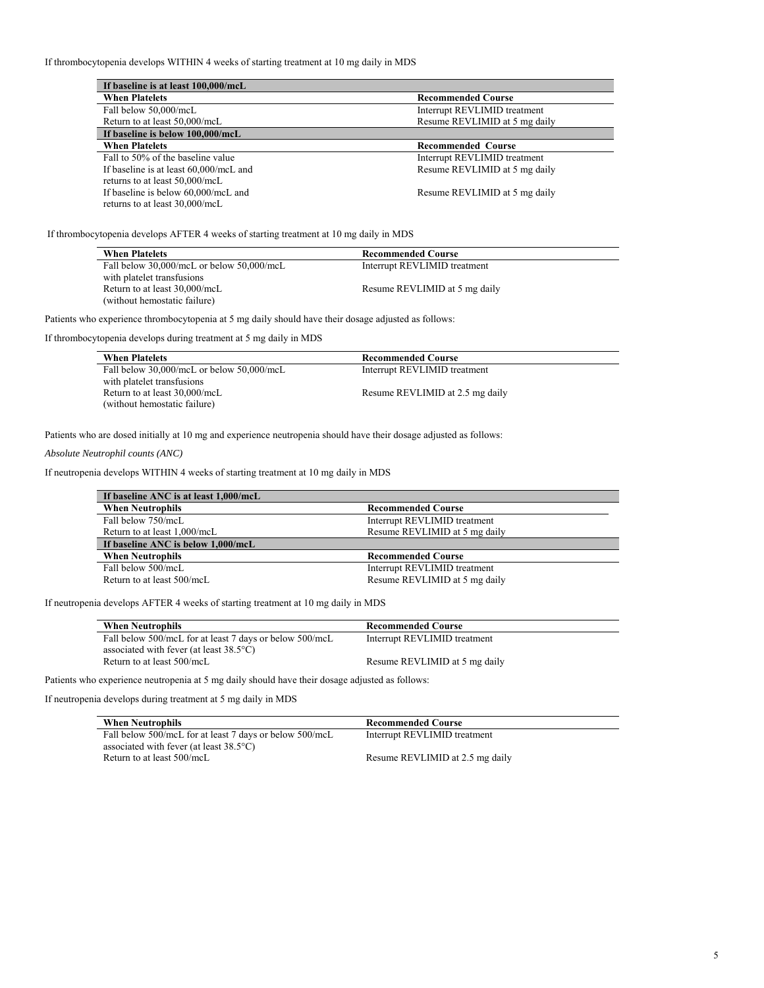If thrombocytopenia develops WITHIN 4 weeks of starting treatment at 10 mg daily in MDS

| If baseline is at least 100,000/mcL    |                               |
|----------------------------------------|-------------------------------|
| <b>When Platelets</b>                  | <b>Recommended Course</b>     |
| Fall below 50,000/mcL                  | Interrupt REVLIMID treatment  |
| Return to at least 50,000/mcL          | Resume REVLIMID at 5 mg daily |
| If baseline is below 100,000/mcL       |                               |
| <b>When Platelets</b>                  | <b>Recommended Course</b>     |
| Fall to 50% of the baseline value      | Interrupt REVLIMID treatment  |
| If baseline is at least 60,000/mcL and | Resume REVLIMID at 5 mg daily |
| returns to at least 50,000/mcL         |                               |
| If baseline is below 60,000/mcL and    | Resume REVLIMID at 5 mg daily |
| returns to at least 30,000/mcL         |                               |

If thrombocytopenia develops AFTER 4 weeks of starting treatment at 10 mg daily in MDS

| <b>When Platelets</b>                     | <b>Recommended Course</b>     |  |
|-------------------------------------------|-------------------------------|--|
| Fall below 30,000/mcL or below 50,000/mcL | Interrupt REVLIMID treatment  |  |
| with platelet transfusions                |                               |  |
| Return to at least 30,000/mcL             | Resume REVLIMID at 5 mg daily |  |
| (without hemostatic failure)              |                               |  |

Patients who experience thrombocytopenia at 5 mg daily should have their dosage adjusted as follows:

If thrombocytopenia develops during treatment at 5 mg daily in MDS

| <b>When Platelets</b>                     | <b>Recommended Course</b>       |  |
|-------------------------------------------|---------------------------------|--|
| Fall below 30,000/mcL or below 50,000/mcL | Interrupt REVLIMID treatment    |  |
| with platelet transfusions                |                                 |  |
| Return to at least 30,000/mcL             | Resume REVLIMID at 2.5 mg daily |  |
| (without hemostatic failure)              |                                 |  |

Patients who are dosed initially at 10 mg and experience neutropenia should have their dosage adjusted as follows:

*Absolute Neutrophil counts (ANC)* 

If neutropenia develops WITHIN 4 weeks of starting treatment at 10 mg daily in MDS

| If baseline ANC is at least 1,000/mcL |                               |
|---------------------------------------|-------------------------------|
| <b>When Neutrophils</b>               | <b>Recommended Course</b>     |
| Fall below 750/mcL                    | Interrupt REVLIMID treatment  |
| Return to at least 1,000/mcL          | Resume REVLIMID at 5 mg daily |
| If baseline ANC is below 1,000/mcL    |                               |
| <b>When Neutrophils</b>               | <b>Recommended Course</b>     |
| Fall below 500/mcL                    | Interrupt REVLIMID treatment  |
| Return to at least 500/mcL            | Resume REVLIMID at 5 mg daily |

If neutropenia develops AFTER 4 weeks of starting treatment at 10 mg daily in MDS

| <b>When Neutrophils</b>                                 | <b>Recommended Course</b>     |
|---------------------------------------------------------|-------------------------------|
| Fall below 500/mcL for at least 7 days or below 500/mcL | Interrupt REVLIMID treatment  |
| associated with fever (at least $38.5^{\circ}$ C)       |                               |
| Return to at least 500/mcL                              | Resume REVLIMID at 5 mg daily |

Patients who experience neutropenia at 5 mg daily should have their dosage adjusted as follows:

If neutropenia develops during treatment at 5 mg daily in MDS

| <b>When Neutrophils</b>                                 | <b>Recommended Course</b>       |
|---------------------------------------------------------|---------------------------------|
| Fall below 500/mcL for at least 7 days or below 500/mcL | Interrupt REVLIMID treatment    |
| associated with fever (at least $38.5^{\circ}$ C)       |                                 |
| Return to at least 500/mcL                              | Resume REVLIMID at 2.5 mg daily |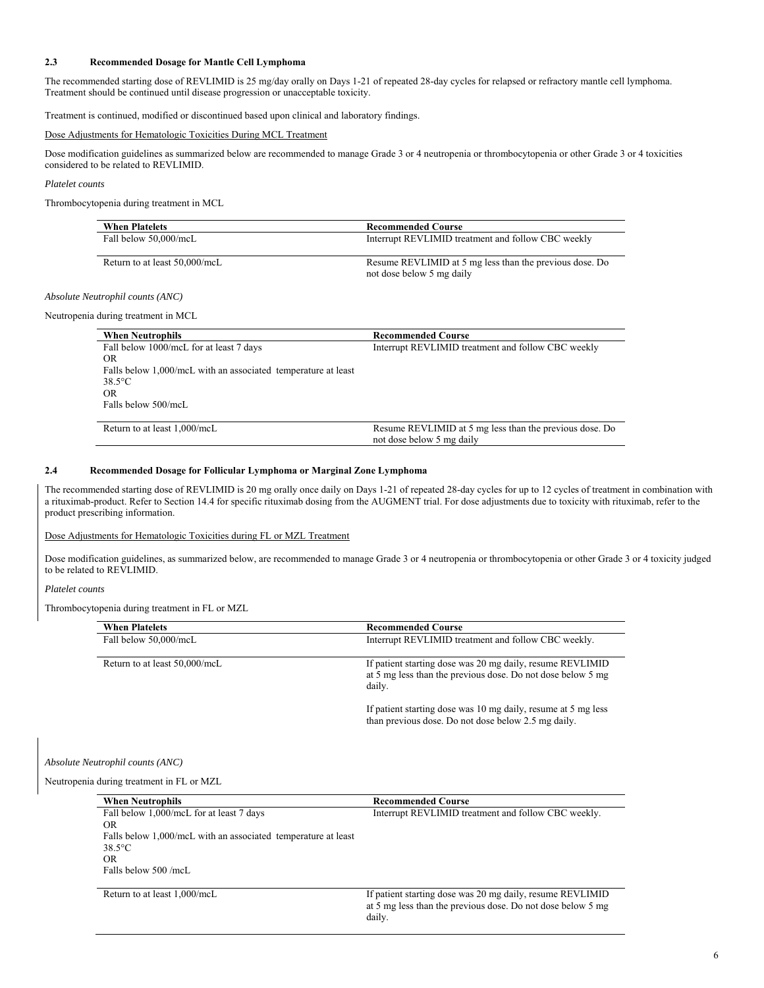## **2.3 Recommended Dosage for Mantle Cell Lymphoma**

The recommended starting dose of REVLIMID is 25 mg/day orally on Days 1-21 of repeated 28-day cycles for relapsed or refractory mantle cell lymphoma. Treatment should be continued until disease progression or unacceptable toxicity.

Treatment is continued, modified or discontinued based upon clinical and laboratory findings.

#### Dose Adjustments for Hematologic Toxicities During MCL Treatment

Dose modification guidelines as summarized below are recommended to manage Grade 3 or 4 neutropenia or thrombocytopenia or other Grade 3 or 4 toxicities considered to be related to REVLIMID.

## *Platelet counts*

Thrombocytopenia during treatment in MCL

| <b>When Platelets</b>         | <b>Recommended Course</b>                                                            |
|-------------------------------|--------------------------------------------------------------------------------------|
| Fall below 50,000/mcL         | Interrupt REVLIMID treatment and follow CBC weekly                                   |
| Return to at least 50,000/mcL | Resume REVLIMID at 5 mg less than the previous dose. Do<br>not dose below 5 mg daily |

#### *Absolute Neutrophil counts (ANC)*

Neutropenia during treatment in MCL

| <b>When Neutrophils</b>                                       | <b>Recommended Course</b>                                                            |
|---------------------------------------------------------------|--------------------------------------------------------------------------------------|
| Fall below 1000/mcL for at least 7 days                       | Interrupt REVLIMID treatment and follow CBC weekly                                   |
| OR.                                                           |                                                                                      |
| Falls below 1,000/mcL with an associated temperature at least |                                                                                      |
| $38.5$ °C                                                     |                                                                                      |
| OR.                                                           |                                                                                      |
| Falls below 500/mcL                                           |                                                                                      |
| Return to at least 1,000/mcL                                  | Resume REVLIMID at 5 mg less than the previous dose. Do<br>not dose below 5 mg daily |

#### **2.4 Recommended Dosage for Follicular Lymphoma or Marginal Zone Lymphoma**

The recommended starting dose of REVLIMID is 20 mg orally once daily on Days 1-21 of repeated 28-day cycles for up to 12 cycles of treatment in combination with a rituximab-product. Refer to Section 14.4 for specific rituximab dosing from the AUGMENT trial. For dose adjustments due to toxicity with rituximab, refer to the product prescribing information.

## Dose Adjustments for Hematologic Toxicities during FL or MZL Treatment

Dose modification guidelines, as summarized below, are recommended to manage Grade 3 or 4 neutropenia or thrombocytopenia or other Grade 3 or 4 toxicity judged to be related to REVLIMID.

#### *Platelet counts*

Thrombocytopenia during treatment in FL or MZL

| <b>When Platelets</b>         | <b>Recommended Course</b>                                                                                                          |
|-------------------------------|------------------------------------------------------------------------------------------------------------------------------------|
| Fall below 50,000/mcL         | Interrupt REVLIMID treatment and follow CBC weekly.                                                                                |
| Return to at least 50,000/mcL | If patient starting dose was 20 mg daily, resume REVLIMID<br>at 5 mg less than the previous dose. Do not dose below 5 mg<br>daily. |
|                               | If patient starting dose was 10 mg daily, resume at 5 mg less<br>than previous dose. Do not dose below 2.5 mg daily.               |

*Absolute Neutrophil counts (ANC)* 

Neutropenia during treatment in FL or MZL

| <b>When Neutrophils</b>                                       | <b>Recommended Course</b>                                   |
|---------------------------------------------------------------|-------------------------------------------------------------|
| Fall below 1,000/mcL for at least 7 days                      | Interrupt REVLIMID treatment and follow CBC weekly.         |
| OR.                                                           |                                                             |
| Falls below 1,000/mcL with an associated temperature at least |                                                             |
| $38.5^{\circ}$ C                                              |                                                             |
| OR.                                                           |                                                             |
| Falls below 500 /mcL                                          |                                                             |
|                                                               |                                                             |
| Return to at least 1,000/mcL                                  | If patient starting dose was 20 mg daily, resume REVLIMID   |
|                                                               | at 5 mg less than the previous dose. Do not dose below 5 mg |
|                                                               | daily.                                                      |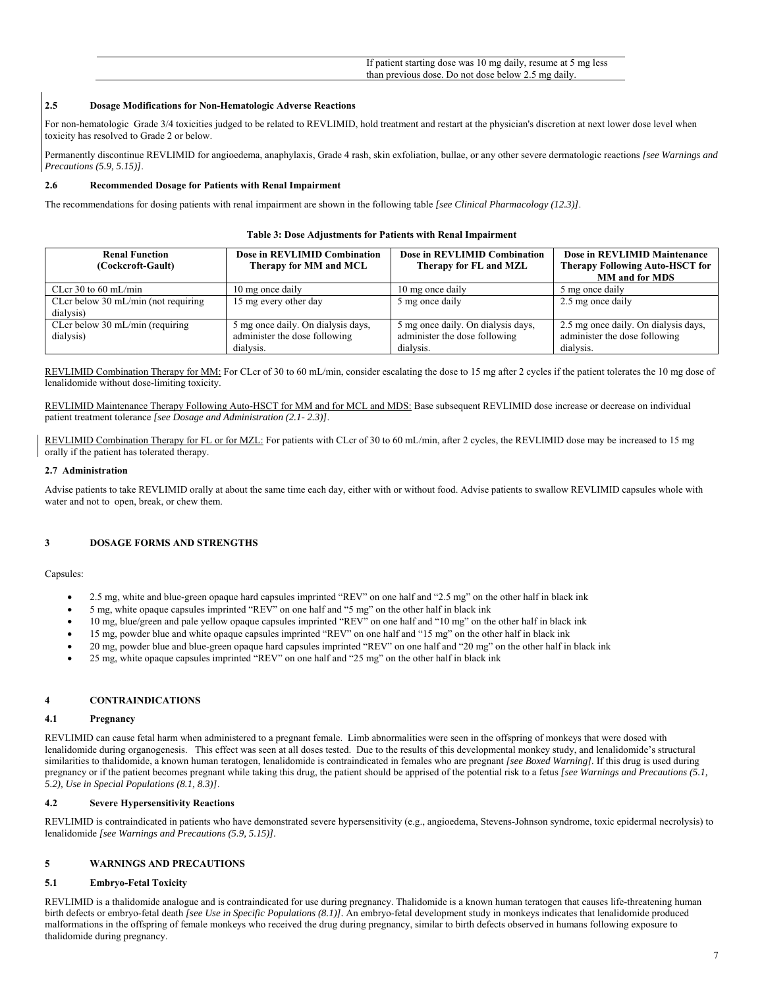If patient starting dose was 10 mg daily, resume at 5 mg less than previous dose. Do not dose below 2.5 mg daily.

## **2.5 Dosage Modifications for Non-Hematologic Adverse Reactions**

For non-hematologic Grade 3/4 toxicities judged to be related to REVLIMID, hold treatment and restart at the physician's discretion at next lower dose level when toxicity has resolved to Grade 2 or below.

Permanently discontinue REVLIMID for angioedema, anaphylaxis, Grade 4 rash, skin exfoliation, bullae, or any other severe dermatologic reactions *[see Warnings and Precautions (5.9, 5.15)]*.

#### **2.6 Recommended Dosage for Patients with Renal Impairment**

The recommendations for dosing patients with renal impairment are shown in the following table *[see Clinical Pharmacology (12.3)]*.

#### **Table 3: Dose Adjustments for Patients with Renal Impairment**

| <b>Renal Function</b><br>(Cockcroft-Gault)                 | Dose in REVLIMID Combination<br>Therapy for MM and MCL                           | Dose in REVLIMID Combination<br>Therapy for FL and MZL                           | Dose in REVLIMID Maintenance<br><b>Therapy Following Auto-HSCT for</b><br><b>MM</b> and for MDS |
|------------------------------------------------------------|----------------------------------------------------------------------------------|----------------------------------------------------------------------------------|-------------------------------------------------------------------------------------------------|
| CLcr 30 to 60 mL/min                                       | 10 mg once daily                                                                 | 10 mg once daily                                                                 | 5 mg once daily                                                                                 |
| CLcr below $30 \text{ mL/min}$ (not requiring<br>dialysis) | 15 mg every other day                                                            | 5 mg once daily                                                                  | 2.5 mg once daily                                                                               |
| CLcr below $30 \text{ mL/min}$ (requiring<br>dialysis)     | 5 mg once daily. On dialysis days,<br>administer the dose following<br>dialysis. | 5 mg once daily. On dialysis days,<br>administer the dose following<br>dialysis. | 2.5 mg once daily. On dialysis days,<br>administer the dose following<br>dialysis.              |

REVLIMID Combination Therapy for MM: For CLcr of 30 to 60 mL/min, consider escalating the dose to 15 mg after 2 cycles if the patient tolerates the 10 mg dose of lenalidomide without dose-limiting toxicity.

REVLIMID Maintenance Therapy Following Auto-HSCT for MM and for MCL and MDS: Base subsequent REVLIMID dose increase or decrease on individual patient treatment tolerance *[see Dosage and Administration (2.1- 2.3)]*.

REVLIMID Combination Therapy for FL or for MZL: For patients with CLcr of 30 to 60 mL/min, after 2 cycles, the REVLIMID dose may be increased to 15 mg orally if the patient has tolerated therapy.

#### **2.7 Administration**

Advise patients to take REVLIMID orally at about the same time each day, either with or without food. Advise patients to swallow REVLIMID capsules whole with water and not to open, break, or chew them.

#### **3 DOSAGE FORMS AND STRENGTHS**

Capsules:

- 2.5 mg, white and blue-green opaque hard capsules imprinted "REV" on one half and "2.5 mg" on the other half in black ink
- 5 mg, white opaque capsules imprinted "REV" on one half and "5 mg" on the other half in black ink
- 10 mg, blue/green and pale yellow opaque capsules imprinted "REV" on one half and "10 mg" on the other half in black ink
- 15 mg, powder blue and white opaque capsules imprinted "REV" on one half and "15 mg" on the other half in black ink
- 20 mg, powder blue and blue-green opaque hard capsules imprinted "REV" on one half and "20 mg" on the other half in black ink
- 25 mg, white opaque capsules imprinted "REV" on one half and "25 mg" on the other half in black ink

## **4 CONTRAINDICATIONS**

#### **4.1 Pregnancy**

REVLIMID can cause fetal harm when administered to a pregnant female. Limb abnormalities were seen in the offspring of monkeys that were dosed with lenalidomide during organogenesis. This effect was seen at all doses tested. Due to the results of this developmental monkey study, and lenalidomide's structural similarities to thalidomide, a known human teratogen, lenalidomide is contraindicated in females who are pregnant *[see Boxed Warning].* If this drug is used during pregnancy or if the patient becomes pregnant while taking this drug, the patient should be apprised of the potential risk to a fetus *[see Warnings and Precautions (5.1, 5.2), Use in Special Populations (8.1, 8.3)]*.

#### **4.2 Severe Hypersensitivity Reactions**

REVLIMID is contraindicated in patients who have demonstrated severe hypersensitivity (e.g., angioedema, Stevens-Johnson syndrome, toxic epidermal necrolysis) to lenalidomide *[see Warnings and Precautions (5.9, 5.15)].* 

## **5 WARNINGS AND PRECAUTIONS**

## **5.1 Embryo-Fetal Toxicity**

REVLIMID is a thalidomide analogue and is contraindicated for use during pregnancy. Thalidomide is a known human teratogen that causes life-threatening human birth defects or embryo-fetal death *[see Use in Specific Populations (8.1)].* An embryo-fetal development study in monkeys indicates that lenalidomide produced malformations in the offspring of female monkeys who received the drug during pregnancy, similar to birth defects observed in humans following exposure to thalidomide during pregnancy.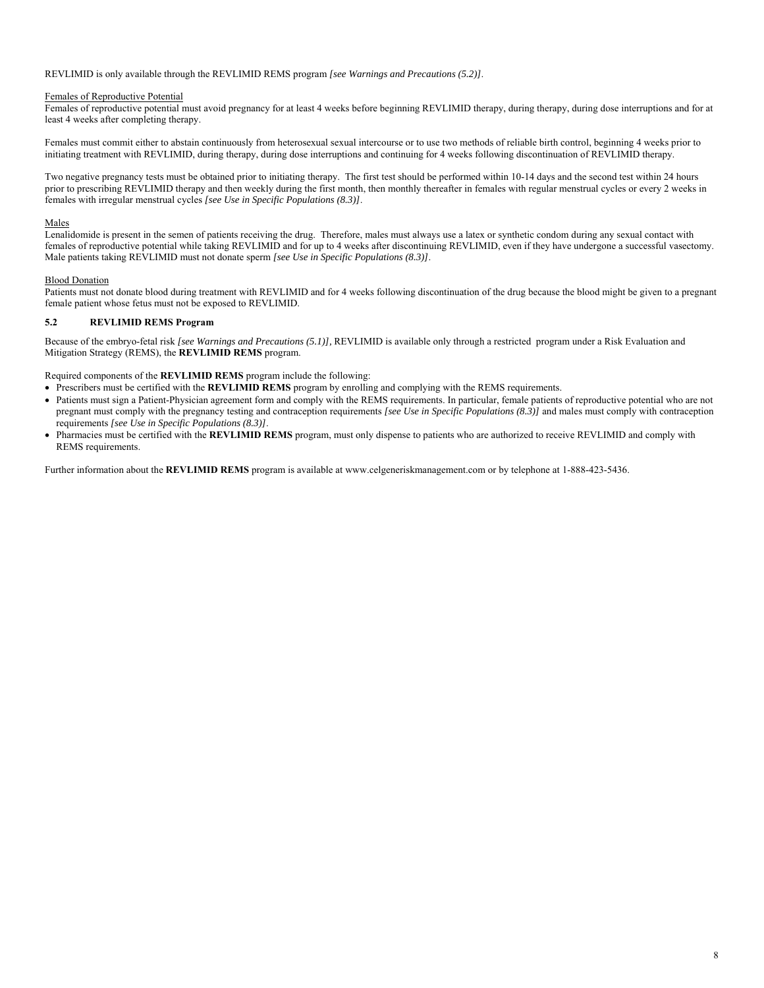## REVLIMID is only available through the REVLIMID REMS program *[see Warnings and Precautions (5.2)]*.

## Females of Reproductive Potential

Females of reproductive potential must avoid pregnancy for at least 4 weeks before beginning REVLIMID therapy, during therapy, during dose interruptions and for at least 4 weeks after completing therapy.

Females must commit either to abstain continuously from heterosexual sexual intercourse or to use two methods of reliable birth control, beginning 4 weeks prior to initiating treatment with REVLIMID, during therapy, during dose interruptions and continuing for 4 weeks following discontinuation of REVLIMID therapy.

Two negative pregnancy tests must be obtained prior to initiating therapy. The first test should be performed within 10-14 days and the second test within 24 hours prior to prescribing REVLIMID therapy and then weekly during the first month, then monthly thereafter in females with regular menstrual cycles or every 2 weeks in females with irregular menstrual cycles *[see Use in Specific Populations (8.3)]*.

## Males

Lenalidomide is present in the semen of patients receiving the drug. Therefore, males must always use a latex or synthetic condom during any sexual contact with females of reproductive potential while taking REVLIMID and for up to 4 weeks after discontinuing REVLIMID, even if they have undergone a successful vasectomy. Male patients taking REVLIMID must not donate sperm *[see Use in Specific Populations (8.3)]*.

## Blood Donation

Patients must not donate blood during treatment with REVLIMID and for 4 weeks following discontinuation of the drug because the blood might be given to a pregnant female patient whose fetus must not be exposed to REVLIMID.

## **5.2 REVLIMID REMS Program**

Because of the embryo-fetal risk *[see Warnings and Precautions (5.1)],* REVLIMID is available only through a restricted program under a Risk Evaluation and Mitigation Strategy (REMS), the **REVLIMID REMS** program.

Required components of the **REVLIMID REMS** program include the following:

- Prescribers must be certified with the **REVLIMID REMS** program by enrolling and complying with the REMS requirements.
- Patients must sign a Patient-Physician agreement form and comply with the REMS requirements. In particular, female patients of reproductive potential who are not pregnant must comply with the pregnancy testing and contraception requirements *[see Use in Specific Populations (8.3)]* and males must comply with contraception requirements *[see Use in Specific Populations (8.3)]*.
- Pharmacies must be certified with the **REVLIMID REMS** program, must only dispense to patients who are authorized to receive REVLIMID and comply with REMS requirements.

Further information about the **REVLIMID REMS** program is available at www.celgeneriskmanagement.com or by telephone at 1-888-423-5436.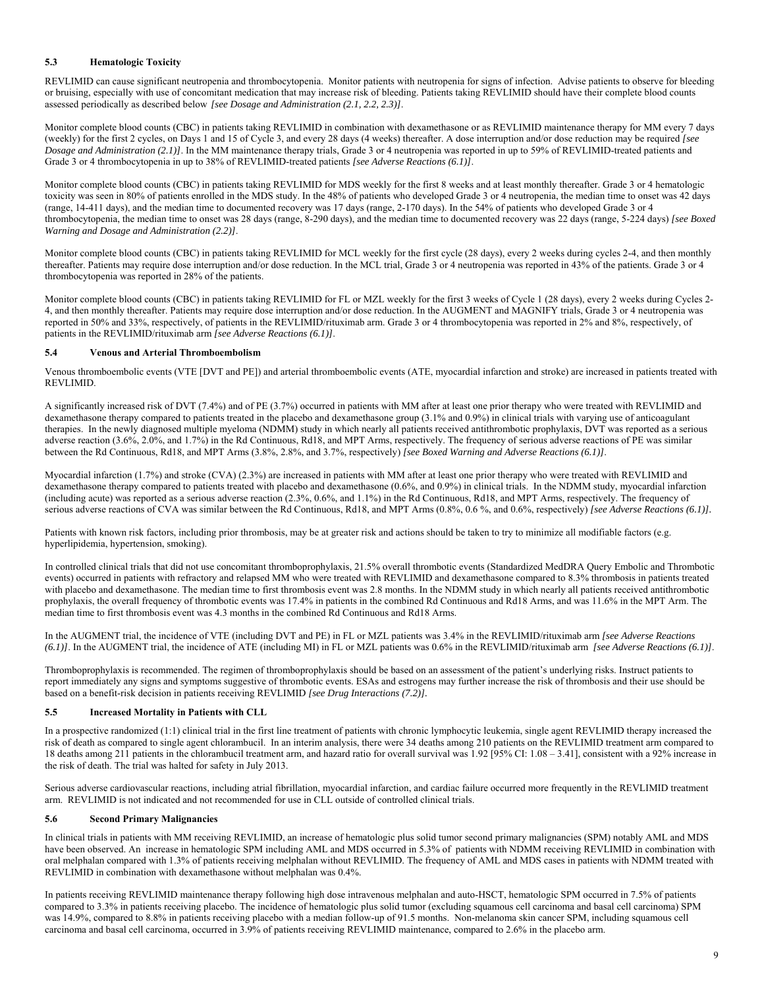## **5.3 Hematologic Toxicity**

REVLIMID can cause significant neutropenia and thrombocytopenia. Monitor patients with neutropenia for signs of infection. Advise patients to observe for bleeding or bruising, especially with use of concomitant medication that may increase risk of bleeding. Patients taking REVLIMID should have their complete blood counts assessed periodically as described below *[see Dosage and Administration (2.1, 2.2, 2.3)]*.

Monitor complete blood counts (CBC) in patients taking REVLIMID in combination with dexamethasone or as REVLIMID maintenance therapy for MM every 7 days (weekly) for the first 2 cycles, on Days 1 and 15 of Cycle 3, and every 28 days (4 weeks) thereafter. A dose interruption and/or dose reduction may be required *[see Dosage and Administration (2.1)]*. In the MM maintenance therapy trials, Grade 3 or 4 neutropenia was reported in up to 59% of REVLIMID-treated patients and Grade 3 or 4 thrombocytopenia in up to 38% of REVLIMID-treated patients *[see Adverse Reactions (6.1)]*.

Monitor complete blood counts (CBC) in patients taking REVLIMID for MDS weekly for the first 8 weeks and at least monthly thereafter. Grade 3 or 4 hematologic toxicity was seen in 80% of patients enrolled in the MDS study. In the 48% of patients who developed Grade 3 or 4 neutropenia, the median time to onset was 42 days (range, 14-411 days), and the median time to documented recovery was 17 days (range, 2-170 days). In the 54% of patients who developed Grade 3 or 4 thrombocytopenia, the median time to onset was 28 days (range, 8-290 days), and the median time to documented recovery was 22 days (range, 5-224 days) *[see Boxed Warning and Dosage and Administration (2.2)]*.

Monitor complete blood counts (CBC) in patients taking REVLIMID for MCL weekly for the first cycle (28 days), every 2 weeks during cycles 2-4, and then monthly thereafter. Patients may require dose interruption and/or dose reduction. In the MCL trial, Grade 3 or 4 neutropenia was reported in 43% of the patients. Grade 3 or 4 thrombocytopenia was reported in 28% of the patients.

Monitor complete blood counts (CBC) in patients taking REVLIMID for FL or MZL weekly for the first 3 weeks of Cycle 1 (28 days), every 2 weeks during Cycles 2- 4, and then monthly thereafter. Patients may require dose interruption and/or dose reduction. In the AUGMENT and MAGNIFY trials, Grade 3 or 4 neutropenia was reported in 50% and 33%, respectively, of patients in the REVLIMID/rituximab arm. Grade 3 or 4 thrombocytopenia was reported in 2% and 8%, respectively, of patients in the REVLIMID/rituximab arm *[see Adverse Reactions (6.1)]*.

## **5.4 Venous and Arterial Thromboembolism**

Venous thromboembolic events (VTE [DVT and PE]) and arterial thromboembolic events (ATE, myocardial infarction and stroke) are increased in patients treated with REVLIMID.

A significantly increased risk of DVT (7.4%) and of PE (3.7%) occurred in patients with MM after at least one prior therapy who were treated with REVLIMID and dexamethasone therapy compared to patients treated in the placebo and dexamethasone group (3.1% and 0.9%) in clinical trials with varying use of anticoagulant therapies. In the newly diagnosed multiple myeloma (NDMM) study in which nearly all patients received antithrombotic prophylaxis, DVT was reported as a serious adverse reaction (3.6%, 2.0%, and 1.7%) in the Rd Continuous, Rd18, and MPT Arms, respectively. The frequency of serious adverse reactions of PE was similar between the Rd Continuous, Rd18, and MPT Arms (3.8%, 2.8%, and 3.7%, respectively) *[see Boxed Warning and Adverse Reactions (6.1)]*.

Myocardial infarction (1.7%) and stroke (CVA) (2.3%) are increased in patients with MM after at least one prior therapy who were treated with REVLIMID and dexamethasone therapy compared to patients treated with placebo and dexamethasone (0.6%, and 0.9%) in clinical trials. In the NDMM study, myocardial infarction (including acute) was reported as a serious adverse reaction (2.3%, 0.6%, and 1.1%) in the Rd Continuous, Rd18, and MPT Arms, respectively. The frequency of serious adverse reactions of CVA was similar between the Rd Continuous, Rd18, and MPT Arms (0.8%, 0.6 %, and 0.6%, respectively) *[see Adverse Reactions (6.1)].*

Patients with known risk factors, including prior thrombosis, may be at greater risk and actions should be taken to try to minimize all modifiable factors (e.g. hyperlipidemia, hypertension, smoking).

In controlled clinical trials that did not use concomitant thromboprophylaxis, 21.5% overall thrombotic events (Standardized MedDRA Query Embolic and Thrombotic events) occurred in patients with refractory and relapsed MM who were treated with REVLIMID and dexamethasone compared to 8.3% thrombosis in patients treated with placebo and dexamethasone. The median time to first thrombosis event was 2.8 months. In the NDMM study in which nearly all patients received antithrombotic prophylaxis, the overall frequency of thrombotic events was 17.4% in patients in the combined Rd Continuous and Rd18 Arms, and was 11.6% in the MPT Arm. The median time to first thrombosis event was 4.3 months in the combined Rd Continuous and Rd18 Arms.

In the AUGMENT trial, the incidence of VTE (including DVT and PE) in FL or MZL patients was 3.4% in the REVLIMID/rituximab arm *[see Adverse Reactions (6.1)]*. In the AUGMENT trial, the incidence of ATE (including MI) in FL or MZL patients was 0.6% in the REVLIMID/rituximab arm *[see Adverse Reactions (6.1)]*.

Thromboprophylaxis is recommended. The regimen of thromboprophylaxis should be based on an assessment of the patient's underlying risks. Instruct patients to report immediately any signs and symptoms suggestive of thrombotic events. ESAs and estrogens may further increase the risk of thrombosis and their use should be based on a benefit-risk decision in patients receiving REVLIMID *[see Drug Interactions (7.2)].*

## **5.5 Increased Mortality in Patients with CLL**

In a prospective randomized (1:1) clinical trial in the first line treatment of patients with chronic lymphocytic leukemia, single agent REVLIMID therapy increased the risk of death as compared to single agent chlorambucil. In an interim analysis, there were 34 deaths among 210 patients on the REVLIMID treatment arm compared to 18 deaths among 211 patients in the chlorambucil treatment arm, and hazard ratio for overall survival was 1.92 [95% CI: 1.08 – 3.41], consistent with a 92% increase in the risk of death. The trial was halted for safety in July 2013.

Serious adverse cardiovascular reactions, including atrial fibrillation, myocardial infarction, and cardiac failure occurred more frequently in the REVLIMID treatment arm. REVLIMID is not indicated and not recommended for use in CLL outside of controlled clinical trials.

#### **5.6 Second Primary Malignancies**

In clinical trials in patients with MM receiving REVLIMID, an increase of hematologic plus solid tumor second primary malignancies (SPM) notably AML and MDS have been observed. An increase in hematologic SPM including AML and MDS occurred in 5.3% of patients with NDMM receiving REVLIMID in combination with oral melphalan compared with 1.3% of patients receiving melphalan without REVLIMID. The frequency of AML and MDS cases in patients with NDMM treated with REVLIMID in combination with dexamethasone without melphalan was 0.4%.

In patients receiving REVLIMID maintenance therapy following high dose intravenous melphalan and auto-HSCT, hematologic SPM occurred in 7.5% of patients compared to 3.3% in patients receiving placebo. The incidence of hematologic plus solid tumor (excluding squamous cell carcinoma and basal cell carcinoma) SPM was 14.9%, compared to 8.8% in patients receiving placebo with a median follow-up of 91.5 months. Non-melanoma skin cancer SPM, including squamous cell carcinoma and basal cell carcinoma, occurred in 3.9% of patients receiving REVLIMID maintenance, compared to 2.6% in the placebo arm.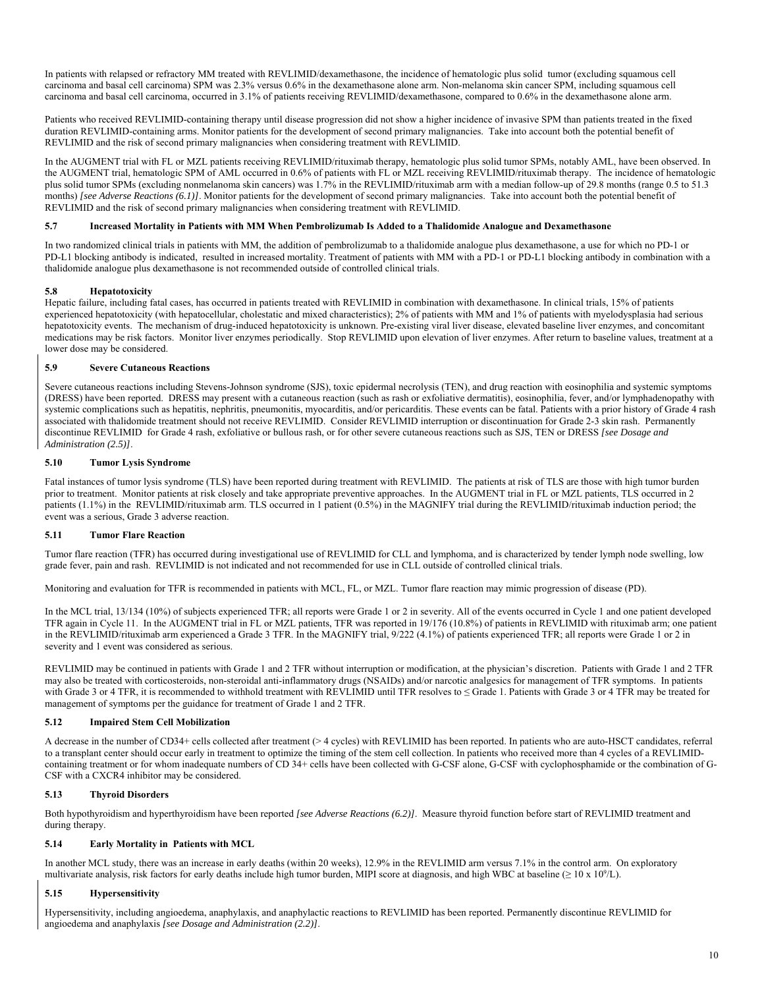In patients with relapsed or refractory MM treated with REVLIMID/dexamethasone, the incidence of hematologic plus solid tumor (excluding squamous cell carcinoma and basal cell carcinoma) SPM was 2.3% versus 0.6% in the dexamethasone alone arm. Non-melanoma skin cancer SPM, including squamous cell carcinoma and basal cell carcinoma, occurred in 3.1% of patients receiving REVLIMID/dexamethasone, compared to 0.6% in the dexamethasone alone arm.

Patients who received REVLIMID-containing therapy until disease progression did not show a higher incidence of invasive SPM than patients treated in the fixed duration REVLIMID-containing arms. Monitor patients for the development of second primary malignancies. Take into account both the potential benefit of REVLIMID and the risk of second primary malignancies when considering treatment with REVLIMID.

In the AUGMENT trial with FL or MZL patients receiving REVLIMID/rituximab therapy, hematologic plus solid tumor SPMs, notably AML, have been observed. In the AUGMENT trial, hematologic SPM of AML occurred in 0.6% of patients with FL or MZL receiving REVLIMID/rituximab therapy. The incidence of hematologic plus solid tumor SPMs (excluding nonmelanoma skin cancers) was 1.7% in the REVLIMID/rituximab arm with a median follow-up of 29.8 months (range 0.5 to 51.3 months) *[see Adverse Reactions (6.1)]*. Monitor patients for the development of second primary malignancies. Take into account both the potential benefit of REVLIMID and the risk of second primary malignancies when considering treatment with REVLIMID.

## **5.7 Increased Mortality in Patients with MM When Pembrolizumab Is Added to a Thalidomide Analogue and Dexamethasone**

In two randomized clinical trials in patients with MM, the addition of pembrolizumab to a thalidomide analogue plus dexamethasone, a use for which no PD-1 or PD-L1 blocking antibody is indicated, resulted in increased mortality. Treatment of patients with MM with a PD-1 or PD-L1 blocking antibody in combination with a thalidomide analogue plus dexamethasone is not recommended outside of controlled clinical trials.

## **5.8 Hepatotoxicity**

Hepatic failure, including fatal cases, has occurred in patients treated with REVLIMID in combination with dexamethasone. In clinical trials, 15% of patients experienced hepatotoxicity (with hepatocellular, cholestatic and mixed characteristics); 2% of patients with MM and 1% of patients with myelodysplasia had serious hepatotoxicity events. The mechanism of drug-induced hepatotoxicity is unknown. Pre-existing viral liver disease, elevated baseline liver enzymes, and concomitant medications may be risk factors. Monitor liver enzymes periodically. Stop REVLIMID upon elevation of liver enzymes. After return to baseline values, treatment at a lower dose may be considered.

## **5.9 Severe Cutaneous Reactions**

Severe cutaneous reactions including Stevens-Johnson syndrome (SJS), toxic epidermal necrolysis (TEN), and drug reaction with eosinophilia and systemic symptoms (DRESS) have been reported. DRESS may present with a cutaneous reaction (such as rash or exfoliative dermatitis), eosinophilia, fever, and/or lymphadenopathy with systemic complications such as hepatitis, nephritis, pneumonitis, myocarditis, and/or pericarditis. These events can be fatal. Patients with a prior history of Grade 4 rash associated with thalidomide treatment should not receive REVLIMID. Consider REVLIMID interruption or discontinuation for Grade 2-3 skin rash. Permanently discontinue REVLIMID for Grade 4 rash, exfoliative or bullous rash, or for other severe cutaneous reactions such as SJS, TEN or DRESS *[see Dosage and Administration (2.5)]*.

## **5.10 Tumor Lysis Syndrome**

Fatal instances of tumor lysis syndrome (TLS) have been reported during treatment with REVLIMID. The patients at risk of TLS are those with high tumor burden prior to treatment. Monitor patients at risk closely and take appropriate preventive approaches. In the AUGMENT trial in FL or MZL patients, TLS occurred in 2 patients (1.1%) in the REVLIMID/rituximab arm. TLS occurred in 1 patient (0.5%) in the MAGNIFY trial during the REVLIMID/rituximab induction period; the event was a serious, Grade 3 adverse reaction.

## **5.11 Tumor Flare Reaction**

Tumor flare reaction (TFR) has occurred during investigational use of REVLIMID for CLL and lymphoma, and is characterized by tender lymph node swelling, low grade fever, pain and rash. REVLIMID is not indicated and not recommended for use in CLL outside of controlled clinical trials.

Monitoring and evaluation for TFR is recommended in patients with MCL, FL, or MZL. Tumor flare reaction may mimic progression of disease (PD).

In the MCL trial, 13/134 (10%) of subjects experienced TFR; all reports were Grade 1 or 2 in severity. All of the events occurred in Cycle 1 and one patient developed TFR again in Cycle 11. In the AUGMENT trial in FL or MZL patients, TFR was reported in 19/176 (10.8%) of patients in REVLIMID with rituximab arm; one patient in the REVLIMID/rituximab arm experienced a Grade 3 TFR. In the MAGNIFY trial, 9/222 (4.1%) of patients experienced TFR; all reports were Grade 1 or 2 in severity and 1 event was considered as serious.

REVLIMID may be continued in patients with Grade 1 and 2 TFR without interruption or modification, at the physician's discretion. Patients with Grade 1 and 2 TFR may also be treated with corticosteroids, non-steroidal anti-inflammatory drugs (NSAIDs) and/or narcotic analgesics for management of TFR symptoms. In patients with Grade 3 or 4 TFR, it is recommended to withhold treatment with REVLIMID until TFR resolves to ≤ Grade 1. Patients with Grade 3 or 4 TFR may be treated for management of symptoms per the guidance for treatment of Grade 1 and 2 TFR.

## **5.12 Impaired Stem Cell Mobilization**

A decrease in the number of CD34+ cells collected after treatment (> 4 cycles) with REVLIMID has been reported. In patients who are auto-HSCT candidates, referral to a transplant center should occur early in treatment to optimize the timing of the stem cell collection. In patients who received more than 4 cycles of a REVLIMIDcontaining treatment or for whom inadequate numbers of CD 34+ cells have been collected with G-CSF alone, G-CSF with cyclophosphamide or the combination of G-CSF with a CXCR4 inhibitor may be considered.

## **5.13 Thyroid Disorders**

Both hypothyroidism and hyperthyroidism have been reported *[see Adverse Reactions (6.2)]*. Measure thyroid function before start of REVLIMID treatment and during therapy.

## **5.14 Early Mortality in Patients with MCL**

In another MCL study, there was an increase in early deaths (within 20 weeks), 12.9% in the REVLIMID arm versus 7.1% in the control arm. On exploratory multivariate analysis, risk factors for early deaths include high tumor burden, MIPI score at diagnosis, and high WBC at baseline ( $\geq 10 \times 10^{9}$ /L).

## **5.15 Hypersensitivity**

Hypersensitivity, including angioedema, anaphylaxis, and anaphylactic reactions to REVLIMID has been reported. Permanently discontinue REVLIMID for angioedema and anaphylaxis *[see Dosage and Administration (2.2)]*.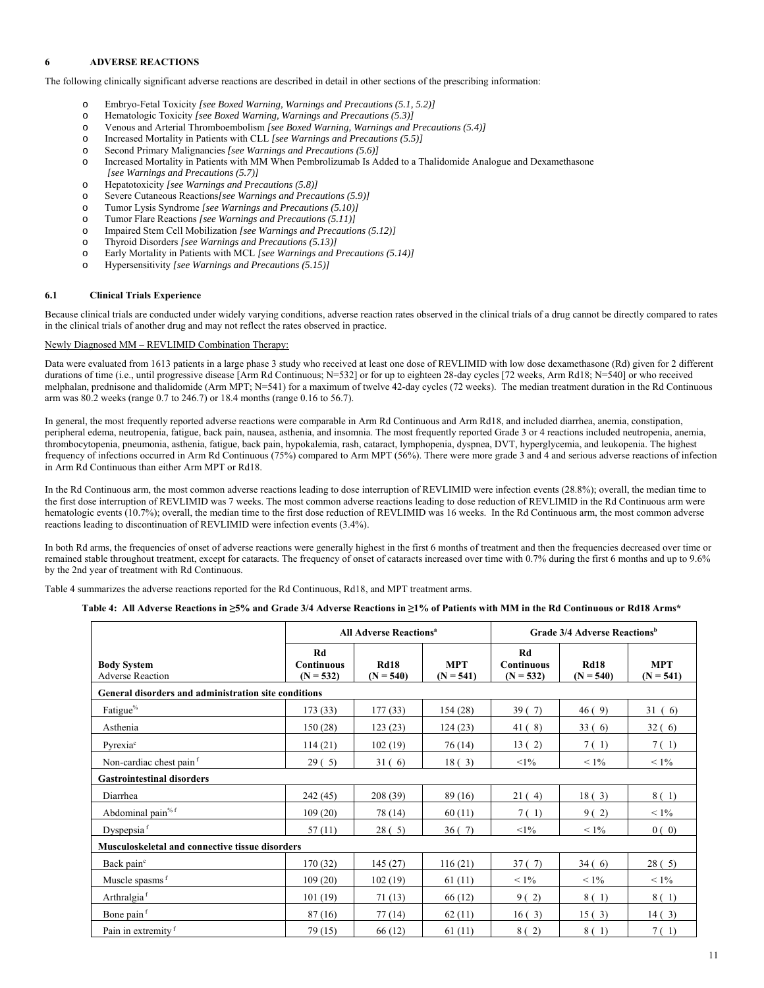## **6 ADVERSE REACTIONS**

The following clinically significant adverse reactions are described in detail in other sections of the prescribing information:

- Embryo-Fetal Toxicity *[see Boxed Warning, Warnings and Precautions (5.1, 5.2)]*
- o Hematologic Toxicity *[see Boxed Warning, Warnings and Precautions (5.3)]*
- o Venous and Arterial Thromboembolism *[see Boxed Warning, Warnings and Precautions (5.4)]*
- o Increased Mortality in Patients with CLL *[see Warnings and Precautions (5.5)]*
- o Second Primary Malignancies *[see Warnings and Precautions (5.6)]*
- o Increased Mortality in Patients with MM When Pembrolizumab Is Added to a Thalidomide Analogue and Dexamethasone  *[see Warnings and Precautions (5.7)]*
- o Hepatotoxicity *[see Warnings and Precautions (5.8)]*
- o Severe Cutaneous Reactions*[see Warnings and Precautions (5.9)]*
- o Tumor Lysis Syndrome *[see Warnings and Precautions (5.10)]*
- o Tumor Flare Reactions *[see Warnings and Precautions (5.11)]*
- o Impaired Stem Cell Mobilization *[see Warnings and Precautions (5.12)]*
- o Thyroid Disorders *[see Warnings and Precautions (5.13)]*
- o Early Mortality in Patients with MCL *[see Warnings and Precautions (5.14)]*
- o Hypersensitivity *[see Warnings and Precautions (5.15)]*

## **6.1 Clinical Trials Experience**

Because clinical trials are conducted under widely varying conditions, adverse reaction rates observed in the clinical trials of a drug cannot be directly compared to rates in the clinical trials of another drug and may not reflect the rates observed in practice.

## Newly Diagnosed MM – REVLIMID Combination Therapy:

Data were evaluated from 1613 patients in a large phase 3 study who received at least one dose of REVLIMID with low dose dexamethasone (Rd) given for 2 different durations of time (i.e., until progressive disease [Arm Rd Continuous; N=532] or for up to eighteen 28-day cycles [72 weeks, Arm Rd18; N=540] or who received melphalan, prednisone and thalidomide (Arm MPT; N=541) for a maximum of twelve 42-day cycles (72 weeks). The median treatment duration in the Rd Continuous arm was 80.2 weeks (range 0.7 to 246.7) or 18.4 months (range 0.16 to 56.7).

In general, the most frequently reported adverse reactions were comparable in Arm Rd Continuous and Arm Rd18, and included diarrhea, anemia, constipation, peripheral edema, neutropenia, fatigue, back pain, nausea, asthenia, and insomnia. The most frequently reported Grade 3 or 4 reactions included neutropenia, anemia, thrombocytopenia, pneumonia, asthenia, fatigue, back pain, hypokalemia, rash, cataract, lymphopenia, dyspnea, DVT, hyperglycemia, and leukopenia. The highest frequency of infections occurred in Arm Rd Continuous (75%) compared to Arm MPT (56%). There were more grade 3 and 4 and serious adverse reactions of infection in Arm Rd Continuous than either Arm MPT or Rd18.

In the Rd Continuous arm, the most common adverse reactions leading to dose interruption of REVLIMID were infection events (28.8%); overall, the median time to the first dose interruption of REVLIMID was 7 weeks. The most common adverse reactions leading to dose reduction of REVLIMID in the Rd Continuous arm were hematologic events (10.7%); overall, the median time to the first dose reduction of REVLIMID was 16 weeks. In the Rd Continuous arm, the most common adverse reactions leading to discontinuation of REVLIMID were infection events (3.4%).

In both Rd arms, the frequencies of onset of adverse reactions were generally highest in the first 6 months of treatment and then the frequencies decreased over time or remained stable throughout treatment, except for cataracts. The frequency of onset of cataracts increased over time with 0.7% during the first 6 months and up to 9.6% by the 2nd year of treatment with Rd Continuous.

Table 4 summarizes the adverse reactions reported for the Rd Continuous, Rd18, and MPT treatment arms.

## **Table 4: All Adverse Reactions in ≥5% and Grade 3/4 Adverse Reactions in ≥1% of Patients with MM in the Rd Continuous or Rd18 Arms\***

|                                                        | <b>All Adverse Reactions<sup>a</sup></b>      |                            | Grade 3/4 Adverse Reactions <sup>b</sup> |                                 |                            |                           |  |  |
|--------------------------------------------------------|-----------------------------------------------|----------------------------|------------------------------------------|---------------------------------|----------------------------|---------------------------|--|--|
| <b>Body System</b><br><b>Adverse Reaction</b>          | <b>Rd</b><br><b>Continuous</b><br>$(N = 532)$ | <b>Rd18</b><br>$(N = 540)$ | <b>MPT</b><br>$(N = 541)$                | Rd<br>Continuous<br>$(N = 532)$ | <b>Rd18</b><br>$(N = 540)$ | <b>MPT</b><br>$(N = 541)$ |  |  |
| General disorders and administration site conditions   |                                               |                            |                                          |                                 |                            |                           |  |  |
| Fatigue <sup>%</sup>                                   | 173(33)                                       | 177(33)                    | 154(28)                                  | 39(7)                           | 46(9)                      | 31(6)                     |  |  |
| Asthenia                                               | 150(28)                                       | 123(23)                    | 124(23)                                  | 41 (8)                          | 33(6)                      | 32(6)                     |  |  |
| Pyrexia <sup>c</sup>                                   | 114(21)                                       | 102(19)                    | 76 (14)                                  | 13(2)                           | 7(1)                       | 7(1)                      |  |  |
| Non-cardiac chest pain <sup>f</sup>                    | 29(5)                                         | 31(6)                      | 18(3)                                    | $<1\%$                          | $< 1\%$                    | $< 1\%$                   |  |  |
| <b>Gastrointestinal disorders</b>                      |                                               |                            |                                          |                                 |                            |                           |  |  |
| Diarrhea                                               | 242 (45)                                      | 208 (39)                   | 89(16)                                   | 21(4)                           | 18(3)                      | 8(1)                      |  |  |
| Abdominal pain <sup>% f</sup>                          | 109(20)                                       | 78 (14)                    | 60(11)                                   | 7(1)                            | 9(2)                       | $< 1\%$                   |  |  |
| Dyspepsia <sup>f</sup>                                 | 57(11)                                        | 28(5)                      | 36(7)                                    | $<1\%$                          | $< 1\%$                    | 0(0)                      |  |  |
| <b>Musculoskeletal and connective tissue disorders</b> |                                               |                            |                                          |                                 |                            |                           |  |  |
| Back pain <sup>c</sup>                                 | 170 (32)                                      | 145(27)                    | 116(21)                                  | 37(7)                           | 34(6)                      | 28(5)                     |  |  |
| Muscle spasms f                                        | 109(20)                                       | 102(19)                    | 61(11)                                   | $< 1\%$                         | $< 1\%$                    | $< 1\%$                   |  |  |
| Arthralgia <sup>f</sup>                                | 101(19)                                       | 71(13)                     | 66 (12)                                  | 9(2)                            | 8 (1)                      | 8(1)                      |  |  |
| Bone pain <sup>f</sup>                                 | 87(16)                                        | 77(14)                     | 62(11)                                   | 16(3)                           | 15(3)                      | 14(3)                     |  |  |
| Pain in extremity f                                    | 79 (15)                                       | 66 (12)                    | 61(11)                                   | 8(2)                            | 8 (1)                      | 7(1)                      |  |  |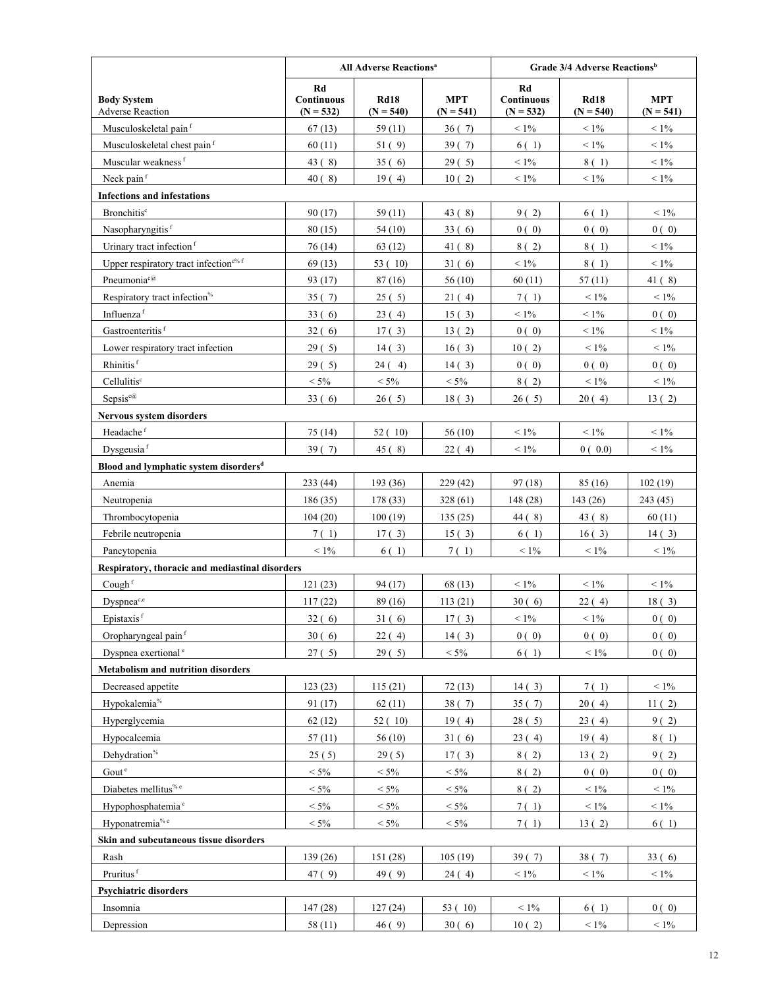|                                                   | <b>All Adverse Reactions<sup>a</sup></b> |                            |                           | Grade 3/4 Adverse Reactions <sup>b</sup> |                            |                           |
|---------------------------------------------------|------------------------------------------|----------------------------|---------------------------|------------------------------------------|----------------------------|---------------------------|
| <b>Body System</b><br><b>Adverse Reaction</b>     | Rd<br>Continuous<br>$(N = 532)$          | <b>Rd18</b><br>$(N = 540)$ | <b>MPT</b><br>$(N = 541)$ | Rd<br>Continuous<br>$(N = 532)$          | <b>Rd18</b><br>$(N = 540)$ | <b>MPT</b><br>$(N = 541)$ |
| Musculoskeletal pain <sup>f</sup>                 | 67(13)                                   | 59 (11)                    | 36(7)                     | $< 1\%$                                  | $< 1\%$                    | $< 1\%$                   |
| Musculoskeletal chest pain <sup>f</sup>           | 60(11)                                   | 51(9)                      | 39(7)                     | 6(1)                                     | $< 1\%$                    | $< 1\%$                   |
| Muscular weakness <sup>f</sup>                    | 43(8)                                    | 35(6)                      | 29(5)                     | $< 1\%$                                  | 8(1)                       | $< 1\%$                   |
| Neck pain <sup>f</sup>                            | 40(8)                                    | 19(4)                      | 10(2)                     | $< 1\%$                                  | $< 1\%$                    | $< 1\%$                   |
| <b>Infections and infestations</b>                |                                          |                            |                           |                                          |                            |                           |
| <b>Bronchitis</b> <sup>c</sup>                    | 90(17)                                   | 59(11)                     | 43(8)                     | 9(2)                                     | 6(1)                       | $< 1\%$                   |
| Nasopharyngitis <sup>f</sup>                      | 80(15)                                   | 54(10)                     | 33(6)                     | 0(0)                                     | 0(0)                       | 0(0)                      |
| Urinary tract infection <sup>f</sup>              | 76 (14)                                  | 63 (12)                    | 41(8)                     | 8(2)                                     | 8 (1)                      | $< 1\%$                   |
| Upper respiratory tract infection <sup>c% f</sup> | 69(13)                                   | 53 (10)                    | 31(6)                     | $< 1\%$                                  | 8(1)                       | $< 1\%$                   |
| Pneumonia <sup>c@</sup>                           | 93 (17)                                  | 87(16)                     | 56(10)                    | 60(11)                                   | 57(11)                     | 41(8)                     |
| Respiratory tract infection <sup>%</sup>          | 35(7)                                    | 25(5)                      | 21(4)                     | 7(1)                                     | $< 1\%$                    | $< 1\%$                   |
| Influenza <sup>f</sup>                            | 33(6)                                    | 23(4)                      | 15(3)                     | $< 1\%$                                  | $< 1\%$                    | 0(0)                      |
| Gastroenteritis <sup>f</sup>                      | 32(6)                                    | 17(3)                      | 13(2)                     | 0(0)                                     | $< 1\%$                    | $< 1\%$                   |
| Lower respiratory tract infection                 | 29(5)                                    | 14(3)                      | 16(3)                     | 10(2)                                    | $< 1\%$                    | $< 1\%$                   |
| Rhinitis <sup>f</sup>                             | 29(5)                                    | 24(4)                      | 14(3)                     | 0(0)                                     | 0(0)                       | 0(0)                      |
| Cellulitis <sup>c</sup>                           | $< 5\%$                                  | $< 5\%$                    | $< 5\%$                   | 8(2)                                     | $< 1\%$                    | $< 1\%$                   |
| Sepsis <sup>c@</sup>                              | 33(6)                                    | 26(5)                      | 18(3)                     | 26(5)                                    | 20(4)                      | 13(2)                     |
| Nervous system disorders                          |                                          |                            |                           |                                          |                            |                           |
| Headache <sup>f</sup>                             | 75 (14)                                  | 52(10)                     | 56(10)                    | $< 1\%$                                  | $< 1\%$                    | $< 1\%$                   |
| Dysgeusia <sup>f</sup>                            | 39(7)                                    | 45 (8)                     | 22(4)                     | $< 1\%$                                  | 0(0.0)                     | $< 1\%$                   |
| Blood and lymphatic system disorders <sup>d</sup> |                                          |                            |                           |                                          |                            |                           |
| Anemia                                            | 233(44)                                  | 193 (36)                   | 229 (42)                  | 97(18)                                   | 85 (16)                    | 102(19)                   |
| Neutropenia                                       | 186(35)                                  | 178 (33)                   | 328 (61)                  | 148 (28)                                 | 143 (26)                   | 243 (45)                  |
| Thrombocytopenia                                  | 104(20)                                  | 100(19)                    | 135(25)                   | 44(8)                                    | 43(8)                      | 60(11)                    |
| Febrile neutropenia                               | 7(1)                                     | 17(3)                      | 15(3)                     | 6(1)                                     | 16(3)                      | 14(3)                     |
| Pancytopenia                                      | $< 1\%$                                  | 6(1)                       | 7(1)                      | $< 1\%$                                  | $< 1\%$                    | $< 1\%$                   |
| Respiratory, thoracic and mediastinal disorders   |                                          |                            |                           |                                          |                            |                           |
| Cough $f$                                         | 121(23)                                  | 94 (17)                    | 68(13)                    | $< 1\%$                                  | $< 1\%$                    | $< 1\%$                   |
| Dyspnea <sup>c,e</sup>                            | 117(22)                                  | 89(16)                     | 113(21)                   | 30(6)                                    | 22(4)                      | 18(3)                     |
| Epistaxis <sup>f</sup>                            | 32(6)                                    | 31(6)                      | 17(3)                     | $<1\%$                                   | $< 1\%$                    | 0(0)                      |
| Oropharyngeal pain <sup>f</sup>                   | 30(6)                                    | 22 (4)                     | 14(3)                     | 0(0)                                     | 0(0)                       | 0(0)                      |
| Dyspnea exertional <sup>e</sup>                   | 27(5)                                    | 29(5)                      | $< 5\%$                   | 6(1)                                     | $< 1\%$                    | 0(0)                      |
| <b>Metabolism and nutrition disorders</b>         |                                          |                            |                           |                                          |                            |                           |
| Decreased appetite                                | 123(23)                                  | 115(21)                    | 72(13)                    | 14(3)                                    | 7(1)                       | $< 1\%$                   |
| Hypokalemia <sup>%</sup>                          | 91(17)                                   | 62(11)                     | 38(7)                     | 35(7)                                    | 20(4)                      | 11(2)                     |
| Hyperglycemia                                     | 62(12)                                   | 52(10)                     | 19(4)                     | 28(5)                                    | 23(4)                      | 9(2)                      |
| Hypocalcemia                                      | 57(11)                                   | 56(10)                     | 31(6)                     | 23(4)                                    | 19(4)                      | 8(1)                      |
| Dehydration <sup>%</sup>                          | 25(5)                                    | 29(5)                      | 17(3)                     | 8(2)                                     | 13(2)                      | 9(2)                      |
| Gout <sup>e</sup>                                 | $< 5\%$                                  | $< 5\%$                    | $< 5\%$                   | 8(2)                                     | 0(0)                       | 0(0)                      |
| Diabetes mellitus <sup>% e</sup>                  | $< 5\%$                                  | $< 5\%$                    | $< 5\%$                   | 8(2)                                     | $< 1\%$                    | $< 1\%$                   |
| Hypophosphatemia <sup>e</sup>                     | $< 5\%$                                  | $< 5\%$                    | $< 5\%$                   | 7(1)                                     | $< 1\%$                    | $< 1\%$                   |
| Hyponatremia <sup>% e</sup>                       | $< 5\%$                                  | $< 5\%$                    | $< 5\%$                   | 7(1)                                     | 13(2)                      | 6(1)                      |
| Skin and subcutaneous tissue disorders            |                                          |                            |                           |                                          |                            |                           |
| Rash                                              | 139 (26)                                 | 151 (28)                   | 105(19)                   | 39(7)                                    | 38(7)                      | 33(6)                     |
| Pruritus <sup>f</sup>                             | 47 (9)                                   | 49(9)                      | 24(4)                     | $< 1\%$                                  | $< 1\%$                    | $< 1\%$                   |
| Psychiatric disorders                             |                                          |                            |                           |                                          |                            |                           |
| Insomnia                                          | 147(28)                                  | 127(24)                    | 53(10)                    | $< 1\%$                                  | 6(1)                       | 0(0)                      |
| Depression                                        | 58 (11)                                  | 46(9)                      | 30(6)                     | 10(2)                                    | $< 1\%$                    | $< 1\%$                   |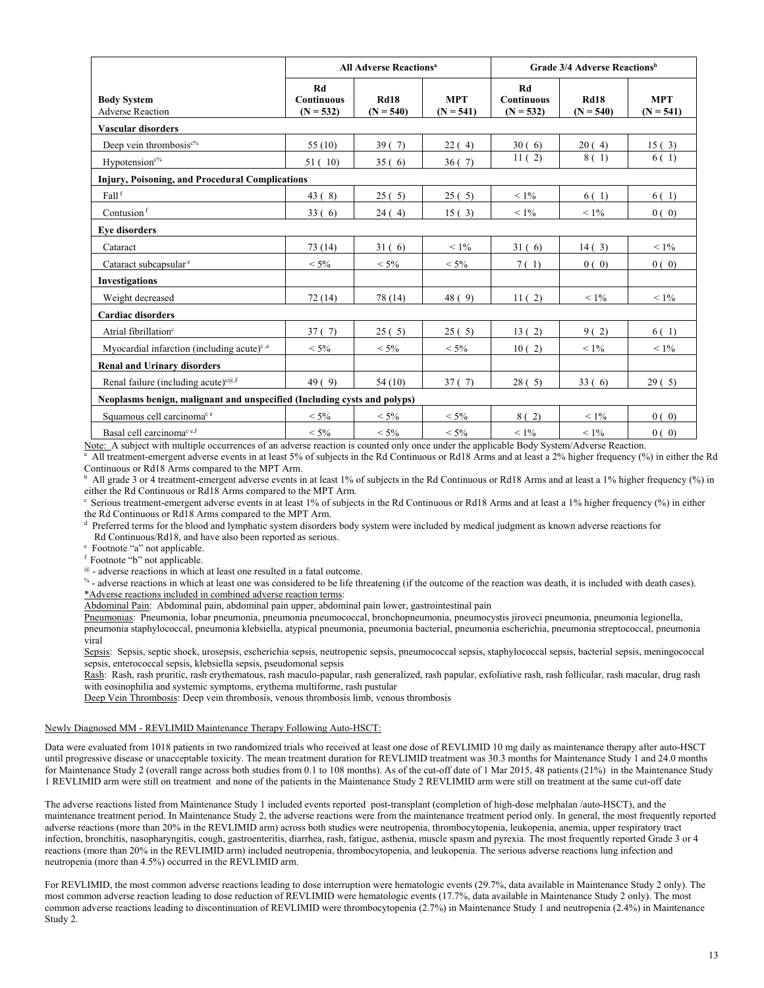|                                                                          | <b>All Adverse Reactions<sup>a</sup></b> |                            |                           | Grade 3/4 Adverse Reactions <sup>b</sup> |                            |                           |  |
|--------------------------------------------------------------------------|------------------------------------------|----------------------------|---------------------------|------------------------------------------|----------------------------|---------------------------|--|
| <b>Body System</b><br><b>Adverse Reaction</b>                            | Rd<br><b>Continuous</b><br>$(N = 532)$   | <b>Rd18</b><br>$(N = 540)$ | <b>MPT</b><br>$(N = 541)$ | Rd<br><b>Continuous</b><br>$(N = 532)$   | <b>Rd18</b><br>$(N = 540)$ | <b>MPT</b><br>$(N = 541)$ |  |
| Vascular disorders                                                       |                                          |                            |                           |                                          |                            |                           |  |
| Deep vein thrombosis <sup>c%</sup>                                       | 55 $(10)$                                | 39(7)                      | 22(4)                     | 30(6)                                    | 20(4)                      | 15(3)                     |  |
| Hypotension <sup>c%</sup>                                                | 51(10)                                   | 35(6)                      | 36(7)                     | 11(2)                                    | 8 (1)                      | 6(1)                      |  |
| Injury, Poisoning, and Procedural Complications                          |                                          |                            |                           |                                          |                            |                           |  |
| Fall <sup>f</sup>                                                        | 43(8)                                    | 25(5)                      | 25(5)                     | $< 1\%$                                  | 6(1)                       | 6(1)                      |  |
| Contusion <sup>f</sup>                                                   | 33(6)                                    | 24(4)                      | 15(3)                     | $< 1\%$                                  | $< 1\%$                    | 0(0)                      |  |
| <b>Eve disorders</b>                                                     |                                          |                            |                           |                                          |                            |                           |  |
| Cataract                                                                 | 73 (14)                                  | 31(6)                      | $< 1\%$                   | 31(6)                                    | 14(3)                      | $< 1\%$                   |  |
| Cataract subcapsular <sup>e</sup>                                        | $< 5\%$                                  | $< 5\%$                    | $< 5\%$                   | 7(1)                                     | 0(0)                       | 0(0)                      |  |
| <b>Investigations</b>                                                    |                                          |                            |                           |                                          |                            |                           |  |
| Weight decreased                                                         | 72(14)                                   | 78 (14)                    | 48(9)                     | 11(2)                                    | $< 1\%$                    | $< 1\%$                   |  |
| <b>Cardiac disorders</b>                                                 |                                          |                            |                           |                                          |                            |                           |  |
| Atrial fibrillation <sup>e</sup>                                         | 37(7)                                    | 25(5)                      | 25(5)                     | 13(2)                                    | 9(2)                       | 6(1)                      |  |
| Myocardial infarction (including acute) <sup><math>c,e</math></sup>      | $< 5\%$                                  | $< 5\%$                    | $< 5\%$                   | 10(2)                                    | $< 1\%$                    | $< 1\%$                   |  |
| <b>Renal and Urinary disorders</b>                                       |                                          |                            |                           |                                          |                            |                           |  |
| Renal failure (including acute) <sup>c@,f</sup>                          | 49(9)                                    | 54(10)                     | 37(7)                     | 28(5)                                    | 33(6)                      | 29(5)                     |  |
| Neoplasms benign, malignant and unspecified (Including cysts and polyps) |                                          |                            |                           |                                          |                            |                           |  |
| Squamous cell carcinomace                                                | $< 5\%$                                  | $< 5\%$                    | $< 5\%$                   | 8(2)                                     | $< 1\%$                    | 0(0)                      |  |
| Basal cell carcinoma <sup>c e,f</sup>                                    | $< 5\%$                                  | $< 5\%$                    | $< 5\%$                   | $< 1\%$                                  | $< 1\%$                    | 0(0)                      |  |

Note: A subject with multiple occurrences of an adverse reaction is counted only once under the applicable Body System/Adverse Reaction.

<sup>a</sup> All treatment-emergent adverse events in at least 5% of subjects in the Rd Continuous or Rd18 Arms and at least a 2% higher frequency (%) in either the Rd Continuous or Rd18 Arms compared to the MPT Arm.

b All grade 3 or 4 treatment-emergent adverse events in at least 1% of subjects in the Rd Continuous or Rd18 Arms and at least a 1% higher frequency (%) in either the Rd Continuous or Rd18 Arms compared to the MPT Arm.

 $\degree$  Serious treatment-emergent adverse events in at least 1% of subjects in the Rd Continuous or Rd18 Arms and at least a 1% higher frequency (%) in either the Rd Continuous or Rd18 Arms compared to the MPT Arm.

<sup>d</sup> Preferred terms for the blood and lymphatic system disorders body system were included by medical judgment as known adverse reactions for Rd Continuous/Rd18, and have also been reported as serious.

e Footnote "a" not applicable.

f Footnote "b" not applicable.<br>  $\circledast$  - adverse reactions in which at least one resulted in a fatal outcome.

% - adverse reactions in which at least one was considered to be life threatening (if the outcome of the reaction was death, it is included with death cases). \*Adverse reactions included in combined adverse reaction terms:

Abdominal Pain: Abdominal pain, abdominal pain upper, abdominal pain lower, gastrointestinal pain

Pneumonias: Pneumonia, lobar pneumonia, pneumonia pneumococcal, bronchopneumonia, pneumocystis jiroveci pneumonia, pneumonia legionella, pneumonia staphylococcal, pneumonia klebsiella, atypical pneumonia, pneumonia bacterial, pneumonia escherichia, pneumonia streptococcal, pneumonia viral

Sepsis: Sepsis, septic shock, urosepsis, escherichia sepsis, neutropenic sepsis, pneumococcal sepsis, staphylococcal sepsis, bacterial sepsis, meningococcal sepsis, enterococcal sepsis, klebsiella sepsis, pseudomonal sepsis

Rash: Rash, rash pruritic, rash erythematous, rash maculo-papular, rash generalized, rash papular, exfoliative rash, rash follicular, rash macular, drug rash with eosinophilia and systemic symptoms, erythema multiforme, rash pustular

Deep Vein Thrombosis: Deep vein thrombosis, venous thrombosis limb, venous thrombosis

## Newly Diagnosed MM - REVLIMID Maintenance Therapy Following Auto-HSCT:

Data were evaluated from 1018 patients in two randomized trials who received at least one dose of REVLIMID 10 mg daily as maintenance therapy after auto-HSCT until progressive disease or unacceptable toxicity. The mean treatment duration for REVLIMID treatment was 30.3 months for Maintenance Study 1 and 24.0 months for Maintenance Study 2 (overall range across both studies from 0.1 to 108 months). As of the cut-off date of 1 Mar 2015, 48 patients (21%) in the Maintenance Study 1 REVLIMID arm were still on treatment and none of the patients in the Maintenance Study 2 REVLIMID arm were still on treatment at the same cut-off date

The adverse reactions listed from Maintenance Study 1 included events reported post-transplant (completion of high-dose melphalan /auto-HSCT), and the maintenance treatment period. In Maintenance Study 2, the adverse reactions were from the maintenance treatment period only. In general, the most frequently reported adverse reactions (more than 20% in the REVLIMID arm) across both studies were neutropenia, thrombocytopenia, leukopenia, anemia, upper respiratory tract infection, bronchitis, nasopharyngitis, cough, gastroenteritis, diarrhea, rash, fatigue, asthenia, muscle spasm and pyrexia. The most frequently reported Grade 3 or 4 reactions (more than 20% in the REVLIMID arm) included neutropenia, thrombocytopenia, and leukopenia. The serious adverse reactions lung infection and neutropenia (more than 4.5%) occurred in the REVLIMID arm.

For REVLIMID, the most common adverse reactions leading to dose interruption were hematologic events (29.7%, data available in Maintenance Study 2 only). The most common adverse reaction leading to dose reduction of REVLIMID were hematologic events (17.7%, data available in Maintenance Study 2 only). The most common adverse reactions leading to discontinuation of REVLIMID were thrombocytopenia (2.7%) in Maintenance Study 1 and neutropenia (2.4%) in Maintenance Study 2.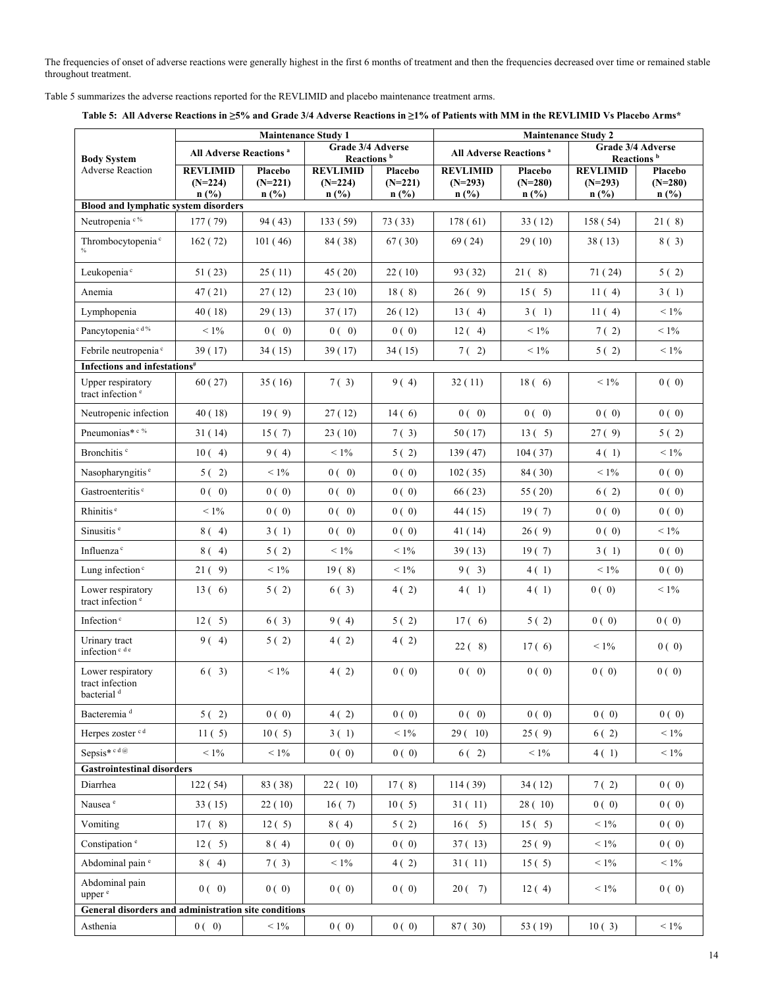The frequencies of onset of adverse reactions were generally highest in the first 6 months of treatment and then the frequencies decreased over time or remained stable throughout treatment.

Table 5 summarizes the adverse reactions reported for the REVLIMID and placebo maintenance treatment arms.

|                                                                | <b>Maintenance Study 1</b>               |                              |                                             | <b>Maintenance Study 2</b>      |                                          |                                 |                                         |                                 |
|----------------------------------------------------------------|------------------------------------------|------------------------------|---------------------------------------------|---------------------------------|------------------------------------------|---------------------------------|-----------------------------------------|---------------------------------|
| <b>Body System</b>                                             | <b>All Adverse Reactions<sup>a</sup></b> |                              | Grade 3/4 Adverse<br>Reactions <sup>b</sup> |                                 | <b>All Adverse Reactions<sup>a</sup></b> |                                 | Reactions <sup>b</sup>                  | Grade 3/4 Adverse               |
| <b>Adverse Reaction</b>                                        | <b>REVLIMID</b><br>$(N=224)$<br>n(%)     | Placebo<br>$(N=221)$<br>n(%) | <b>REVLIMID</b><br>$(N=224)$<br>$n$ (%)     | Placebo<br>$(N=221)$<br>$n$ (%) | <b>REVLIMID</b><br>$(N=293)$<br>$n$ (%)  | Placebo<br>$(N=280)$<br>$n$ (%) | <b>REVLIMID</b><br>$(N=293)$<br>$n$ (%) | Placebo<br>$(N=280)$<br>$n$ (%) |
| <b>Blood and lymphatic system disorders</b>                    |                                          |                              |                                             |                                 |                                          |                                 |                                         |                                 |
| Neutropenia <sup>c%</sup>                                      | 177 (79)                                 | 94 (43)                      | 133(59)                                     | 73(33)                          | 178(61)                                  | 33(12)                          | 158 (54)                                | 21(8)                           |
| Thrombocytopenia <sup>c</sup>                                  | 162 (72)                                 | 101(46)                      | 84 (38)                                     | 67(30)                          | 69 (24)                                  | 29(10)                          | 38(13)                                  | 8(3)                            |
| Leukopenia <sup>c</sup>                                        | 51 (23)                                  | 25(11)                       | 45 (20)                                     | 22(10)                          | 93 (32)                                  | 21(8)                           | 71 (24)                                 | 5(2)                            |
| Anemia                                                         | 47 (21)                                  | 27(12)                       | 23(10)                                      | 18(8)                           | 26(9)                                    | 15(5)                           | 11(4)                                   | 3(1)                            |
| Lymphopenia                                                    | 40 (18)                                  | 29(13)                       | 37(17)                                      | 26(12)                          | 13(4)                                    | 3(1)                            | 11(4)                                   | $< 1\%$                         |
| Pancytopenia <sup>cd%</sup>                                    | $< 1\%$                                  | 0(0)                         | 0(0)                                        | 0(0)                            | 12(4)                                    | $< 1\%$                         | 7(2)                                    | $< 1\%$                         |
| Febrile neutropenia <sup>c</sup>                               | 39(17)                                   | 34(15)                       | 39 (17)                                     | 34 (15)                         | $7(-2)$                                  | $< 1\%$                         | 5(2)                                    | $< 1\%$                         |
| Infections and infestations <sup>#</sup>                       |                                          |                              |                                             |                                 |                                          |                                 |                                         |                                 |
| Upper respiratory<br>tract infection <sup>e</sup>              | 60(27)                                   | 35(16)                       | 7(3)                                        | 9(4)                            | 32(11)                                   | 18(6)                           | $< 1\%$                                 | 0(0)                            |
| Neutropenic infection                                          | 40(18)                                   | 19(9)                        | 27(12)                                      | 14(6)                           | 0(0)                                     | 0(0)                            | 0(0)                                    | 0(0)                            |
| Pneumonias* c %                                                | 31(14)                                   | 15(7)                        | 23(10)                                      | 7(3)                            | 50 (17)                                  | 13(5)                           | 27(9)                                   | 5(2)                            |
| Bronchitis <sup>c</sup>                                        | 10(4)                                    | 9(4)                         | $< 1\%$                                     | 5(2)                            | 139 (47)                                 | 104(37)                         | 4(1)                                    | $< 1\%$                         |
| Nasopharyngitis <sup>e</sup>                                   | 5(2)                                     | $< 1\%$                      | 0(0)                                        | 0(0)                            | 102(35)                                  | 84 (30)                         | $< 1\%$                                 | 0(0)                            |
| Gastroenteritis <sup>c</sup>                                   | 0(0)                                     | 0(0)                         | 0(0)                                        | 0(0)                            | 66(23)                                   | 55 (20)                         | 6(2)                                    | 0(0)                            |
| Rhinitis <sup>e</sup>                                          | $< 1\%$                                  | 0(0)                         | 0(0)                                        | 0(0)                            | 44 (15)                                  | 19(7)                           | 0(0)                                    | 0(0)                            |
| Sinusitis <sup>e</sup>                                         | 8(4)                                     | 3(1)                         | 0(0)                                        | 0(0)                            | 41 (14)                                  | 26(9)                           | 0(0)                                    | $< 1\%$                         |
| Influenza <sup>c</sup>                                         | 8(4)                                     | 5(2)                         | $< 1\%$                                     | $< 1\%$                         | 39 (13)                                  | 19(7)                           | 3(1)                                    | 0(0)                            |
| Lung infection <sup>c</sup>                                    | 21(9)                                    | $<1\%$                       | 19(8)                                       | $< 1\%$                         | 9(3)                                     | 4(1)                            | $< 1\%$                                 | 0(0)                            |
| Lower respiratory<br>tract infection <sup>e</sup>              | 13(6)                                    | 5(2)                         | 6(3)                                        | 4(2)                            | 4(1)                                     | 4(1)                            | 0(0)                                    | $< 1\%$                         |
| Infection <sup>c</sup>                                         | 12(5)                                    | 6(3)                         | 9(4)                                        | 5(2)                            | 17(6)                                    | 5(2)                            | 0(0)                                    | 0(0)                            |
| Urinary tract<br>infection <sup>c de</sup>                     | 9(4)                                     | 5(2)                         | 4(2)                                        | 4(2)                            | 22(8)                                    | 17(6)                           | $< 1\%$                                 | 0(0)                            |
| Lower respiratory<br>tract infection<br>bacterial <sup>d</sup> | $6(-3)$                                  | $< 1\%$                      | 4(2)                                        | 0(0)                            | 0(0)                                     | 0(0)                            | 0(0)                                    | 0(0)                            |
| Bacteremia <sup>d</sup>                                        | 5(2)                                     | 0(0)                         | 4(2)                                        | 0(0)                            | 0(0)                                     | 0(0)                            | 0(0)                                    | 0(0)                            |
| Herpes zoster cd                                               | 11(5)                                    | 10(5)                        | 3(1)                                        | $< 1\%$                         | 29(10)                                   | 25(9)                           | 6(2)                                    | $< 1\%$                         |
| Sepsis* $c d@$                                                 | $<1\%$                                   | $< 1\%$                      | 0(0)                                        | 0(0)                            | 6(2)                                     | $< 1\%$                         | 4(1)                                    | $< 1\%$                         |
| <b>Gastrointestinal disorders</b>                              |                                          |                              |                                             |                                 |                                          |                                 |                                         |                                 |
| Diarrhea                                                       | 122(54)                                  | 83 (38)                      | 22(10)                                      | 17(8)                           | 114(39)                                  | 34(12)                          | 7(2)                                    | 0(0)                            |
| Nausea <sup>e</sup>                                            | 33(15)                                   | 22(10)                       | 16(7)                                       | 10(5)                           | 31(11)                                   | 28(10)                          | 0(0)                                    | 0(0)                            |
| Vomiting                                                       | 17(8)                                    | 12(5)                        | 8(4)                                        | 5(2)                            | $16(-5)$                                 | 15(5)                           | $< 1\%$                                 | 0(0)                            |
| Constipation <sup>e</sup>                                      | 12(5)                                    | 8(4)                         | 0(0)                                        | 0(0)                            | 37(13)                                   | 25(9)                           | $< 1\%$                                 | 0(0)                            |
| Abdominal pain <sup>e</sup>                                    | 8(4)                                     | 7(3)                         | $< 1\%$                                     | 4(2)                            | 31 (11)                                  | 15(5)                           | $< 1\%$                                 | $< 1\%$                         |
| Abdominal pain<br>upper <sup>e</sup>                           | 0(0)                                     | 0(0)                         | 0(0)                                        | 0(0)                            | 20(7)                                    | 12(4)                           | $< 1\%$                                 | 0(0)                            |
| General disorders and administration site conditions           |                                          |                              |                                             |                                 |                                          |                                 |                                         |                                 |
| Asthenia                                                       | 0(0)                                     | $<1\%$                       | 0(0)                                        | 0(0)                            | 87 (30)                                  | 53 (19)                         | 10(3)                                   | $< 1\%$                         |

**Table 5: All Adverse Reactions in ≥5% and Grade 3/4 Adverse Reactions in ≥1% of Patients with MM in the REVLIMID Vs Placebo Arms\***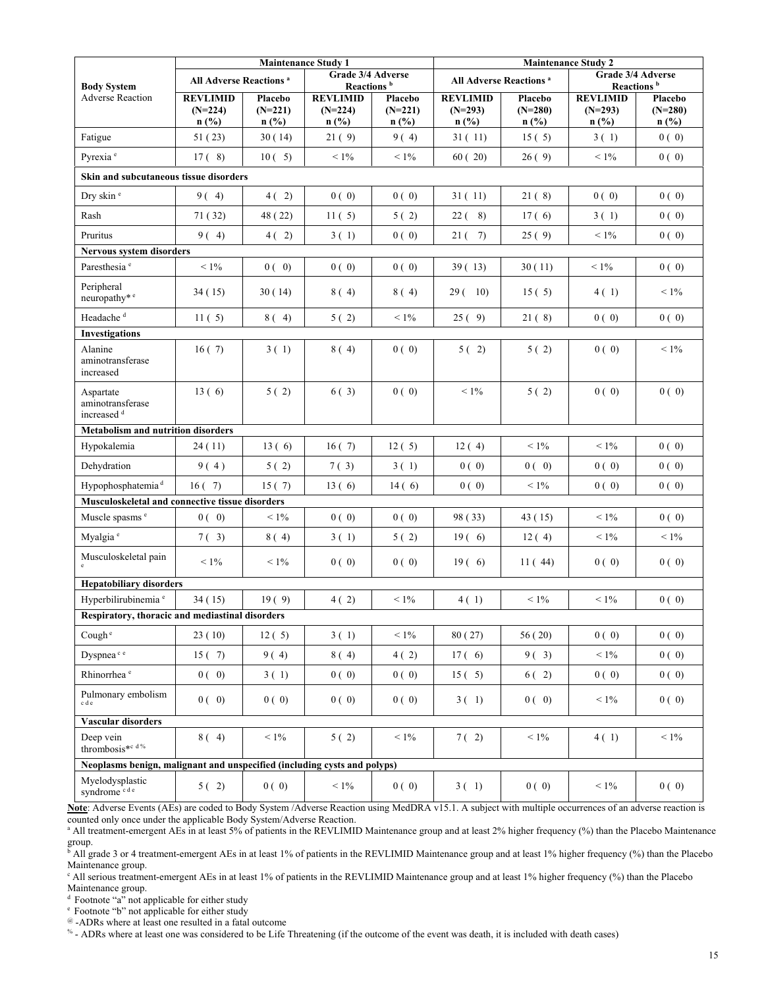|                                                                          | <b>Maintenance Study 1</b>               |                      |                      | <b>Maintenance Study 2</b>                  |                      |                                    |                      |                                             |  |
|--------------------------------------------------------------------------|------------------------------------------|----------------------|----------------------|---------------------------------------------|----------------------|------------------------------------|----------------------|---------------------------------------------|--|
| <b>Body System</b>                                                       | <b>All Adverse Reactions<sup>a</sup></b> |                      |                      | Grade 3/4 Adverse<br>Reactions <sup>b</sup> |                      | All Adverse Reactions <sup>a</sup> |                      | Grade 3/4 Adverse<br>Reactions <sup>b</sup> |  |
| <b>Adverse Reaction</b>                                                  | <b>REVLIMID</b>                          | Placebo              | <b>REVLIMID</b>      | Placebo                                     | <b>REVLIMID</b>      | Placebo                            | <b>REVLIMID</b>      | Placebo                                     |  |
|                                                                          | $(N=224)$<br>n(%)                        | $(N=221)$<br>$n$ (%) | $(N=224)$<br>$n$ (%) | $(N=221)$<br>$n$ (%)                        | $(N=293)$<br>$n$ (%) | $(N=280)$<br>$n$ (%)               | $(N=293)$<br>$n$ (%) | $(N=280)$<br>$n$ (%)                        |  |
| Fatigue                                                                  | 51(23)                                   | 30(14)               | 21(9)                | 9(4)                                        | 31(11)               | 15(5)                              | 3(1)                 | 0(0)                                        |  |
| Pyrexia <sup>e</sup>                                                     | 17(8)                                    | 10(5)                | $< 1\%$              | $< 1\%$                                     | 60(20)               | 26(9)                              | $< 1\%$              | 0(0)                                        |  |
| Skin and subcutaneous tissue disorders                                   |                                          |                      |                      |                                             |                      |                                    |                      |                                             |  |
| Dry skin <sup>e</sup>                                                    | 9(4)                                     | 4(2)                 | 0(0)                 | 0(0)                                        | 31(11)               | 21(8)                              | 0(0)                 | 0(0)                                        |  |
| Rash                                                                     | 71 (32)                                  | 48 (22)              | 11(5)                | 5(2)                                        | $22(-8)$             | 17(6)                              | 3(1)                 | 0(0)                                        |  |
| Pruritus                                                                 | 9(4)                                     | 4(2)                 | 3(1)                 | 0(0)                                        | 21(7)                | 25(9)                              | $< 1\%$              | 0(0)                                        |  |
| <b>Nervous system disorders</b>                                          |                                          |                      |                      |                                             |                      |                                    |                      |                                             |  |
| Paresthesia <sup>e</sup>                                                 | $< 1\%$                                  | 0(0)                 | 0(0)                 | 0(0)                                        | 39(13)               | 30(11)                             | $< 1\%$              | 0(0)                                        |  |
| Peripheral<br>neuropathy* <sup>e</sup>                                   | 34(15)                                   | 30(14)               | 8(4)                 | 8(4)                                        | 29(10)               | 15(5)                              | 4(1)                 | $< 1\%$                                     |  |
| Headache <sup>d</sup>                                                    | 11(5)                                    | 8(4)                 | 5(2)                 | $< 1\%$                                     | 25(9)                | 21(8)                              | 0(0)                 | 0(0)                                        |  |
| <b>Investigations</b>                                                    |                                          |                      |                      |                                             |                      |                                    |                      |                                             |  |
| Alanine<br>aminotransferase<br>increased                                 | 16(7)                                    | 3(1)                 | 8(4)                 | 0(0)                                        | 5(2)                 | 5(2)                               | 0(0)                 | $< 1\%$                                     |  |
| Aspartate<br>aminotransferase<br>increased <sup>d</sup>                  | 13(6)                                    | 5(2)                 | 6(3)                 | 0(0)                                        | $< 1\%$              | 5(2)                               | 0(0)                 | 0(0)                                        |  |
| <b>Metabolism and nutrition disorders</b>                                |                                          |                      |                      |                                             |                      |                                    |                      |                                             |  |
| Hypokalemia                                                              | 24(11)                                   | 13(6)                | 16(7)                | 12(5)                                       | 12(4)                | $< 1\%$                            | $< 1\%$              | 0(0)                                        |  |
| Dehydration                                                              | 9(4)                                     | 5(2)                 | 7(3)                 | 3(1)                                        | 0(0)                 | 0(0)                               | 0(0)                 | 0(0)                                        |  |
| Hypophosphatemia <sup>d</sup>                                            | 16(7)                                    | 15(7)                | 13(6)                | 14(6)                                       | 0(0)                 | $< 1\%$                            | 0(0)                 | 0(0)                                        |  |
| Musculoskeletal and connective tissue disorders                          |                                          |                      |                      |                                             |                      |                                    |                      |                                             |  |
| Muscle spasms <sup>e</sup>                                               | 0(0)                                     | $< 1\%$              | 0(0)                 | 0(0)                                        | 98 (33)              | 43 (15)                            | $< 1\%$              | 0(0)                                        |  |
| Myalgia <sup>e</sup>                                                     | $7(-3)$                                  | 8(4)                 | 3(1)                 | 5(2)                                        | 19(6)                | 12(4)                              | $< 1\%$              | $< 1\%$                                     |  |
| Musculoskeletal pain                                                     | $< 1\%$                                  | $< 1\%$              | 0(0)                 | 0(0)                                        | 19(6)                | 11(44)                             | 0(0)                 | 0(0)                                        |  |
| <b>Hepatobiliary disorders</b>                                           |                                          |                      |                      |                                             |                      |                                    |                      |                                             |  |
| Hyperbilirubinemia <sup>e</sup>                                          | 34(15)                                   | 19(9)                | 4(2)                 | $< 1\%$                                     | 4(1)                 | $< 1\%$                            | $< 1\%$              | 0(0)                                        |  |
| Respiratory, thoracic and mediastinal disorders                          |                                          |                      |                      |                                             |                      |                                    |                      |                                             |  |
| Cough <sup>e</sup>                                                       | 23(10)                                   | 12(5)                | 3(1)                 | $< 1\%$                                     | 80(27)               | 56(20)                             | 0(0)                 | 0(0)                                        |  |
| Dyspnea <sup>ce</sup>                                                    | 15(7)                                    | 9(4)                 | 8(4)                 | 4(2)                                        | 17(6)                | 9(3)                               | $< 1\%$              | 0(0)                                        |  |
| Rhinorrhea <sup>e</sup>                                                  | 0(0)                                     | 3(1)                 | 0(0)                 | 0(0)                                        | 15(5)                | 6(2)                               | 0(0)                 | 0(0)                                        |  |
| Pulmonary embolism<br>cde                                                | 0(0)                                     | 0(0)                 | 0(0)                 | 0(0)                                        | 3(1)                 | 0(0)                               | $< 1\%$              | 0(0)                                        |  |
| Vascular disorders                                                       |                                          |                      |                      |                                             |                      |                                    |                      |                                             |  |
| Deep vein<br>thrombosis*c d%                                             | 8(4)                                     | $< 1\%$              | 5(2)                 | $< 1\%$                                     | $7(-2)$              | $< 1\%$                            | 4(1)                 | $< 1\%$                                     |  |
| Neoplasms benign, malignant and unspecified (including cysts and polyps) |                                          |                      |                      |                                             |                      |                                    |                      |                                             |  |
| Myelodysplastic<br>syndrome <sup>cde</sup>                               | 5(2)                                     | 0(0)                 | $< 1\%$              | 0(0)                                        | 3(1)                 | 0(0)                               | $< 1\%$              | 0(0)                                        |  |

**Note**: Adverse Events (AEs) are coded to Body System /Adverse Reaction using MedDRA v15.1. A subject with multiple occurrences of an adverse reaction is counted only once under the applicable Body System/Adverse Reaction.

<sup>a</sup> All treatment-emergent AEs in at least 5% of patients in the REVLIMID Maintenance group and at least 2% higher frequency (%) than the Placebo Maintenance group.<br><sup>b</sup> All grade 3 or 4 treatment-emergent AEs in at least 1% of patients in the REVLIMID Maintenance group and at least 1% higher frequency (%) than the Placebo

Maintenance group.

<sup>c</sup> All serious treatment-emergent AEs in at least 1% of patients in the REVLIMID Maintenance group and at least 1% higher frequency (%) than the Placebo Maintenance group.

<sup>d</sup> Footnote "a" not applicable for either study

e Footnote "b" not applicable for either study

@ -ADRs where at least one resulted in a fatal outcome

% - ADRs where at least one was considered to be Life Threatening (if the outcome of the event was death, it is included with death cases)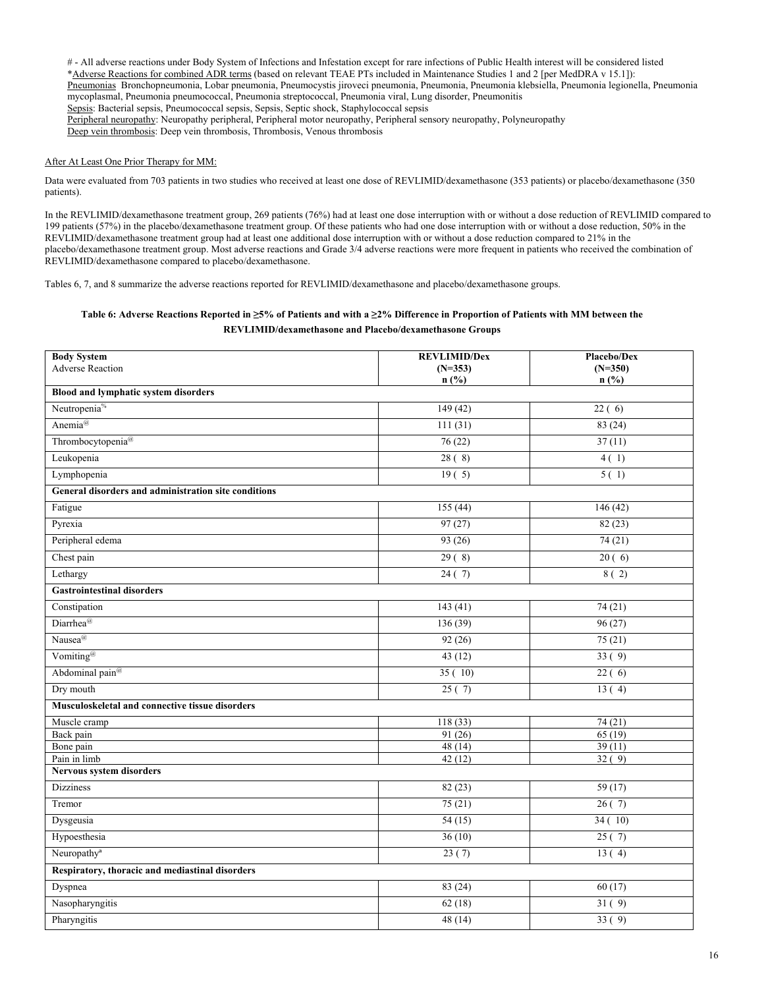# - All adverse reactions under Body System of Infections and Infestation except for rare infections of Public Health interest will be considered listed \*Adverse Reactions for combined ADR terms (based on relevant TEAE PTs included in Maintenance Studies 1 and 2 [per MedDRA v 15.1]): Pneumonias Bronchopneumonia, Lobar pneumonia, Pneumocystis jiroveci pneumonia, Pneumonia, Pneumonia klebsiella, Pneumonia legionella, Pneumonia mycoplasmal, Pneumonia pneumococcal, Pneumonia streptococcal, Pneumonia viral, Lung disorder, Pneumonitis Sepsis: Bacterial sepsis, Pneumococcal sepsis, Sepsis, Septic shock, Staphylococcal sepsis Peripheral neuropathy: Neuropathy peripheral, Peripheral motor neuropathy, Peripheral sensory neuropathy, Polyneuropathy

## Deep vein thrombosis: Deep vein thrombosis, Thrombosis, Venous thrombosis

## After At Least One Prior Therapy for MM:

Data were evaluated from 703 patients in two studies who received at least one dose of REVLIMID/dexamethasone (353 patients) or placebo/dexamethasone (350 patients).

In the REVLIMID/dexamethasone treatment group, 269 patients (76%) had at least one dose interruption with or without a dose reduction of REVLIMID compared to 199 patients (57%) in the placebo/dexamethasone treatment group. Of these patients who had one dose interruption with or without a dose reduction, 50% in the REVLIMID/dexamethasone treatment group had at least one additional dose interruption with or without a dose reduction compared to 21% in the placebo/dexamethasone treatment group. Most adverse reactions and Grade 3/4 adverse reactions were more frequent in patients who received the combination of REVLIMID/dexamethasone compared to placebo/dexamethasone.

Tables 6, 7, and 8 summarize the adverse reactions reported for REVLIMID/dexamethasone and placebo/dexamethasone groups.

## **Table 6: Adverse Reactions Reported in ≥5% of Patients and with a ≥2% Difference in Proportion of Patients with MM between the REVLIMID/dexamethasone and Placebo/dexamethasone Groups**

| <b>Body System</b>                                   | <b>REVLIMID/Dex</b> | Placebo/Dex         |  |  |  |  |
|------------------------------------------------------|---------------------|---------------------|--|--|--|--|
| <b>Adverse Reaction</b>                              | $(N=353)$<br>n(%)   | $(N=350)$<br>n(%)   |  |  |  |  |
| <b>Blood and lymphatic system disorders</b>          |                     |                     |  |  |  |  |
| Neutropenia <sup>%</sup>                             | 149(42)             | $\overline{22(6)}$  |  |  |  |  |
| Anemia@                                              | 111(31)             | 83(24)              |  |  |  |  |
| Thrombocytopenia@                                    | 76(22)              | 37(11)              |  |  |  |  |
| Leukopenia                                           | 28(8)               | 4(1)                |  |  |  |  |
| Lymphopenia                                          | 19(5)               | 5(1)                |  |  |  |  |
| General disorders and administration site conditions |                     |                     |  |  |  |  |
| Fatigue                                              | 155(44)             | 146 (42)            |  |  |  |  |
| Pyrexia                                              | 97(27)              | 82(23)              |  |  |  |  |
| Peripheral edema                                     | $\overline{93(26)}$ | 74(21)              |  |  |  |  |
| Chest pain                                           | 29(8)               | 20(6)               |  |  |  |  |
| Lethargy                                             | 24(7)               | 8(2)                |  |  |  |  |
| <b>Gastrointestinal disorders</b>                    |                     |                     |  |  |  |  |
| Constipation                                         | 143(41)             | 74(21)              |  |  |  |  |
| Diarrhea@                                            | 136(39)             | 96(27)              |  |  |  |  |
| Nausea@                                              | 92(26)              | 75(21)              |  |  |  |  |
| Vomiting <sup>@</sup>                                | 43(12)              | 33(9)               |  |  |  |  |
| Abdominal pain <sup>@</sup>                          | 35(10)              | 22(6)               |  |  |  |  |
| Dry mouth                                            | 25(7)               | 13(4)               |  |  |  |  |
| Musculoskeletal and connective tissue disorders      |                     |                     |  |  |  |  |
| Muscle cramp                                         | 118(33)             | 74 (21)             |  |  |  |  |
| Back pain                                            | 91 (26)             | 65(19)              |  |  |  |  |
| Bone pain                                            | 48(14)              | 39(11)              |  |  |  |  |
| Pain in limb                                         | 42(12)              | 32(9)               |  |  |  |  |
| <b>Nervous system disorders</b>                      |                     |                     |  |  |  |  |
| <b>Dizziness</b>                                     | 82(23)              | 59 (17)             |  |  |  |  |
| Tremor                                               | 75(21)              | $\overline{26}$ (7) |  |  |  |  |
| Dysgeusia                                            | 54(15)              | 34(10)              |  |  |  |  |
| Hypoesthesia                                         | 36(10)              | 25(7)               |  |  |  |  |
| Neuropathy <sup>a</sup>                              | 23(7)               | 13(4)               |  |  |  |  |
| Respiratory, thoracic and mediastinal disorders      |                     |                     |  |  |  |  |
| Dyspnea                                              | 83(24)              | 60(17)              |  |  |  |  |
| Nasopharyngitis                                      | 62(18)              | 31(9)               |  |  |  |  |
| Pharyngitis                                          | 48 (14)             | 33(9)               |  |  |  |  |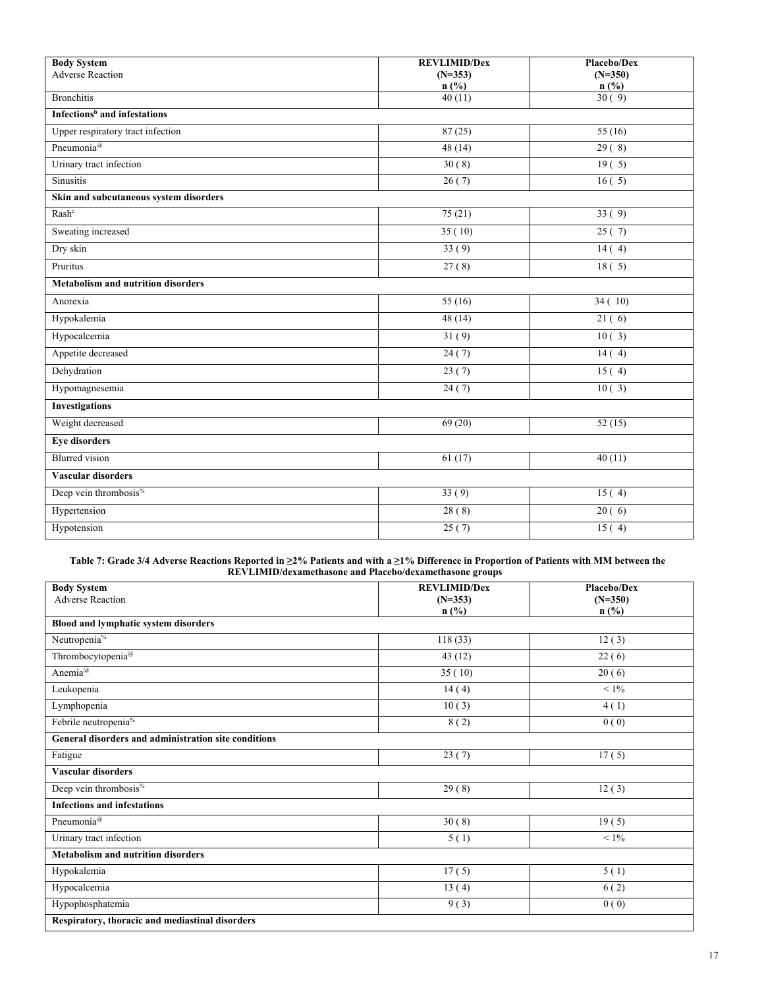| <b>Body System</b><br><b>Adverse Reaction</b> | <b>REVLIMID/Dex</b><br>$(N=353)$ | Placebo/Dex<br>$(N=350)$ |
|-----------------------------------------------|----------------------------------|--------------------------|
|                                               | $n$ (%)                          | $n$ (%)                  |
| <b>Bronchitis</b>                             | 40(11)                           | 30(9)                    |
| Infections <sup>b</sup> and infestations      |                                  |                          |
| Upper respiratory tract infection             | 87(25)                           | 55(16)                   |
| Pneumonia <sup>@</sup>                        | 48(14)                           | $\overline{29(8)}$       |
| Urinary tract infection                       | 30(8)                            | 19(5)                    |
| <b>Sinusitis</b>                              | 26(7)                            | 16(5)                    |
| Skin and subcutaneous system disorders        |                                  |                          |
| Rash <sup>c</sup>                             | 75 (21)                          | 33(9)                    |
| Sweating increased                            | 35(10)                           | 25(7)                    |
| Dry skin                                      | 33(9)                            | 14(4)                    |
| Pruritus                                      | 27(8)                            | 18(5)                    |
| <b>Metabolism and nutrition disorders</b>     |                                  |                          |
| Anorexia                                      | 55 (16)                          | 34(10)                   |
| Hypokalemia                                   | 48(14)                           | 21(6)                    |
| Hypocalcemia                                  | 31(9)                            | 10(3)                    |
| Appetite decreased                            | 24(7)                            | 14(4)                    |
| Dehydration                                   | 23(7)                            | 15(4)                    |
| Hypomagnesemia                                | 24(7)                            | 10(3)                    |
| <b>Investigations</b>                         |                                  |                          |
| Weight decreased                              | 69 (20)                          | 52(15)                   |
| <b>Eye disorders</b>                          |                                  |                          |
| <b>Blurred</b> vision                         | 61(17)                           | 40(11)                   |
| <b>Vascular disorders</b>                     |                                  |                          |
| Deep vein thrombosis <sup>%</sup>             | 33(9)                            | 15(4)                    |
| Hypertension                                  | 28(8)                            | 20(6)                    |
| Hypotension                                   | 25(7)                            | 15(4)                    |

#### **Table 7: Grade 3/4 Adverse Reactions Reported in ≥2% Patients and with a ≥1% Difference in Proportion of Patients with MM between the REVLIMID/dexamethasone and Placebo/dexamethasone groups**

| <b>Body System</b>                                   | <b>REVLIMID/Dex</b> | Placebo/Dex |
|------------------------------------------------------|---------------------|-------------|
| <b>Adverse Reaction</b>                              | $(N=353)$           | $(N=350)$   |
|                                                      | $n$ (%)             | $n$ (%)     |
| Blood and lymphatic system disorders                 |                     |             |
| Neutropenia <sup>%</sup>                             | 118(33)             | 12(3)       |
| Thrombocytopenia <sup>@</sup>                        | 43(12)              | 22(6)       |
| Anemia <sup>@</sup>                                  | 35(10)              | 20(6)       |
| Leukopenia                                           | 14(4)               | $< 1\%$     |
| Lymphopenia                                          | 10(3)               | 4(1)        |
| Febrile neutropenia <sup>%</sup>                     | $\overline{8(2)}$   | 0(0)        |
| General disorders and administration site conditions |                     |             |
| Fatigue                                              | 23(7)               | 17(5)       |
| <b>Vascular disorders</b>                            |                     |             |
| Deep vein thrombosis <sup>%</sup>                    | 29(8)               | 12(3)       |
| <b>Infections and infestations</b>                   |                     |             |
| Pneumonia <sup>@</sup>                               | 30(8)               | 19(5)       |
| Urinary tract infection                              | 5(1)                | $< 1\%$     |
| Metabolism and nutrition disorders                   |                     |             |
| Hypokalemia                                          | 17(5)               | 5(1)        |
| Hypocalcemia                                         | 13(4)               | 6(2)        |
| Hypophosphatemia                                     | 9(3)                | 0(0)        |
| Respiratory, thoracic and mediastinal disorders      |                     |             |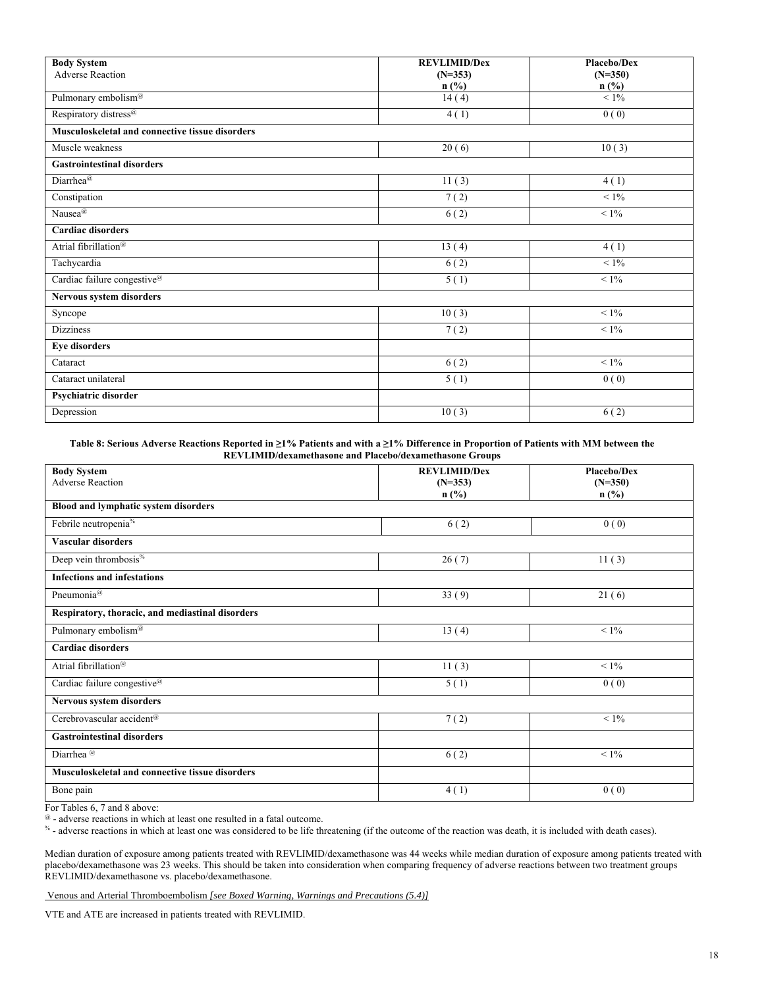| <b>Body System</b>                              | <b>REVLIMID/Dex</b> | Placebo/Dex          |
|-------------------------------------------------|---------------------|----------------------|
| <b>Adverse Reaction</b>                         | $(N=353)$<br>n(%)   | $(N=350)$<br>$n$ (%) |
| Pulmonary embolism <sup>@</sup>                 | 14(4)               | $<1\%$               |
| Respiratory distress <sup>@</sup>               | 4(1)                | 0(0)                 |
| Musculoskeletal and connective tissue disorders |                     |                      |
| Muscle weakness                                 | 20(6)               | 10(3)                |
| <b>Gastrointestinal disorders</b>               |                     |                      |
| Diarrhea@                                       | 11(3)               | 4(1)                 |
| Constipation                                    | 7(2)                | $< 1\%$              |
| Nausea <sup>@</sup>                             | 6(2)                | $< 1\%$              |
| <b>Cardiac disorders</b>                        |                     |                      |
| Atrial fibrillation <sup>@</sup>                | 13(4)               | 4(1)                 |
| Tachycardia                                     | 6(2)                | $< 1\%$              |
| Cardiac failure congestive <sup>@</sup>         | 5(1)                | $< 1\%$              |
| Nervous system disorders                        |                     |                      |
| Syncope                                         | 10(3)               | $<1\%$               |
| <b>Dizziness</b>                                | 7(2)                | $< 1\%$              |
| <b>Eye disorders</b>                            |                     |                      |
| Cataract                                        | 6(2)                | $< 1\%$              |
| Cataract unilateral                             | 5(1)                | 0(0)                 |
| Psychiatric disorder                            |                     |                      |
| Depression                                      | 10(3)               | 6(2)                 |

**Table 8: Serious Adverse Reactions Reported in ≥1% Patients and with a ≥1% Difference in Proportion of Patients with MM between the REVLIMID/dexamethasone and Placebo/dexamethasone Groups** 

| <b>Body System</b>                               | <b>REVLIMID/Dex</b> | <b>Placebo/Dex</b> |
|--------------------------------------------------|---------------------|--------------------|
| <b>Adverse Reaction</b>                          | $(N=353)$           | $(N=350)$          |
|                                                  | $n$ (%)             | $n$ (%)            |
| Blood and lymphatic system disorders             |                     |                    |
| Febrile neutropenia <sup>%</sup>                 | 6(2)                | 0(0)               |
| <b>Vascular disorders</b>                        |                     |                    |
| Deep vein thrombosis <sup>%</sup>                | 26(7)               | 11(3)              |
| <b>Infections and infestations</b>               |                     |                    |
| Pneumonia <sup>@</sup>                           | 33(9)               | 21(6)              |
| Respiratory, thoracic, and mediastinal disorders |                     |                    |
| Pulmonary embolism <sup>@</sup>                  | 13(4)               | $< 1\%$            |
| <b>Cardiac disorders</b>                         |                     |                    |
| Atrial fibrillation <sup>@</sup>                 | 11(3)               | $< 1\%$            |
| Cardiac failure congestive <sup>@</sup>          | 5(1)                | 0(0)               |
| Nervous system disorders                         |                     |                    |
| Cerebrovascular accident <sup>@</sup>            | 7(2)                | $< 1\%$            |
| <b>Gastrointestinal disorders</b>                |                     |                    |
| Diarrhea <sup>@</sup>                            | 6(2)                | $< 1\%$            |
| Musculoskeletal and connective tissue disorders  |                     |                    |
| Bone pain                                        | 4(1)                | 0(0)               |

For Tables 6, 7 and 8 above:

 $\degree$  - adverse reactions in which at least one resulted in a fatal outcome.<br><sup>%</sup> - adverse reactions in which at least one was considered to be life threatening (if the outcome of the reaction was death, it is included wit

Median duration of exposure among patients treated with REVLIMID/dexamethasone was 44 weeks while median duration of exposure among patients treated with placebo/dexamethasone was 23 weeks. This should be taken into consideration when comparing frequency of adverse reactions between two treatment groups REVLIMID/dexamethasone vs. placebo/dexamethasone.

Venous and Arterial Thromboembolism *[see Boxed Warning, Warnings and Precautions (5.4)]* 

VTE and ATE are increased in patients treated with REVLIMID.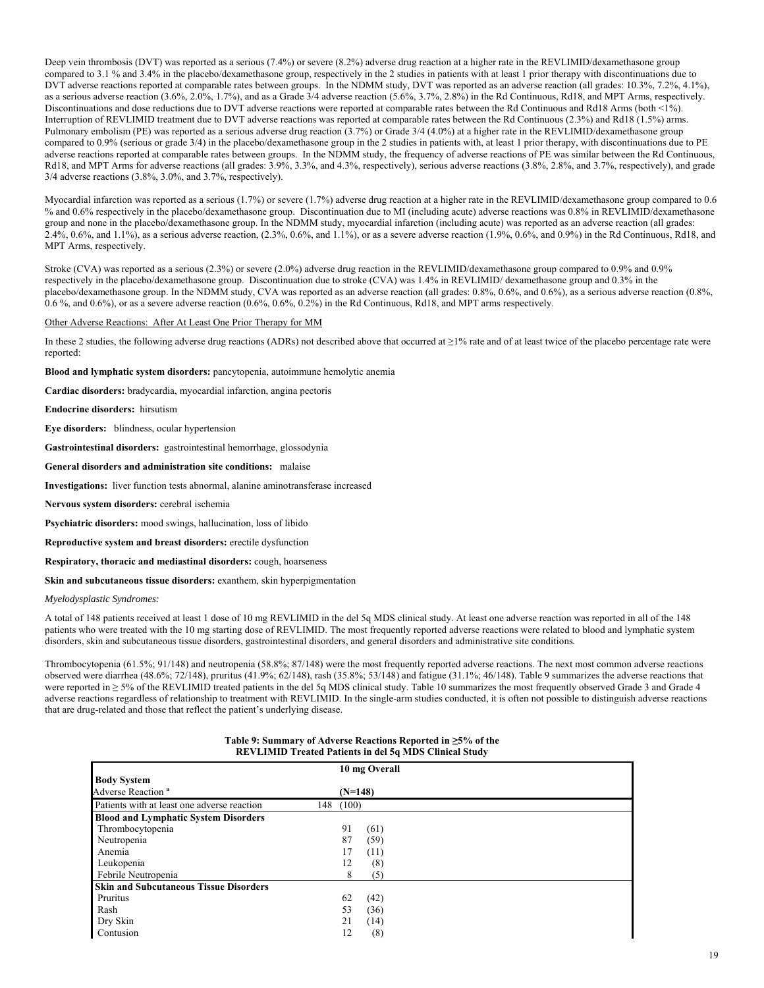Deep vein thrombosis (DVT) was reported as a serious (7.4%) or severe (8.2%) adverse drug reaction at a higher rate in the REVLIMID/dexamethasone group compared to 3.1 % and 3.4% in the placebo/dexamethasone group, respectively in the 2 studies in patients with at least 1 prior therapy with discontinuations due to DVT adverse reactions reported at comparable rates between groups. In the NDMM study, DVT was reported as an adverse reaction (all grades: 10.3%, 7.2%, 4.1%), as a serious adverse reaction (3.6%, 2.0%, 1.7%), and as a Grade 3/4 adverse reaction (5.6%, 3.7%, 2.8%) in the Rd Continuous, Rd18, and MPT Arms, respectively. Discontinuations and dose reductions due to DVT adverse reactions were reported at comparable rates between the Rd Continuous and Rd18 Arms (both <1%). Interruption of REVLIMID treatment due to DVT adverse reactions was reported at comparable rates between the Rd Continuous (2.3%) and Rd18 (1.5%) arms. Pulmonary embolism (PE) was reported as a serious adverse drug reaction (3.7%) or Grade 3/4 (4.0%) at a higher rate in the REVLIMID/dexamethasone group compared to 0.9% (serious or grade 3/4) in the placebo/dexamethasone group in the 2 studies in patients with, at least 1 prior therapy, with discontinuations due to PE adverse reactions reported at comparable rates between groups. In the NDMM study, the frequency of adverse reactions of PE was similar between the Rd Continuous, Rd18, and MPT Arms for adverse reactions (all grades: 3.9%, 3.3%, and 4.3%, respectively), serious adverse reactions (3.8%, 2.8%, and 3.7%, respectively), and grade 3/4 adverse reactions (3.8%, 3.0%, and 3.7%, respectively).

Myocardial infarction was reported as a serious (1.7%) or severe (1.7%) adverse drug reaction at a higher rate in the REVLIMID/dexamethasone group compared to 0.6 % and 0.6% respectively in the placebo/dexamethasone group. Discontinuation due to MI (including acute) adverse reactions was 0.8% in REVLIMID/dexamethasone group and none in the placebo/dexamethasone group. In the NDMM study, myocardial infarction (including acute) was reported as an adverse reaction (all grades: 2.4%, 0.6%, and 1.1%), as a serious adverse reaction, (2.3%, 0.6%, and 1.1%), or as a severe adverse reaction (1.9%, 0.6%, and 0.9%) in the Rd Continuous, Rd18, and MPT Arms, respectively.

Stroke (CVA) was reported as a serious (2.3%) or severe (2.0%) adverse drug reaction in the REVLIMID/dexamethasone group compared to 0.9% and 0.9% respectively in the placebo/dexamethasone group. Discontinuation due to stroke (CVA) was 1.4% in REVLIMID/ dexamethasone group and 0.3% in the placebo/dexamethasone group. In the NDMM study, CVA was reported as an adverse reaction (all grades: 0.8%, 0.6%, and 0.6%), as a serious adverse reaction (0.8%, 0.6 %, and 0.6%), or as a severe adverse reaction (0.6%, 0.6%, 0.2%) in the Rd Continuous, Rd18, and MPT arms respectively.

#### Other Adverse Reactions: After At Least One Prior Therapy for MM

In these 2 studies, the following adverse drug reactions (ADRs) not described above that occurred at ≥1% rate and of at least twice of the placebo percentage rate were reported:

**Blood and lymphatic system disorders:** pancytopenia, autoimmune hemolytic anemia

**Cardiac disorders:** bradycardia, myocardial infarction, angina pectoris

**Endocrine disorders:** hirsutism

**Eye disorders:** blindness, ocular hypertension

**Gastrointestinal disorders:** gastrointestinal hemorrhage, glossodynia

#### **General disorders and administration site conditions:** malaise

**Investigations:** liver function tests abnormal, alanine aminotransferase increased

**Nervous system disorders:** cerebral ischemia

**Psychiatric disorders:** mood swings, hallucination, loss of libido

**Reproductive system and breast disorders:** erectile dysfunction

**Respiratory, thoracic and mediastinal disorders:** cough, hoarseness

**Skin and subcutaneous tissue disorders:** exanthem, skin hyperpigmentation

*Myelodysplastic Syndromes:*

A total of 148 patients received at least 1 dose of 10 mg REVLIMID in the del 5q MDS clinical study. At least one adverse reaction was reported in all of the 148 patients who were treated with the 10 mg starting dose of REVLIMID. The most frequently reported adverse reactions were related to blood and lymphatic system disorders, skin and subcutaneous tissue disorders, gastrointestinal disorders, and general disorders and administrative site conditions*.* 

Thrombocytopenia (61.5%; 91/148) and neutropenia (58.8%; 87/148) were the most frequently reported adverse reactions. The next most common adverse reactions observed were diarrhea (48.6%; 72/148), pruritus (41.9%; 62/148), rash (35.8%; 53/148) and fatigue (31.1%; 46/148). Table 9 summarizes the adverse reactions that were reported in ≥ 5% of the REVLIMID treated patients in the del 5q MDS clinical study. Table 10 summarizes the most frequently observed Grade 3 and Grade 4 adverse reactions regardless of relationship to treatment with REVLIMID. In the single-arm studies conducted, it is often not possible to distinguish adverse reactions that are drug-related and those that reflect the patient's underlying disease.

## **Table 9: Summary of Adverse Reactions Reported in ≥5% of the REVLIMID Treated Patients in del 5q MDS Clinical Study**

|                                               | 10 mg Overall |
|-----------------------------------------------|---------------|
| <b>Body System</b>                            |               |
| Adverse Reaction <sup>a</sup>                 | $(N=148)$     |
| Patients with at least one adverse reaction   | (100)<br>148  |
| <b>Blood and Lymphatic System Disorders</b>   |               |
| Thrombocytopenia                              | 91<br>(61)    |
| Neutropenia                                   | 87<br>(59)    |
| Anemia                                        | 17<br>(11)    |
| Leukopenia                                    | 12<br>(8)     |
| Febrile Neutropenia                           | (5)<br>8      |
| <b>Skin and Subcutaneous Tissue Disorders</b> |               |
| Pruritus                                      | 62<br>(42)    |
| Rash                                          | 53<br>(36)    |
| Dry Skin                                      | 21<br>(14)    |
| Contusion                                     | 12<br>(8)     |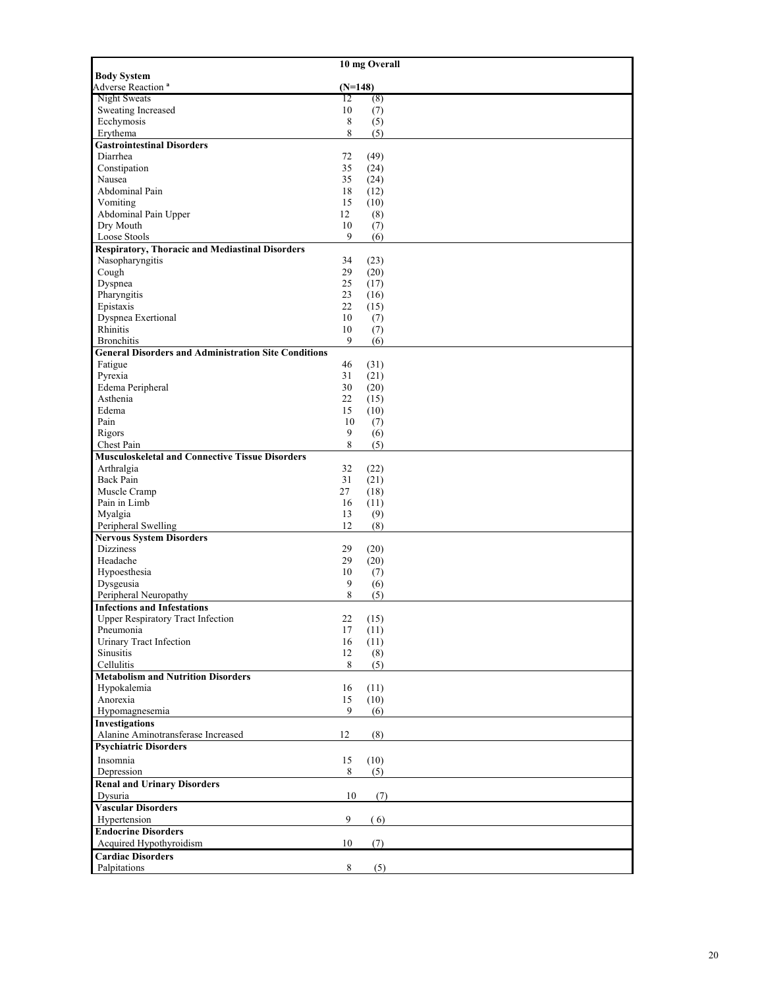|                                                             |                | 10 mg Overall |
|-------------------------------------------------------------|----------------|---------------|
| <b>Body System</b>                                          |                |               |
| Adverse Reaction <sup>a</sup>                               | $(N=148)$      |               |
| Night Sweats                                                | 12             | (8)           |
| Sweating Increased                                          | 10             | (7)           |
| Ecchymosis                                                  | 8              | (5)           |
| Erythema                                                    | 8              | (5)           |
| <b>Gastrointestinal Disorders</b>                           |                |               |
| Diarrhea                                                    | 72             | (49)          |
| Constipation<br>Nausea                                      | 35<br>35       | (24)<br>(24)  |
| Abdominal Pain                                              | 18             | (12)          |
| Vomiting                                                    | 15             | (10)          |
| Abdominal Pain Upper                                        | 12             | (8)           |
| Dry Mouth                                                   | 10             | (7)           |
| Loose Stools                                                | 9              | (6)           |
| <b>Respiratory, Thoracic and Mediastinal Disorders</b>      |                |               |
| Nasopharyngitis                                             | 34             | (23)          |
| Cough                                                       | 29             | (20)          |
| Dyspnea                                                     | 25             | (17)          |
| Pharyngitis                                                 | 23             | (16)          |
| Epistaxis                                                   | 22             | (15)          |
| <b>Dyspnea Exertional</b>                                   | 10             | (7)           |
| Rhinitis                                                    | 10             | (7)           |
| <b>Bronchitis</b>                                           | 9              | (6)           |
| <b>General Disorders and Administration Site Conditions</b> |                |               |
| Fatigue                                                     | 46             | (31)          |
| Pyrexia                                                     | 31             | (21)          |
| Edema Peripheral                                            | 30             | (20)          |
| Asthenia                                                    | 22             | (15)          |
| Edema                                                       | 15             | (10)          |
| Pain<br>Rigors                                              | 10<br>9        | (7)           |
| Chest Pain                                                  | 8              | (6)<br>(5)    |
| <b>Musculoskeletal and Connective Tissue Disorders</b>      |                |               |
| Arthralgia                                                  | 32             | (22)          |
| Back Pain                                                   | 31             | (21)          |
| Muscle Cramp                                                | 27             | (18)          |
| Pain in Limb                                                | 16             | (11)          |
| Myalgia                                                     | 13             | (9)           |
| Peripheral Swelling                                         | 12             | (8)           |
| <b>Nervous System Disorders</b>                             |                |               |
| <b>Dizziness</b>                                            | 29             | (20)          |
| Headache                                                    | 29             | (20)          |
| Hypoesthesia                                                | 10             | (7)           |
| Dysgeusia                                                   | 9              | (6)           |
| Peripheral Neuropathy                                       | 8              | (5)           |
| <b>Infections and Infestations</b>                          |                |               |
| <b>Upper Respiratory Tract Infection</b>                    | 22             | (15)          |
| Pneumonia                                                   | 17             | (11)          |
| <b>Urinary Tract Infection</b>                              | 16             | (11)          |
| Sinusitis                                                   | 12             | (8)           |
| Cellulitis                                                  | 8              | (5)           |
| <b>Metabolism and Nutrition Disorders</b><br>Hypokalemia    | 16             | (11)          |
| Anorexia                                                    | 15             | (10)          |
| Hypomagnesemia                                              | 9              | (6)           |
| <b>Investigations</b>                                       |                |               |
| Alanine Aminotransferase Increased                          | 12             | (8)           |
| <b>Psychiatric Disorders</b>                                |                |               |
| Insomnia                                                    | 15             | (10)          |
| Depression                                                  | $8\phantom{.}$ | (5)           |
| <b>Renal and Urinary Disorders</b>                          |                |               |
| Dysuria                                                     | 10             | (7)           |
| <b>Vascular Disorders</b>                                   |                |               |
| Hypertension                                                | 9              | (6)           |
| <b>Endocrine Disorders</b>                                  |                |               |
| Acquired Hypothyroidism                                     | 10             | (7)           |
| <b>Cardiac Disorders</b>                                    |                |               |
| Palpitations                                                | 8              | (5)           |
|                                                             |                |               |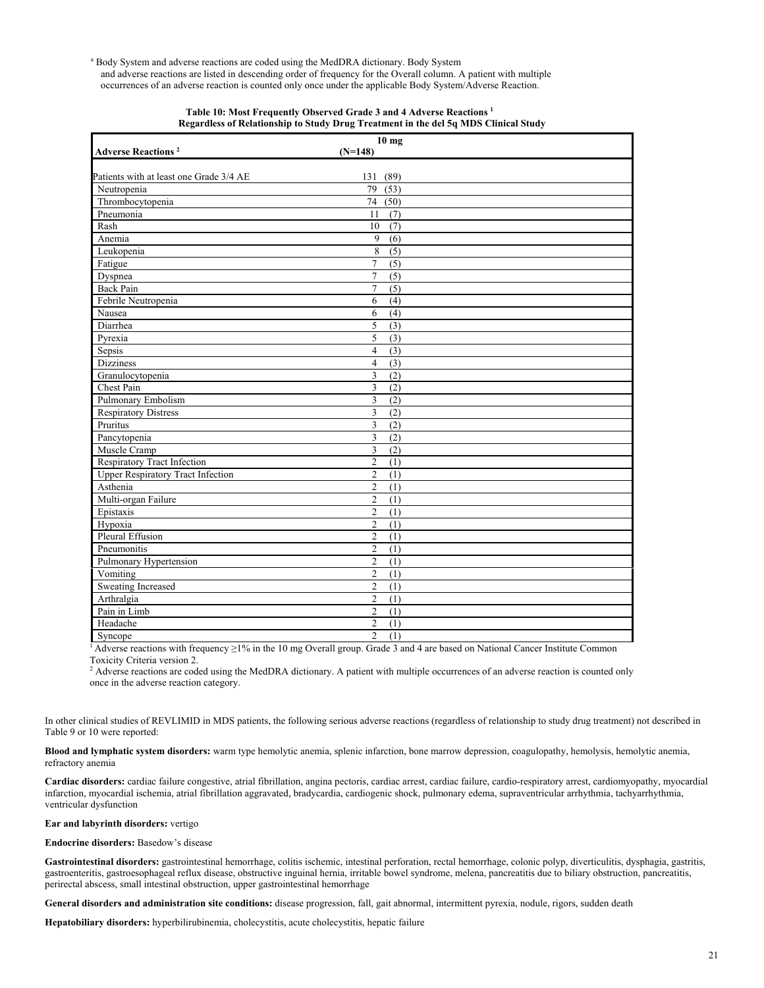<sup>a</sup> Body System and adverse reactions are coded using the MedDRA dictionary. Body System and adverse reactions are listed in descending order of frequency for the Overall column. A patient with multiple occurrences of an adverse reaction is counted only once under the applicable Body System/Adverse Reaction.

|                                          | 10 <sub>mg</sub>                   |  |
|------------------------------------------|------------------------------------|--|
| <b>Adverse Reactions<sup>2</sup></b>     | $(N=148)$                          |  |
|                                          |                                    |  |
| Patients with at least one Grade 3/4 AE  | (89)<br>131                        |  |
| Neutropenia                              | 79<br>(53)                         |  |
| Thrombocytopenia                         | 74<br>(50)                         |  |
| Pneumonia                                | 11<br>(7)                          |  |
| Rash                                     | 10<br>(7)                          |  |
| Anemia                                   | 9<br>(6)                           |  |
| Leukopenia                               | 8<br>(5)                           |  |
| Fatigue                                  | $\overline{7}$<br>(5)              |  |
| Dyspnea                                  | 7<br>(5)                           |  |
| <b>Back Pain</b>                         | $\overline{7}$<br>(5)              |  |
| Febrile Neutropenia                      | 6<br>(4)                           |  |
| Nausea                                   | 6<br>(4)                           |  |
| Diarrhea                                 | 5<br>(3)                           |  |
| Pyrexia                                  | 5<br>(3)                           |  |
| Sepsis                                   | $\overline{4}$<br>(3)              |  |
| <b>Dizziness</b>                         | $\overline{4}$<br>(3)              |  |
| Granulocytopenia                         | $\overline{\mathbf{3}}$<br>(2)     |  |
| Chest Pain                               | 3<br>(2)                           |  |
| Pulmonary Embolism                       | $\overline{3}$<br>(2)              |  |
| <b>Respiratory Distress</b>              | 3<br>(2)                           |  |
| Pruritus                                 | $\overline{\mathbf{3}}$<br>(2)     |  |
| Pancytopenia                             | $\overline{3}$<br>(2)              |  |
| Muscle Cramp                             | 3<br>(2)                           |  |
| <b>Respiratory Tract Infection</b>       | $\overline{2}$<br>$\overline{(1)}$ |  |
| <b>Upper Respiratory Tract Infection</b> | $\overline{c}$<br>(1)              |  |
| Asthenia                                 | $\overline{2}$<br>(1)              |  |
| Multi-organ Failure                      | $\overline{c}$<br>(1)              |  |
| Epistaxis                                | $\overline{2}$<br>$\overline{(1)}$ |  |
| Hypoxia                                  | $\overline{c}$<br>(1)              |  |
| Pleural Effusion                         | $\overline{2}$<br>(1)              |  |
| Pneumonitis                              | $\mathfrak{2}$<br>(1)              |  |
| Pulmonary Hypertension                   | $\overline{2}$<br>(1)              |  |
| Vomiting                                 | $\overline{2}$<br>(1)              |  |
| <b>Sweating Increased</b>                | $\overline{c}$<br>(1)              |  |
| Arthralgia                               | $\overline{c}$<br>(1)              |  |
| Pain in Limb                             | $\overline{c}$<br>(1)              |  |
| Headache                                 | $\overline{c}$<br>(1)              |  |
| Syncope                                  | $\overline{2}$<br>(1)              |  |

#### **Table 10: Most Frequently Observed Grade 3 and 4 Adverse Reactions 1 Regardless of Relationship to Study Drug Treatment in the del 5q MDS Clinical Study**

<sup>1</sup> Adverse reactions with frequency  $\geq$ 1% in the 10 mg Overall group. Grade 3 and 4 are based on National Cancer Institute Common Toxicity Criteria version 2.

<sup>2</sup> Adverse reactions are coded using the MedDRA dictionary. A patient with multiple occurrences of an adverse reaction is counted only once in the adverse reaction category.

In other clinical studies of REVLIMID in MDS patients, the following serious adverse reactions (regardless of relationship to study drug treatment) not described in Table 9 or 10 were reported:

**Blood and lymphatic system disorders:** warm type hemolytic anemia, splenic infarction, bone marrow depression, coagulopathy, hemolysis, hemolytic anemia, refractory anemia

**Cardiac disorders:** cardiac failure congestive, atrial fibrillation, angina pectoris, cardiac arrest, cardiac failure, cardio-respiratory arrest, cardiomyopathy, myocardial infarction, myocardial ischemia, atrial fibrillation aggravated, bradycardia, cardiogenic shock, pulmonary edema, supraventricular arrhythmia, tachyarrhythmia, ventricular dysfunction

## **Ear and labyrinth disorders:** vertigo

**Endocrine disorders:** Basedow's disease

**Gastrointestinal disorders:** gastrointestinal hemorrhage, colitis ischemic, intestinal perforation, rectal hemorrhage, colonic polyp, diverticulitis, dysphagia, gastritis, gastroenteritis, gastroesophageal reflux disease, obstructive inguinal hernia, irritable bowel syndrome, melena, pancreatitis due to biliary obstruction, pancreatitis, perirectal abscess, small intestinal obstruction, upper gastrointestinal hemorrhage

**General disorders and administration site conditions:** disease progression, fall, gait abnormal, intermittent pyrexia, nodule, rigors, sudden death

**Hepatobiliary disorders:** hyperbilirubinemia, cholecystitis, acute cholecystitis, hepatic failure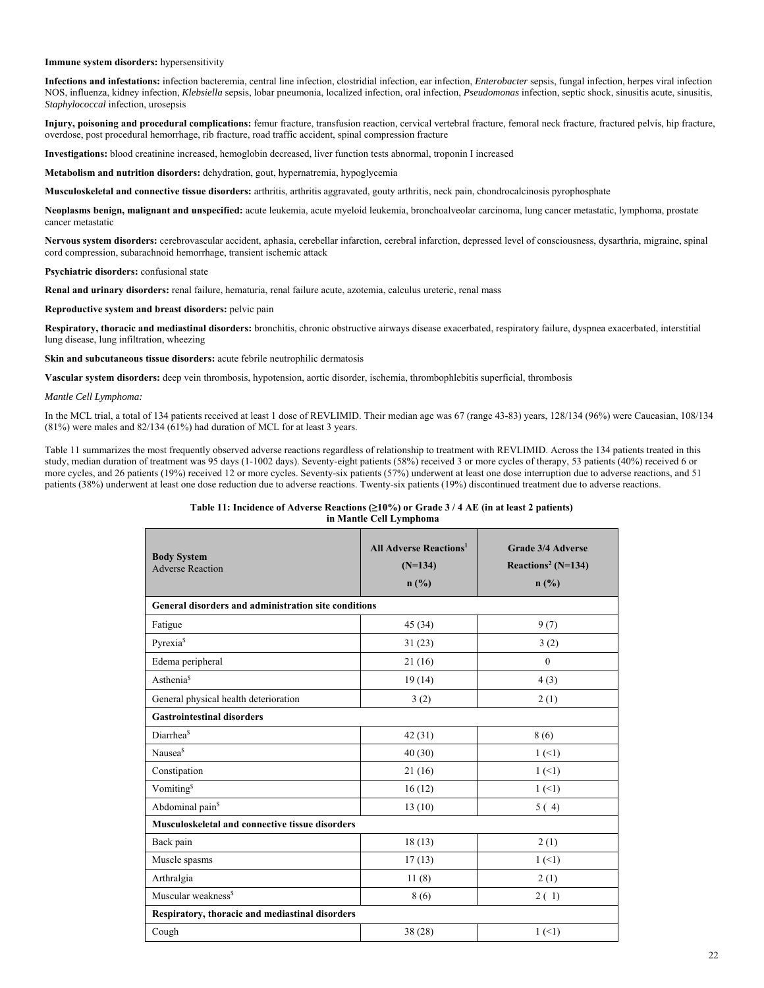#### **Immune system disorders:** hypersensitivity

**Infections and infestations:** infection bacteremia, central line infection, clostridial infection, ear infection, *Enterobacter* sepsis, fungal infection, herpes viral infection NOS, influenza, kidney infection, *Klebsiella* sepsis, lobar pneumonia, localized infection, oral infection, *Pseudomonas* infection, septic shock, sinusitis acute, sinusitis, *Staphylococcal* infection, urosepsis

**Injury, poisoning and procedural complications:** femur fracture, transfusion reaction, cervical vertebral fracture, femoral neck fracture, fractured pelvis, hip fracture, overdose, post procedural hemorrhage, rib fracture, road traffic accident, spinal compression fracture

**Investigations:** blood creatinine increased, hemoglobin decreased, liver function tests abnormal, troponin I increased

**Metabolism and nutrition disorders:** dehydration, gout, hypernatremia, hypoglycemia

**Musculoskeletal and connective tissue disorders:** arthritis, arthritis aggravated, gouty arthritis, neck pain, chondrocalcinosis pyrophosphate

**Neoplasms benign, malignant and unspecified:** acute leukemia, acute myeloid leukemia, bronchoalveolar carcinoma, lung cancer metastatic, lymphoma, prostate cancer metastatic

**Nervous system disorders:** cerebrovascular accident, aphasia, cerebellar infarction, cerebral infarction, depressed level of consciousness, dysarthria, migraine, spinal cord compression, subarachnoid hemorrhage, transient ischemic attack

**Psychiatric disorders:** confusional state

**Renal and urinary disorders:** renal failure, hematuria, renal failure acute, azotemia, calculus ureteric, renal mass

**Reproductive system and breast disorders:** pelvic pain

**Respiratory, thoracic and mediastinal disorders:** bronchitis, chronic obstructive airways disease exacerbated, respiratory failure, dyspnea exacerbated, interstitial lung disease, lung infiltration, wheezing

**Skin and subcutaneous tissue disorders:** acute febrile neutrophilic dermatosis

**Vascular system disorders:** deep vein thrombosis, hypotension, aortic disorder, ischemia, thrombophlebitis superficial, thrombosis

#### *Mantle Cell Lymphoma:*

In the MCL trial, a total of 134 patients received at least 1 dose of REVLIMID. Their median age was 67 (range 43-83) years, 128/134 (96%) were Caucasian, 108/134 (81%) were males and 82/134 (61%) had duration of MCL for at least 3 years.

Table 11 summarizes the most frequently observed adverse reactions regardless of relationship to treatment with REVLIMID. Across the 134 patients treated in this study, median duration of treatment was 95 days (1-1002 days). Seventy-eight patients (58%) received 3 or more cycles of therapy, 53 patients (40%) received 6 or more cycles, and 26 patients (19%) received 12 or more cycles. Seventy-six patients (57%) underwent at least one dose interruption due to adverse reactions, and 51 patients (38%) underwent at least one dose reduction due to adverse reactions. Twenty-six patients (19%) discontinued treatment due to adverse reactions.

#### **Table 11: Incidence of Adverse Reactions (≥10%) or Grade 3 / 4 AE (in at least 2 patients) in Mantle Cell Lymphoma**

| <b>Body System</b><br><b>Adverse Reaction</b>        | <b>All Adverse Reactions<sup>1</sup></b><br>$(N=134)$<br>$n$ (%) | Grade 3/4 Adverse<br>Reactions <sup>2</sup> (N=134)<br>n(%) |  |  |  |  |
|------------------------------------------------------|------------------------------------------------------------------|-------------------------------------------------------------|--|--|--|--|
| General disorders and administration site conditions |                                                                  |                                                             |  |  |  |  |
| Fatigue                                              | 45(34)                                                           | 9(7)                                                        |  |  |  |  |
| Pyrexia <sup>§</sup>                                 | 31(23)                                                           | 3(2)                                                        |  |  |  |  |
| Edema peripheral                                     | 21(16)                                                           | $\mathbf{0}$                                                |  |  |  |  |
| Asthenia <sup>§</sup>                                | 19(14)                                                           | 4(3)                                                        |  |  |  |  |
| General physical health deterioration                | 3(2)                                                             | 2(1)                                                        |  |  |  |  |
| <b>Gastrointestinal disorders</b>                    |                                                                  |                                                             |  |  |  |  |
| Diarrhea <sup>§</sup>                                | 42(31)                                                           | 8(6)                                                        |  |  |  |  |
| Nausea <sup>\$</sup>                                 | 40(30)                                                           | 1(1)                                                        |  |  |  |  |
| Constipation                                         | 21(16)                                                           | 1(1)                                                        |  |  |  |  |
| Vomiting <sup>\$</sup>                               | 16(12)                                                           | $1(\leq 1)$                                                 |  |  |  |  |
| Abdominal pain <sup>§</sup>                          | 13(10)                                                           | 5(4)                                                        |  |  |  |  |
| Musculoskeletal and connective tissue disorders      |                                                                  |                                                             |  |  |  |  |
| Back pain                                            | 18(13)                                                           | 2(1)                                                        |  |  |  |  |
| Muscle spasms                                        | 17(13)                                                           | 1(1)                                                        |  |  |  |  |
| Arthralgia                                           | 11(8)                                                            | 2(1)                                                        |  |  |  |  |
| Muscular weakness <sup>\$</sup>                      | 8 (6)                                                            | 2(1)                                                        |  |  |  |  |
| Respiratory, thoracic and mediastinal disorders      |                                                                  |                                                             |  |  |  |  |
| Cough                                                | 38(28)                                                           | $1(-1)$                                                     |  |  |  |  |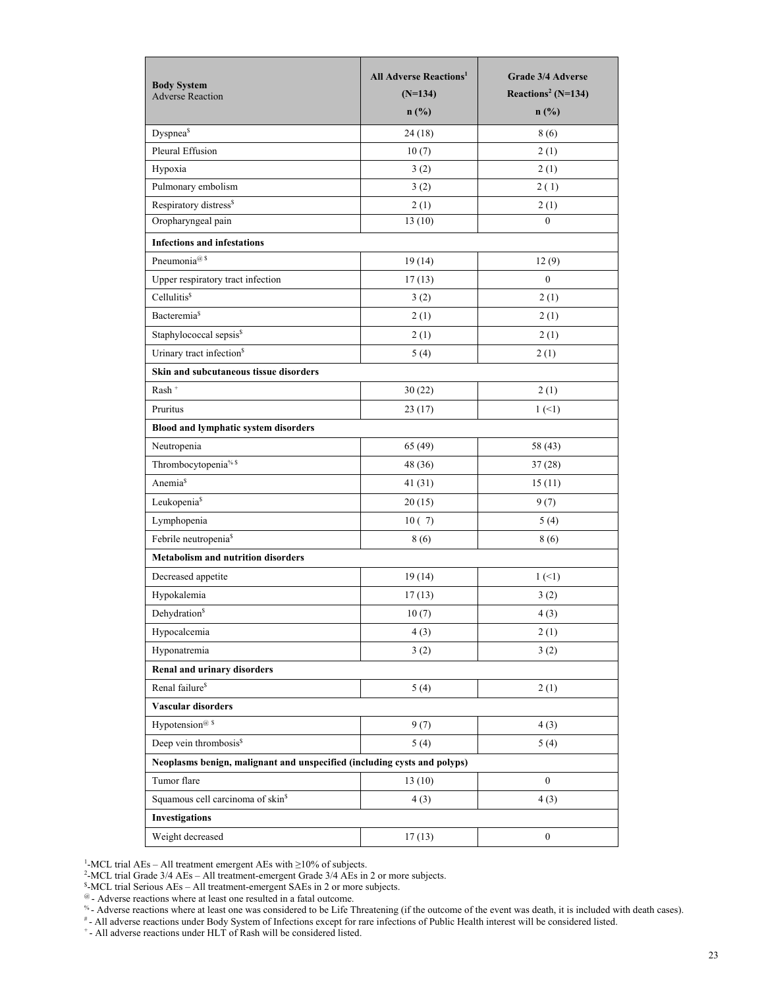| <b>Body System</b><br><b>Adverse Reaction</b>                            | <b>All Adverse Reactions<sup>1</sup></b><br>$(N=134)$<br>$n$ (%) | Grade 3/4 Adverse<br>Reactions <sup>2</sup> (N=134)<br>$n$ (%) |
|--------------------------------------------------------------------------|------------------------------------------------------------------|----------------------------------------------------------------|
| Dyspnea <sup>§</sup>                                                     | 24(18)                                                           | 8(6)                                                           |
| Pleural Effusion                                                         | 10(7)                                                            | 2(1)                                                           |
| Hypoxia                                                                  | 3(2)                                                             | 2(1)                                                           |
| Pulmonary embolism                                                       | 3(2)                                                             | 2(1)                                                           |
| Respiratory distress <sup>\$</sup>                                       | 2(1)                                                             | 2(1)                                                           |
| Oropharyngeal pain                                                       | 13(10)                                                           | $\mathbf{0}$                                                   |
| <b>Infections and infestations</b>                                       |                                                                  |                                                                |
| Pneumonia <sup>@\$</sup>                                                 | 19(14)                                                           | 12(9)                                                          |
| Upper respiratory tract infection                                        | 17(13)                                                           | $\boldsymbol{0}$                                               |
| Cellulitis <sup>\$</sup>                                                 | 3(2)                                                             | 2(1)                                                           |
| Bacteremia <sup>§</sup>                                                  | 2(1)                                                             | 2(1)                                                           |
| Staphylococcal sepsis <sup>\$</sup>                                      | 2(1)                                                             | 2(1)                                                           |
| Urinary tract infection <sup>\$</sup>                                    | 5(4)                                                             | 2(1)                                                           |
| Skin and subcutaneous tissue disorders                                   |                                                                  |                                                                |
| $\ensuremath{\mathsf{Rash}}\xspace$ $^+$                                 | 30(22)                                                           | 2(1)                                                           |
| Pruritus                                                                 | 23(17)                                                           | 1(1)                                                           |
| Blood and lymphatic system disorders                                     |                                                                  |                                                                |
| Neutropenia                                                              | 65(49)                                                           | 58 (43)                                                        |
| Thrombocytopenia <sup>% \$</sup>                                         | 48 (36)                                                          | 37(28)                                                         |
| Anemia <sup>§</sup>                                                      | 41 (31)                                                          | 15(11)                                                         |
| Leukopenia <sup>§</sup>                                                  | 20(15)                                                           | 9(7)                                                           |
| Lymphopenia                                                              | 10(7)                                                            | 5(4)                                                           |
| Febrile neutropenia <sup>§</sup>                                         | 8 (6)                                                            | 8(6)                                                           |
| <b>Metabolism and nutrition disorders</b>                                |                                                                  |                                                                |
| Decreased appetite                                                       | 19(14)                                                           | $1(-1)$                                                        |
| Hypokalemia                                                              | 17(13)                                                           | 3(2)                                                           |
| Dehydration <sup>§</sup>                                                 | 10(7)                                                            | 4(3)                                                           |
| Hypocalcemia                                                             | 4(3)                                                             | 2(1)                                                           |
| Hyponatremia                                                             | 3(2)                                                             | 3(2)                                                           |
| Renal and urinary disorders                                              |                                                                  |                                                                |
| Renal failure <sup>\$</sup>                                              | 5(4)                                                             | 2(1)                                                           |
| Vascular disorders                                                       |                                                                  |                                                                |
| Hypotension <sup>@ \$</sup>                                              | 9(7)                                                             | 4(3)                                                           |
| Deep vein thrombosis <sup>\$</sup>                                       | 5(4)                                                             | 5(4)                                                           |
| Neoplasms benign, malignant and unspecified (including cysts and polyps) |                                                                  |                                                                |
| Tumor flare                                                              | 13(10)                                                           | $\boldsymbol{0}$                                               |
| Squamous cell carcinoma of skin <sup>§</sup>                             | 4(3)                                                             | 4(3)                                                           |
| <b>Investigations</b>                                                    |                                                                  |                                                                |
| Weight decreased                                                         | 17(13)                                                           | $\boldsymbol{0}$                                               |

<sup>1</sup>-MCL trial AEs – All treatment emergent AEs with  $\geq$ 10% of subjects.

<sup>2</sup>-MCL trial Grade 3/4 AEs – All treatment-emergent Grade 3/4 AEs in 2 or more subjects.

\$ -MCL trial Serious AEs – All treatment-emergent SAEs in 2 or more subjects.

 $^{\omega}$  - Adverse reactions where at least one resulted in a fatal outcome.

<sup>%</sup> - Adverse reactions where at least one was considered to be Life Threatening (if the outcome of the event was death, it is included with death cases).

# - All adverse reactions under Body System of Infections except for rare infections of Public Health interest will be considered listed.

+ - All adverse reactions under HLT of Rash will be considered listed.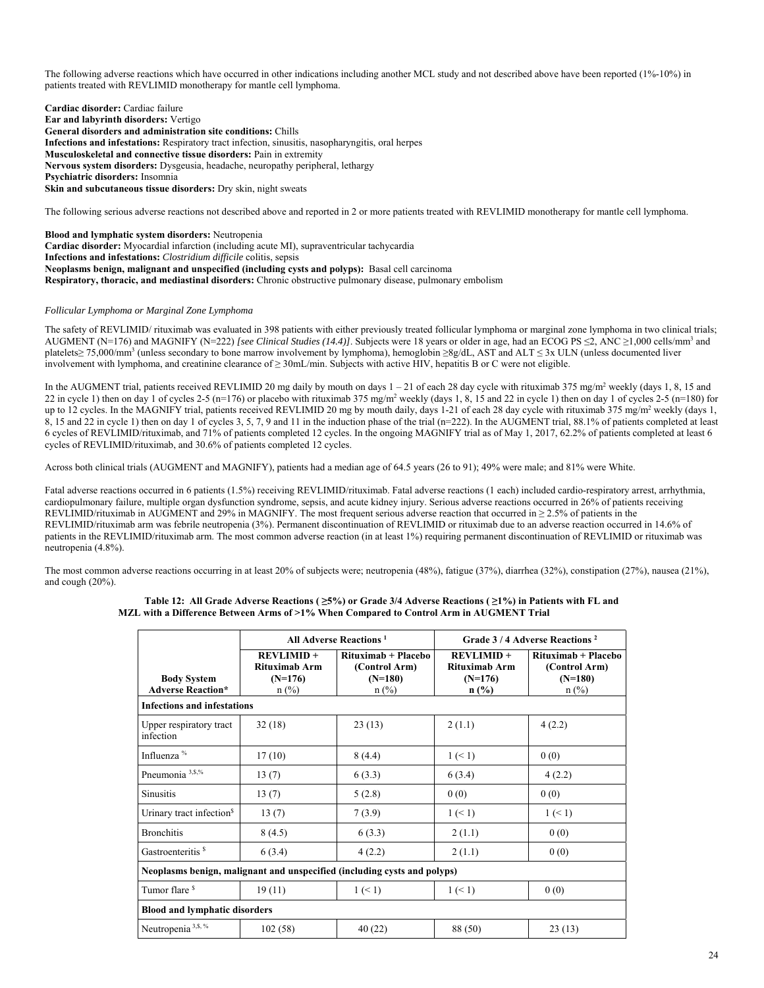The following adverse reactions which have occurred in other indications including another MCL study and not described above have been reported (1%-10%) in patients treated with REVLIMID monotherapy for mantle cell lymphoma.

**Cardiac disorder:** Cardiac failure **Ear and labyrinth disorders:** Vertigo **General disorders and administration site conditions:** Chills **Infections and infestations:** Respiratory tract infection, sinusitis, nasopharyngitis, oral herpes **Musculoskeletal and connective tissue disorders:** Pain in extremity **Nervous system disorders:** Dysgeusia, headache, neuropathy peripheral, lethargy **Psychiatric disorders:** Insomnia **Skin and subcutaneous tissue disorders:** Dry skin, night sweats

The following serious adverse reactions not described above and reported in 2 or more patients treated with REVLIMID monotherapy for mantle cell lymphoma.

**Blood and lymphatic system disorders:** Neutropenia **Cardiac disorder:** Myocardial infarction (including acute MI), supraventricular tachycardia **Infections and infestations:** *Clostridium difficile* colitis, sepsis **Neoplasms benign, malignant and unspecified (including cysts and polyps):** Basal cell carcinoma **Respiratory, thoracic, and mediastinal disorders:** Chronic obstructive pulmonary disease, pulmonary embolism

## *Follicular Lymphoma or Marginal Zone Lymphoma*

The safety of REVLIMID/ rituximab was evaluated in 398 patients with either previously treated follicular lymphoma or marginal zone lymphoma in two clinical trials; AUGMENT (N=176) and MAGNIFY (N=222) [see Clinical Studies (14.4)]. Subjects were 18 years or older in age, had an ECOG PS  $\leq$ 2, ANC  $\geq$ 1,000 cells/mm<sup>3</sup> and platelets≥ 75,000/mm<sup>3</sup> (unless secondary to bone marrow involvement by lymphoma), hemoglobin ≥8g/dL, AST and ALT ≤ 3x ULN (unless documented liver involvement with lymphoma, and creatinine clearance of ≥ 30mL/min. Subjects with active HIV, hepatitis B or C were not eligible.

In the AUGMENT trial, patients received REVLIMID 20 mg daily by mouth on days  $1 - 21$  of each 28 day cycle with rituximab 375 mg/m<sup>2</sup> weekly (days 1, 8, 15 and 22 in cycle 1) then on day 1 of cycles 2-5 (n=176) or placebo with rituximab 375 mg/m<sup>2</sup> weekly (days 1, 8, 15 and 22 in cycle 1) then on day 1 of cycles 2-5 (n=180) for up to 12 cycles. In the MAGNIFY trial, patients received REVLIMID 20 mg by mouth daily, days 1-21 of each 28 day cycle with rituximab 375 mg/m<sup>2</sup> weekly (days 1, 8, 15 and 22 in cycle 1) then on day 1 of cycles 3, 5, 7, 9 and 11 in the induction phase of the trial (n=222). In the AUGMENT trial, 88.1% of patients completed at least 6 cycles of REVLIMID/rituximab, and 71% of patients completed 12 cycles. In the ongoing MAGNIFY trial as of May 1, 2017, 62.2% of patients completed at least 6 cycles of REVLIMID/rituximab, and 30.6% of patients completed 12 cycles.

Across both clinical trials (AUGMENT and MAGNIFY), patients had a median age of 64.5 years (26 to 91); 49% were male; and 81% were White.

Fatal adverse reactions occurred in 6 patients (1.5%) receiving REVLIMID/rituximab. Fatal adverse reactions (1 each) included cardio-respiratory arrest, arrhythmia, cardiopulmonary failure, multiple organ dysfunction syndrome, sepsis, and acute kidney injury. Serious adverse reactions occurred in 26% of patients receiving REVLIMID/rituximab in AUGMENT and 29% in MAGNIFY. The most frequent serious adverse reaction that occurred in  $\geq$  2.5% of patients in the REVLIMID/rituximab arm was febrile neutropenia (3%). Permanent discontinuation of REVLIMID or rituximab due to an adverse reaction occurred in 14.6% of patients in the REVLIMID/rituximab arm. The most common adverse reaction (in at least 1%) requiring permanent discontinuation of REVLIMID or rituximab was neutropenia (4.8%).

The most common adverse reactions occurring in at least 20% of subjects were; neutropenia (48%), fatigue (37%), diarrhea (32%), constipation (27%), nausea (21%), and cough (20%).

|                                                                          | <b>All Adverse Reactions</b> <sup>1</sup>             |                                                              | Grade 3/4 Adverse Reactions <sup>2</sup>              |                                                              |  |
|--------------------------------------------------------------------------|-------------------------------------------------------|--------------------------------------------------------------|-------------------------------------------------------|--------------------------------------------------------------|--|
| <b>Body System</b><br><b>Adverse Reaction*</b>                           | $REVLIMID +$<br>Rituximab Arm<br>$(N=176)$<br>$n$ (%) | Rituximab + Placebo<br>(Control Arm)<br>$(N=180)$<br>$n$ (%) | $REVLIMID +$<br>Rituximab Arm<br>$(N=176)$<br>$n$ (%) | Rituximab + Placebo<br>(Control Arm)<br>$(N=180)$<br>$n$ (%) |  |
| <b>Infections and infestations</b>                                       |                                                       |                                                              |                                                       |                                                              |  |
| Upper respiratory tract<br>infection                                     | 32(18)                                                | 23(13)                                                       | 2(1.1)                                                | 4(2.2)                                                       |  |
| Influenza <sup>%</sup>                                                   | 17(10)                                                | 8(4.4)                                                       | 1 (< 1)                                               | 0(0)                                                         |  |
| Pneumonia <sup>3,\$,%</sup>                                              | 13(7)                                                 | 6(3.3)                                                       | 6(3.4)                                                | 4(2.2)                                                       |  |
| <b>Sinusitis</b>                                                         | 13(7)                                                 | 5(2.8)                                                       | 0(0)                                                  | 0(0)                                                         |  |
| Urinary tract infection <sup>§</sup>                                     | 13(7)                                                 | 7(3.9)                                                       | $1 \le 1$                                             | $1 \leq 1$                                                   |  |
| <b>Bronchitis</b>                                                        | 8(4.5)                                                | 6(3.3)                                                       | 2(1.1)                                                | 0(0)                                                         |  |
| Gastroenteritis <sup>\$</sup>                                            | 6(3.4)                                                | 4(2.2)                                                       | 2(1.1)                                                | 0(0)                                                         |  |
| Neoplasms benign, malignant and unspecified (including cysts and polyps) |                                                       |                                                              |                                                       |                                                              |  |
| Tumor flare <sup>\$</sup>                                                | 19(11)                                                | 1 (< 1)                                                      | 1 (< 1)                                               | 0(0)                                                         |  |
| <b>Blood and lymphatic disorders</b>                                     |                                                       |                                                              |                                                       |                                                              |  |
| Neutropenia <sup>3, \$, %</sup>                                          | 102(58)                                               | 40(22)                                                       | 88 (50)                                               | 23(13)                                                       |  |

#### **Table 12: All Grade Adverse Reactions ( ≥5%) or Grade 3/4 Adverse Reactions ( ≥1%) in Patients with FL and MZL with a Difference Between Arms of >1% When Compared to Control Arm in AUGMENT Trial**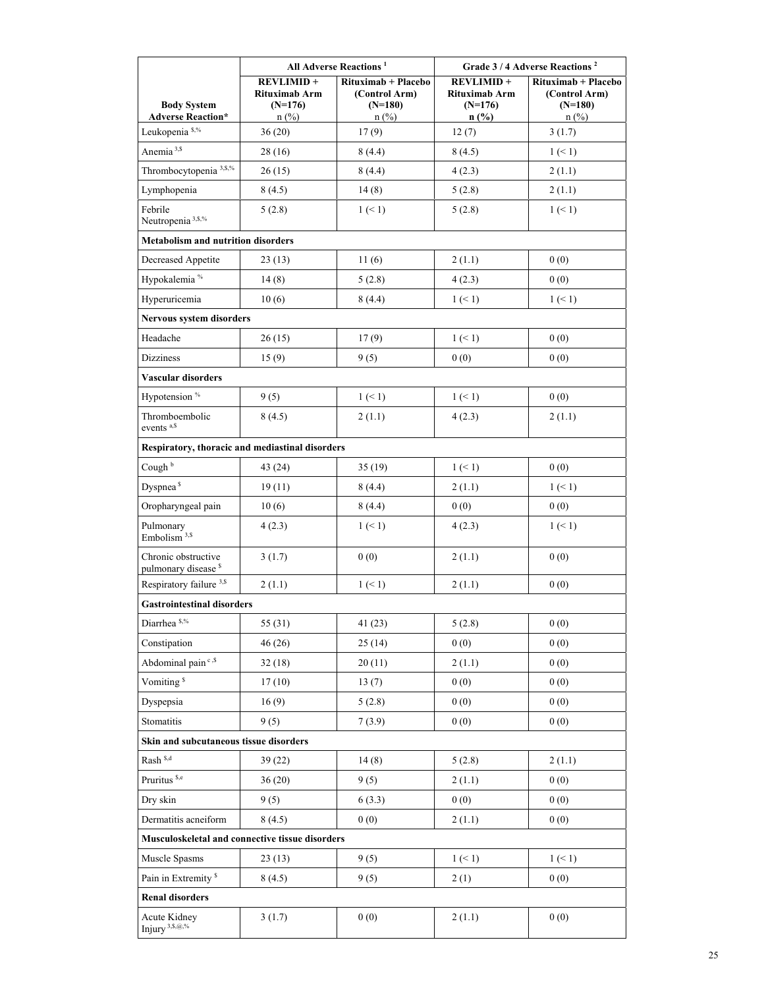|                                                        | All Adverse Reactions <sup>1</sup>                        |                                                              | Grade 3/4 Adverse Reactions <sup>2</sup>                  |                                                              |
|--------------------------------------------------------|-----------------------------------------------------------|--------------------------------------------------------------|-----------------------------------------------------------|--------------------------------------------------------------|
| <b>Body System</b><br><b>Adverse Reaction*</b>         | <b>REVLIMID+</b><br>Rituximab Arm<br>$(N=176)$<br>$n$ (%) | Rituximab + Placebo<br>(Control Arm)<br>$(N=180)$<br>$n$ (%) | <b>REVLIMID+</b><br>Rituximab Arm<br>$(N=176)$<br>$n$ (%) | Rituximab + Placebo<br>(Control Arm)<br>$(N=180)$<br>$n$ (%) |
| Leukopenia <sup>\$,%</sup>                             | 36(20)                                                    | 17(9)                                                        | 12(7)                                                     | 3(1.7)                                                       |
| Anemia <sup>3,\$</sup>                                 | 28 (16)                                                   | 8(4.4)                                                       | 8(4.5)                                                    | 1 (< 1)                                                      |
| Thrombocytopenia <sup>3,5,%</sup>                      | 26(15)                                                    | 8(4.4)                                                       | 4(2.3)                                                    | 2(1.1)                                                       |
| Lymphopenia                                            | 8(4.5)                                                    | 14(8)                                                        | 5(2.8)                                                    | 2(1.1)                                                       |
| Febrile<br>Neutropenia <sup>3, \$,%</sup>              | 5(2.8)                                                    | 1 (< 1)                                                      | 5(2.8)                                                    | 1 (< 1)                                                      |
| <b>Metabolism and nutrition disorders</b>              |                                                           |                                                              |                                                           |                                                              |
| Decreased Appetite                                     | 23(13)                                                    | 11(6)                                                        | 2(1.1)                                                    | 0(0)                                                         |
| Hypokalemia <sup>%</sup>                               | 14(8)                                                     | 5(2.8)                                                       | 4(2.3)                                                    | 0(0)                                                         |
| Hyperuricemia                                          | 10(6)                                                     | 8(4.4)                                                       | 1 (< 1)                                                   | 1 (< 1)                                                      |
| Nervous system disorders                               |                                                           |                                                              |                                                           |                                                              |
| Headache                                               | 26(15)                                                    | 17(9)                                                        | $1 \leq 1$                                                | 0(0)                                                         |
| <b>Dizziness</b>                                       | 15(9)                                                     | 9(5)                                                         | 0(0)                                                      | 0(0)                                                         |
| Vascular disorders                                     |                                                           |                                                              |                                                           |                                                              |
| Hypotension <sup>%</sup>                               | 9(5)                                                      | 1 (< 1)                                                      | 1 (< 1)                                                   | 0(0)                                                         |
| Thromboembolic<br>events <sup>a,\$</sup>               | 8(4.5)                                                    | 2(1.1)                                                       | 4(2.3)                                                    | 2(1.1)                                                       |
| Respiratory, thoracic and mediastinal disorders        |                                                           |                                                              |                                                           |                                                              |
| Cough <sup>b</sup>                                     | 43 (24)                                                   | 35(19)                                                       | $1 \leq 1$                                                | 0(0)                                                         |
| Dyspnea <sup>\$</sup>                                  | 19(11)                                                    | 8 (4.4)                                                      | 2(1.1)                                                    | 1 (< 1)                                                      |
| Oropharyngeal pain                                     | 10(6)                                                     | 8(4.4)                                                       | 0(0)                                                      | 0(0)                                                         |
| Pulmonary<br>Embolism <sup>3,\$</sup>                  | 4(2.3)                                                    | 1 (< 1)                                                      | 4(2.3)                                                    | 1 (< 1)                                                      |
| Chronic obstructive<br>pulmonary disease <sup>\$</sup> | 3(1.7)                                                    | 0(0)                                                         | 2(1.1)                                                    | 0(0)                                                         |
| Respiratory failure <sup>3,\$</sup>                    | 2(1.1)                                                    | 1 (< 1)                                                      | 2(1.1)                                                    | 0(0)                                                         |
| <b>Gastrointestinal disorders</b>                      |                                                           |                                                              |                                                           |                                                              |
| Diarrhea <sup>\$,%</sup>                               | 55(31)                                                    | 41 (23)                                                      | 5(2.8)                                                    | 0(0)                                                         |
| Constipation                                           | 46 (26)                                                   | 25(14)                                                       | 0(0)                                                      | 0(0)                                                         |
| Abdominal pain <sup>c,\$</sup>                         | 32(18)                                                    | 20(11)                                                       | 2(1.1)                                                    | 0(0)                                                         |
| Vomiting <sup>\$</sup>                                 | 17(10)                                                    | 13(7)                                                        | 0(0)                                                      | 0(0)                                                         |
| Dyspepsia                                              | 16(9)                                                     | 5(2.8)                                                       | 0(0)                                                      | 0(0)                                                         |
| Stomatitis                                             | 9(5)                                                      | 7(3.9)                                                       | 0(0)                                                      | 0(0)                                                         |
| Skin and subcutaneous tissue disorders                 |                                                           |                                                              |                                                           |                                                              |
| Rash <sup>\$,d</sup>                                   | 39(22)                                                    | 14(8)                                                        | 5(2.8)                                                    | 2(1.1)                                                       |
| Pruritus <sup>\$,e</sup>                               | 36(20)                                                    | 9(5)                                                         | 2(1.1)                                                    | 0(0)                                                         |
| Dry skin                                               | 9(5)                                                      | 6(3.3)                                                       | 0(0)                                                      | 0(0)                                                         |
| Dermatitis acneiform                                   | 8(4.5)                                                    | 0(0)                                                         | 2(1.1)                                                    | 0(0)                                                         |
| Musculoskeletal and connective tissue disorders        |                                                           |                                                              |                                                           |                                                              |
| Muscle Spasms                                          | 23(13)                                                    | 9(5)                                                         | 1 (< 1)                                                   | 1 (< 1)                                                      |
| Pain in Extremity <sup>\$</sup>                        | 8(4.5)                                                    | 9(5)                                                         | 2(1)                                                      | 0(0)                                                         |
| <b>Renal disorders</b>                                 |                                                           |                                                              |                                                           |                                                              |
| Acute Kidney<br>Injury <sup>3, \$, @,%</sup>           | 3(1.7)                                                    | 0(0)                                                         | 2(1.1)                                                    | 0(0)                                                         |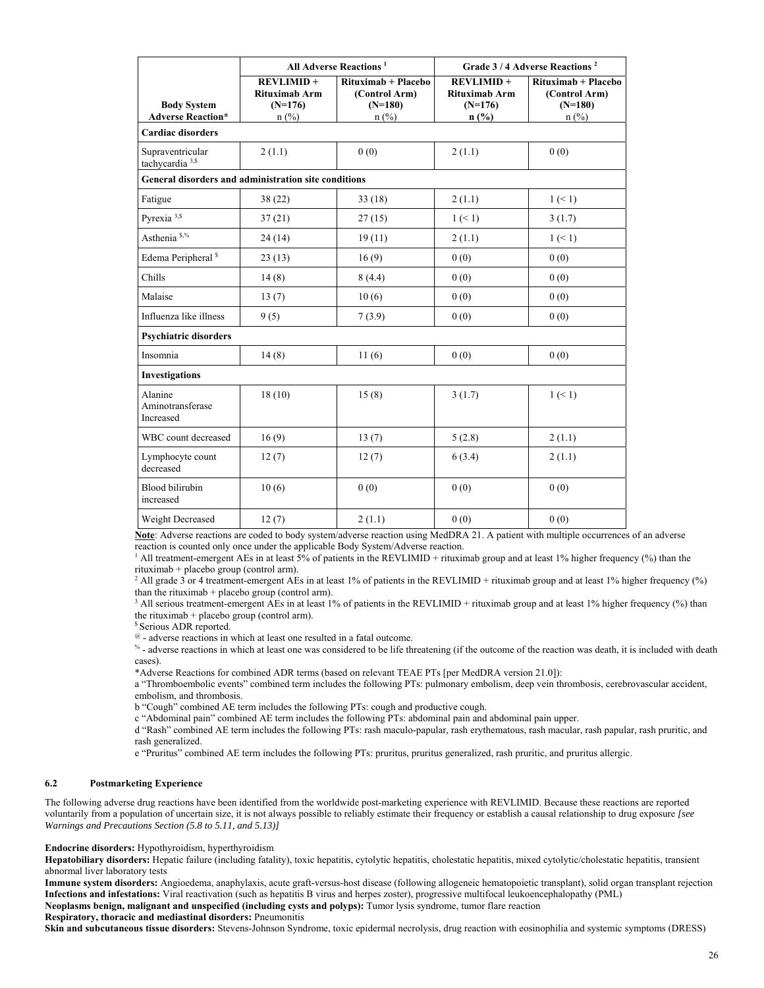|                                                      | <b>All Adverse Reactions</b> <sup>1</sup>                        |                                                                     |                                                                  | Grade 3/4 Adverse Reactions <sup>2</sup>                     |
|------------------------------------------------------|------------------------------------------------------------------|---------------------------------------------------------------------|------------------------------------------------------------------|--------------------------------------------------------------|
| <b>Body System</b><br><b>Adverse Reaction*</b>       | <b>REVLIMID+</b><br><b>Rituximab Arm</b><br>$(N=176)$<br>$n$ (%) | Rituximab + Placebo<br>(Control Arm)<br>$(N=180)$<br>$n(^{0}/_{0})$ | <b>REVLIMID+</b><br><b>Rituximab Arm</b><br>$(N=176)$<br>$n$ (%) | Rituximab + Placebo<br>(Control Arm)<br>$(N=180)$<br>$n$ (%) |
| <b>Cardiac disorders</b>                             |                                                                  |                                                                     |                                                                  |                                                              |
| Supraventricular<br>tachycardia <sup>3,\$</sup>      | 2(1.1)                                                           | 0(0)                                                                | 2(1.1)                                                           | 0(0)                                                         |
| General disorders and administration site conditions |                                                                  |                                                                     |                                                                  |                                                              |
| Fatigue                                              | 38(22)                                                           | 33(18)                                                              | 2(1.1)                                                           | $1 \leq 1$                                                   |
| Pyrexia <sup>3,\$</sup>                              | 37(21)                                                           | 27(15)                                                              | $1 \leq 1$                                                       | 3(1.7)                                                       |
| Asthenia <sup>\$,%</sup>                             | 24(14)                                                           | 19(11)                                                              | 2(1.1)                                                           | 1 (< 1)                                                      |
| Edema Peripheral <sup>\$</sup>                       | 23(13)                                                           | 16(9)                                                               | 0(0)                                                             | 0(0)                                                         |
| Chills                                               | 14(8)                                                            | 8(4.4)                                                              | 0(0)                                                             | 0(0)                                                         |
| Malaise                                              | 13(7)                                                            | 10(6)                                                               | 0(0)                                                             | 0(0)                                                         |
| Influenza like illness                               | 9(5)                                                             | 7(3.9)                                                              | 0(0)                                                             | 0(0)                                                         |
| <b>Psychiatric disorders</b>                         |                                                                  |                                                                     |                                                                  |                                                              |
| Insomnia                                             | 14(8)                                                            | 11(6)                                                               | 0(0)                                                             | 0(0)                                                         |
| <b>Investigations</b>                                |                                                                  |                                                                     |                                                                  |                                                              |
| Alanine<br>Aminotransferase<br>Increased             | 18(10)                                                           | 15(8)                                                               | 3(1.7)                                                           | 1 (< 1)                                                      |
| WBC count decreased                                  | 16(9)                                                            | 13(7)                                                               | 5(2.8)                                                           | 2(1.1)                                                       |
| Lymphocyte count<br>decreased                        | 12(7)                                                            | 12(7)                                                               | 6(3.4)                                                           | 2(1.1)                                                       |
| <b>Blood bilirubin</b><br>increased                  | 10(6)                                                            | 0(0)                                                                | 0(0)                                                             | 0(0)                                                         |
| Weight Decreased                                     | 12(7)                                                            | 2(1.1)                                                              | 0(0)                                                             | 0(0)                                                         |

**Note**: Adverse reactions are coded to body system/adverse reaction using MedDRA 21. A patient with multiple occurrences of an adverse reaction is counted only once under the applicable Body System/Adverse reaction. 1

<sup>1</sup> All treatment-emergent AEs in at least  $\frac{5}{9}$  of patients in the REVLIMID + rituximab group and at least 1% higher frequency (%) than the rituximab + placebo group (control arm). 2

<sup>2</sup> All grade 3 or 4 treatment-emergent AEs in at least 1% of patients in the REVLIMID + rituximab group and at least 1% higher frequency (%) than the rituximab  $+$  placebo group (control arm).

<sup>3</sup> All serious treatment-emergent AEs in at least 1% of patients in the REVLIMID + rituximab group and at least 1% higher frequency (%) than the rituximab + placebo group (control arm).

<sup>\$</sup> Serious ADR reported.

 $^{\circ}$  - adverse reactions in which at least one resulted in a fatal outcome.<br> $^{\circ}$  - adverse reactions in which at least one was considered to be life threatening (if the outcome of the reaction was death, it is include cases).

\*Adverse Reactions for combined ADR terms (based on relevant TEAE PTs [per MedDRA version 21.0]):

a "Thromboembolic events" combined term includes the following PTs: pulmonary embolism, deep vein thrombosis, cerebrovascular accident, embolism, and thrombosis.

b "Cough" combined AE term includes the following PTs: cough and productive cough.

c "Abdominal pain" combined AE term includes the following PTs: abdominal pain and abdominal pain upper.

d "Rash" combined AE term includes the following PTs: rash maculo-papular, rash erythematous, rash macular, rash papular, rash pruritic, and rash generalized.

e "Pruritus" combined AE term includes the following PTs: pruritus, pruritus generalized, rash pruritic, and pruritus allergic.

#### **6.2 Postmarketing Experience**

The following adverse drug reactions have been identified from the worldwide post-marketing experience with REVLIMID. Because these reactions are reported voluntarily from a population of uncertain size, it is not always possible to reliably estimate their frequency or establish a causal relationship to drug exposure *[see Warnings and Precautions Section (5.8 to 5.11, and 5.13)]*

**Endocrine disorders:** Hypothyroidism, hyperthyroidism

**Hepatobiliary disorders:** Hepatic failure (including fatality), toxic hepatitis, cytolytic hepatitis, cholestatic hepatitis, mixed cytolytic/cholestatic hepatitis, transient abnormal liver laboratory tests

**Immune system disorders:** Angioedema, anaphylaxis, acute graft-versus-host disease (following allogeneic hematopoietic transplant), solid organ transplant rejection **Infections and infestations:** Viral reactivation (such as hepatitis B virus and herpes zoster), progressive multifocal leukoencephalopathy (PML)

**Neoplasms benign, malignant and unspecified (including cysts and polyps):** Tumor lysis syndrome, tumor flare reaction

#### **Respiratory, thoracic and mediastinal disorders:** Pneumonitis

**Skin and subcutaneous tissue disorders:** Stevens-Johnson Syndrome, toxic epidermal necrolysis, drug reaction with eosinophilia and systemic symptoms (DRESS)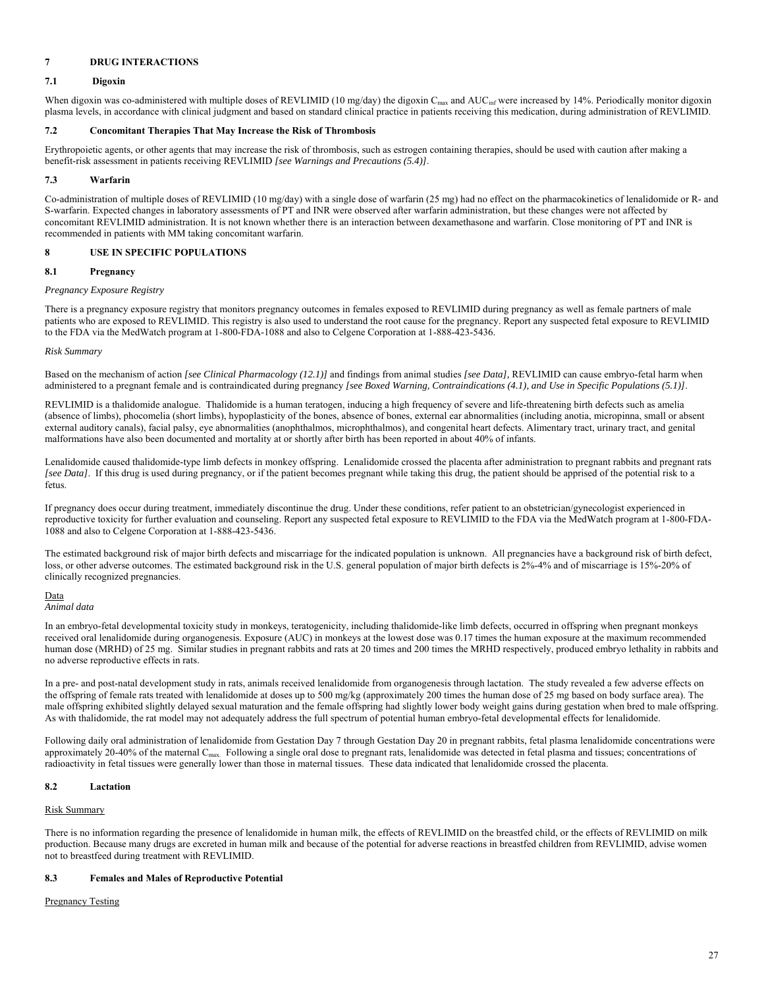## **7 DRUG INTERACTIONS**

## **7.1 Digoxin**

When digoxin was co-administered with multiple doses of REVLIMID (10 mg/day) the digoxin C<sub>max</sub> and AUC<sub>inf</sub> were increased by 14%. Periodically monitor digoxin plasma levels, in accordance with clinical judgment and based on standard clinical practice in patients receiving this medication, during administration of REVLIMID.

## **7.2 Concomitant Therapies That May Increase the Risk of Thrombosis**

Erythropoietic agents, or other agents that may increase the risk of thrombosis, such as estrogen containing therapies, should be used with caution after making a benefit-risk assessment in patients receiving REVLIMID *[see Warnings and Precautions (5.4)]*.

## **7.3 Warfarin**

Co-administration of multiple doses of REVLIMID (10 mg/day) with a single dose of warfarin (25 mg) had no effect on the pharmacokinetics of lenalidomide or R- and S-warfarin. Expected changes in laboratory assessments of PT and INR were observed after warfarin administration, but these changes were not affected by concomitant REVLIMID administration. It is not known whether there is an interaction between dexamethasone and warfarin. Close monitoring of PT and INR is recommended in patients with MM taking concomitant warfarin.

## **8 USE IN SPECIFIC POPULATIONS**

## **8.1 Pregnancy**

## *Pregnancy Exposure Registry*

There is a pregnancy exposure registry that monitors pregnancy outcomes in females exposed to REVLIMID during pregnancy as well as female partners of male patients who are exposed to REVLIMID. This registry is also used to understand the root cause for the pregnancy. Report any suspected fetal exposure to REVLIMID to the FDA via the MedWatch program at 1-800-FDA-1088 and also to Celgene Corporation at 1-888-423-5436.

## *Risk Summary*

Based on the mechanism of action *[see Clinical Pharmacology (12.1)]* and findings from animal studies *[see Data],* REVLIMID can cause embryo-fetal harm when administered to a pregnant female and is contraindicated during pregnancy *[see Boxed Warning, Contraindications (4.1), and Use in Specific Populations (5.1)]*.

REVLIMID is a thalidomide analogue. Thalidomide is a human teratogen, inducing a high frequency of severe and life-threatening birth defects such as amelia (absence of limbs), phocomelia (short limbs), hypoplasticity of the bones, absence of bones, external ear abnormalities (including anotia, micropinna, small or absent external auditory canals), facial palsy, eye abnormalities (anophthalmos, microphthalmos), and congenital heart defects. Alimentary tract, urinary tract, and genital malformations have also been documented and mortality at or shortly after birth has been reported in about 40% of infants.

Lenalidomide caused thalidomide-type limb defects in monkey offspring. Lenalidomide crossed the placenta after administration to pregnant rabbits and pregnant rats *[see Data]*. If this drug is used during pregnancy, or if the patient becomes pregnant while taking this drug, the patient should be apprised of the potential risk to a fetus.

If pregnancy does occur during treatment, immediately discontinue the drug. Under these conditions, refer patient to an obstetrician/gynecologist experienced in reproductive toxicity for further evaluation and counseling. Report any suspected fetal exposure to REVLIMID to the FDA via the MedWatch program at 1-800-FDA-1088 and also to Celgene Corporation at 1-888-423-5436.

The estimated background risk of major birth defects and miscarriage for the indicated population is unknown. All pregnancies have a background risk of birth defect, loss, or other adverse outcomes. The estimated background risk in the U.S. general population of major birth defects is 2%-4% and of miscarriage is 15%-20% of clinically recognized pregnancies.

## Data

*Animal data*

In an embryo-fetal developmental toxicity study in monkeys, teratogenicity, including thalidomide-like limb defects, occurred in offspring when pregnant monkeys received oral lenalidomide during organogenesis. Exposure (AUC) in monkeys at the lowest dose was 0.17 times the human exposure at the maximum recommended human dose (MRHD) of 25 mg. Similar studies in pregnant rabbits and rats at 20 times and 200 times the MRHD respectively, produced embryo lethality in rabbits and no adverse reproductive effects in rats.

In a pre- and post-natal development study in rats, animals received lenalidomide from organogenesis through lactation. The study revealed a few adverse effects on the offspring of female rats treated with lenalidomide at doses up to 500 mg/kg (approximately 200 times the human dose of 25 mg based on body surface area). The male offspring exhibited slightly delayed sexual maturation and the female offspring had slightly lower body weight gains during gestation when bred to male offspring. As with thalidomide, the rat model may not adequately address the full spectrum of potential human embryo-fetal developmental effects for lenalidomide.

Following daily oral administration of lenalidomide from Gestation Day 7 through Gestation Day 20 in pregnant rabbits, fetal plasma lenalidomide concentrations were approximately 20-40% of the maternal C<sub>max.</sub> Following a single oral dose to pregnant rats, lenalidomide was detected in fetal plasma and tissues; concentrations of radioactivity in fetal tissues were generally lower than those in maternal tissues. These data indicated that lenalidomide crossed the placenta.

## **8.2 Lactation**

#### Risk Summary

There is no information regarding the presence of lenalidomide in human milk, the effects of REVLIMID on the breastfed child, or the effects of REVLIMID on milk production. Because many drugs are excreted in human milk and because of the potential for adverse reactions in breastfed children from REVLIMID, advise women not to breastfeed during treatment with REVLIMID.

## **8.3 Females and Males of Reproductive Potential**

Pregnancy Testing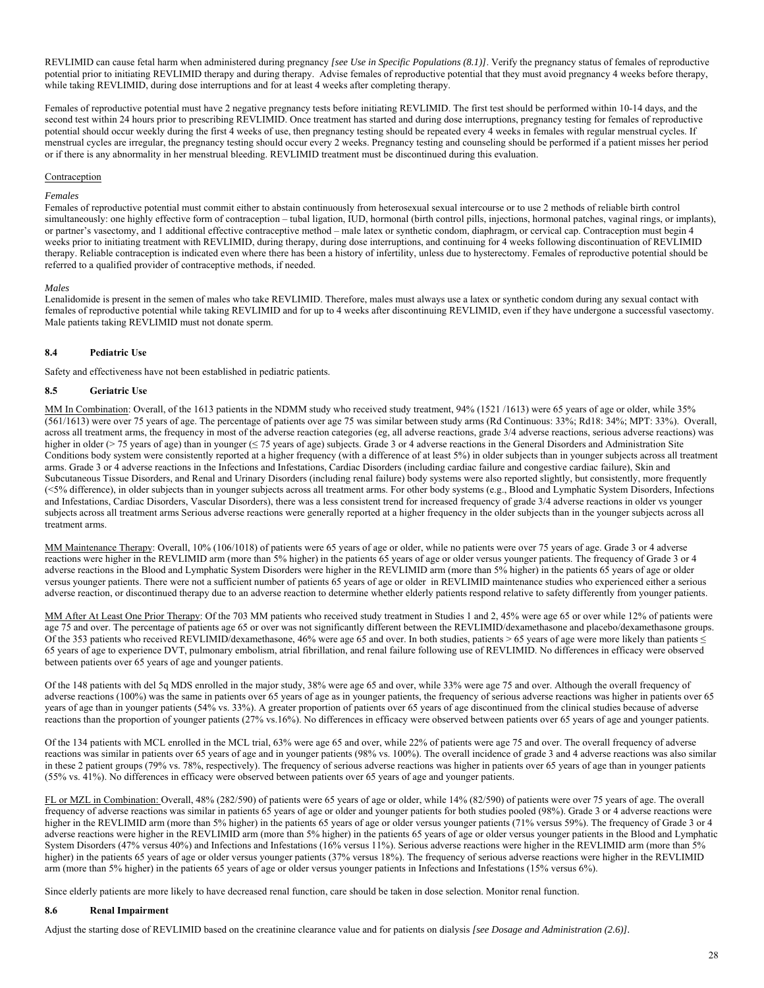REVLIMID can cause fetal harm when administered during pregnancy [see Use in Specific Populations (8.1)]. Verify the pregnancy status of females of reproductive potential prior to initiating REVLIMID therapy and during therapy. Advise females of reproductive potential that they must avoid pregnancy 4 weeks before therapy, while taking REVLIMID, during dose interruptions and for at least 4 weeks after completing therapy.

Females of reproductive potential must have 2 negative pregnancy tests before initiating REVLIMID. The first test should be performed within 10-14 days, and the second test within 24 hours prior to prescribing REVLIMID. Once treatment has started and during dose interruptions, pregnancy testing for females of reproductive potential should occur weekly during the first 4 weeks of use, then pregnancy testing should be repeated every 4 weeks in females with regular menstrual cycles. If menstrual cycles are irregular, the pregnancy testing should occur every 2 weeks. Pregnancy testing and counseling should be performed if a patient misses her period or if there is any abnormality in her menstrual bleeding. REVLIMID treatment must be discontinued during this evaluation.

#### Contraception

#### *Females*

Females of reproductive potential must commit either to abstain continuously from heterosexual sexual intercourse or to use 2 methods of reliable birth control simultaneously: one highly effective form of contraception - tubal ligation, IUD, hormonal (birth control pills, injections, hormonal patches, vaginal rings, or implants), or partner's vasectomy, and 1 additional effective contraceptive method – male latex or synthetic condom, diaphragm, or cervical cap. Contraception must begin 4 weeks prior to initiating treatment with REVLIMID, during therapy, during dose interruptions, and continuing for 4 weeks following discontinuation of REVLIMID therapy. Reliable contraception is indicated even where there has been a history of infertility, unless due to hysterectomy. Females of reproductive potential should be referred to a qualified provider of contraceptive methods, if needed.

#### *Males*

Lenalidomide is present in the semen of males who take REVLIMID. Therefore, males must always use a latex or synthetic condom during any sexual contact with females of reproductive potential while taking REVLIMID and for up to 4 weeks after discontinuing REVLIMID, even if they have undergone a successful vasectomy. Male patients taking REVLIMID must not donate sperm.

## **8.4 Pediatric Use**

Safety and effectiveness have not been established in pediatric patients.

## **8.5 Geriatric Use**

MM In Combination: Overall, of the 1613 patients in the NDMM study who received study treatment, 94% (1521/1613) were 65 years of age or older, while 35% (561/1613) were over 75 years of age. The percentage of patients over age 75 was similar between study arms (Rd Continuous: 33%; Rd18: 34%; MPT: 33%). Overall, across all treatment arms, the frequency in most of the adverse reaction categories (eg, all adverse reactions, grade 3/4 adverse reactions, serious adverse reactions) was higher in older (> 75 years of age) than in younger (≤ 75 years of age) subjects. Grade 3 or 4 adverse reactions in the General Disorders and Administration Site Conditions body system were consistently reported at a higher frequency (with a difference of at least 5%) in older subjects than in younger subjects across all treatment arms. Grade 3 or 4 adverse reactions in the Infections and Infestations, Cardiac Disorders (including cardiac failure and congestive cardiac failure), Skin and Subcutaneous Tissue Disorders, and Renal and Urinary Disorders (including renal failure) body systems were also reported slightly, but consistently, more frequently (<5% difference), in older subjects than in younger subjects across all treatment arms. For other body systems (e.g., Blood and Lymphatic System Disorders, Infections and Infestations, Cardiac Disorders, Vascular Disorders), there was a less consistent trend for increased frequency of grade 3/4 adverse reactions in older vs younger subjects across all treatment arms Serious adverse reactions were generally reported at a higher frequency in the older subjects than in the younger subjects across all treatment arms.

MM Maintenance Therapy: Overall, 10% (106/1018) of patients were 65 years of age or older, while no patients were over 75 years of age. Grade 3 or 4 adverse reactions were higher in the REVLIMID arm (more than 5% higher) in the patients 65 years of age or older versus younger patients. The frequency of Grade 3 or 4 adverse reactions in the Blood and Lymphatic System Disorders were higher in the REVLIMID arm (more than 5% higher) in the patients 65 years of age or older versus younger patients. There were not a sufficient number of patients 65 years of age or older in REVLIMID maintenance studies who experienced either a serious adverse reaction, or discontinued therapy due to an adverse reaction to determine whether elderly patients respond relative to safety differently from younger patients.

MM After At Least One Prior Therapy: Of the 703 MM patients who received study treatment in Studies 1 and 2, 45% were age 65 or over while 12% of patients were age 75 and over. The percentage of patients age 65 or over was not significantly different between the REVLIMID/dexamethasone and placebo/dexamethasone groups. Of the 353 patients who received REVLIMID/dexamethasone, 46% were age 65 and over. In both studies, patients > 65 years of age were more likely than patients  $\leq$ 65 years of age to experience DVT, pulmonary embolism, atrial fibrillation, and renal failure following use of REVLIMID. No differences in efficacy were observed between patients over 65 years of age and younger patients.

Of the 148 patients with del 5q MDS enrolled in the major study, 38% were age 65 and over, while 33% were age 75 and over. Although the overall frequency of adverse reactions (100%) was the same in patients over 65 years of age as in younger patients, the frequency of serious adverse reactions was higher in patients over 65 years of age than in younger patients (54% vs. 33%). A greater proportion of patients over 65 years of age discontinued from the clinical studies because of adverse reactions than the proportion of younger patients (27% vs.16%). No differences in efficacy were observed between patients over 65 years of age and younger patients.

Of the 134 patients with MCL enrolled in the MCL trial, 63% were age 65 and over, while 22% of patients were age 75 and over. The overall frequency of adverse reactions was similar in patients over 65 years of age and in younger patients (98% vs. 100%). The overall incidence of grade 3 and 4 adverse reactions was also similar in these 2 patient groups (79% vs. 78%, respectively). The frequency of serious adverse reactions was higher in patients over 65 years of age than in younger patients (55% vs. 41%). No differences in efficacy were observed between patients over 65 years of age and younger patients.

FL or MZL in Combination: Overall, 48% (282/590) of patients were 65 years of age or older, while 14% (82/590) of patients were over 75 years of age. The overall frequency of adverse reactions was similar in patients 65 years of age or older and younger patients for both studies pooled (98%). Grade 3 or 4 adverse reactions were higher in the REVLIMID arm (more than 5% higher) in the patients 65 years of age or older versus younger patients (71% versus 59%). The frequency of Grade 3 or 4 adverse reactions were higher in the REVLIMID arm (more than 5% higher) in the patients 65 years of age or older versus younger patients in the Blood and Lymphatic System Disorders (47% versus 40%) and Infections and Infestations (16% versus 11%). Serious adverse reactions were higher in the REVLIMID arm (more than 5% higher) in the patients 65 years of age or older versus younger patients (37% versus 18%). The frequency of serious adverse reactions were higher in the REVLIMID arm (more than 5% higher) in the patients 65 years of age or older versus younger patients in Infections and Infestations (15% versus 6%).

Since elderly patients are more likely to have decreased renal function, care should be taken in dose selection. Monitor renal function.

#### **8.6 Renal Impairment**

Adjust the starting dose of REVLIMID based on the creatinine clearance value and for patients on dialysis *[see Dosage and Administration (2.6)].*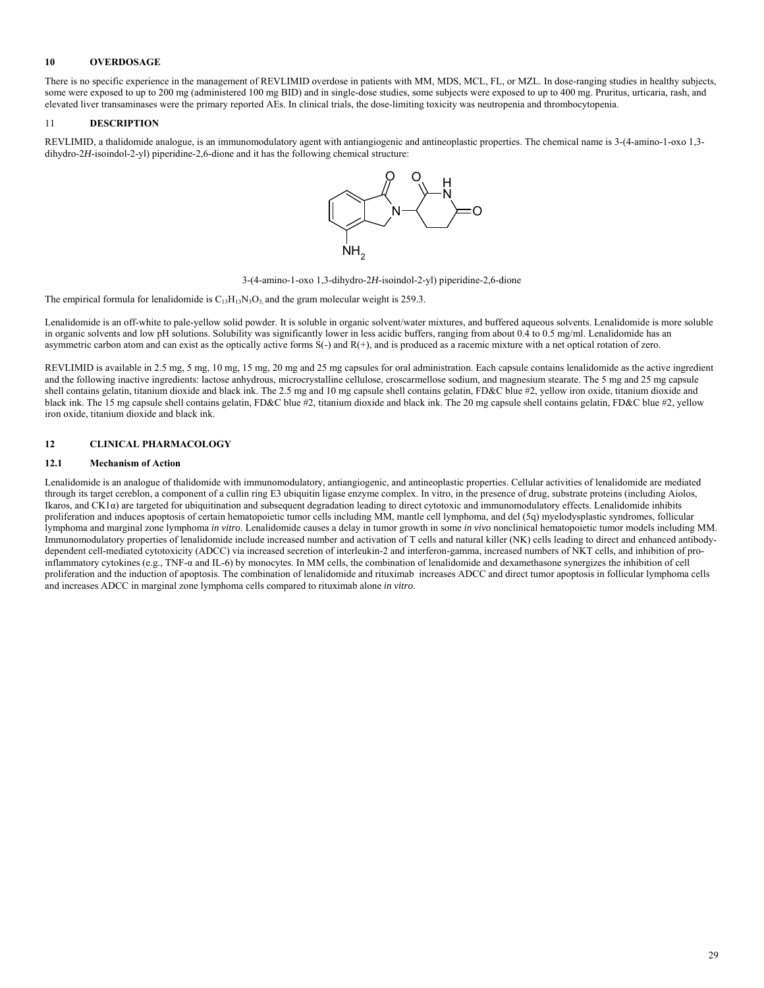## **10 OVERDOSAGE**

There is no specific experience in the management of REVLIMID overdose in patients with MM, MDS, MCL, FL, or MZL. In dose-ranging studies in healthy subjects, some were exposed to up to 200 mg (administered 100 mg BID) and in single-dose studies, some subjects were exposed to up to 400 mg. Pruritus, urticaria, rash, and elevated liver transaminases were the primary reported AEs. In clinical trials, the dose-limiting toxicity was neutropenia and thrombocytopenia.

## 11 **DESCRIPTION**

REVLIMID, a thalidomide analogue, is an immunomodulatory agent with antiangiogenic and antineoplastic properties. The chemical name is 3-(4-amino-1-oxo 1,3 dihydro-2*H*-isoindol-2-yl) piperidine-2,6-dione and it has the following chemical structure:



3-(4-amino-1-oxo 1,3-dihydro-2*H*-isoindol-2-yl) piperidine-2,6-dione

The empirical formula for lenalidomide is  $C_{13}H_{13}N_3O_3$ , and the gram molecular weight is 259.3.

Lenalidomide is an off-white to pale-yellow solid powder. It is soluble in organic solvent/water mixtures, and buffered aqueous solvents. Lenalidomide is more soluble in organic solvents and low pH solutions. Solubility was significantly lower in less acidic buffers, ranging from about 0.4 to 0.5 mg/ml. Lenalidomide has an asymmetric carbon atom and can exist as the optically active forms  $S(-)$  and  $R(+)$ , and is produced as a racemic mixture with a net optical rotation of zero.

REVLIMID is available in 2.5 mg, 5 mg, 10 mg, 15 mg, 20 mg and 25 mg capsules for oral administration. Each capsule contains lenalidomide as the active ingredient and the following inactive ingredients: lactose anhydrous, microcrystalline cellulose, croscarmellose sodium, and magnesium stearate. The 5 mg and 25 mg capsule shell contains gelatin, titanium dioxide and black ink. The 2.5 mg and 10 mg capsule shell contains gelatin, FD&C blue #2, yellow iron oxide, titanium dioxide and black ink. The 15 mg capsule shell contains gelatin, FD&C blue #2, titanium dioxide and black ink. The 20 mg capsule shell contains gelatin, FD&C blue #2, yellow iron oxide, titanium dioxide and black ink.

## **12 CLINICAL PHARMACOLOGY**

## **12.1 Mechanism of Action**

Lenalidomide is an analogue of thalidomide with immunomodulatory, antiangiogenic, and antineoplastic properties. Cellular activities of lenalidomide are mediated through its target cereblon, a component of a cullin ring E3 ubiquitin ligase enzyme complex. In vitro, in the presence of drug, substrate proteins (including Aiolos, Ikaros, and CK1α) are targeted for ubiquitination and subsequent degradation leading to direct cytotoxic and immunomodulatory effects. Lenalidomide inhibits proliferation and induces apoptosis of certain hematopoietic tumor cells including MM, mantle cell lymphoma, and del (5q) myelodysplastic syndromes, follicular lymphoma and marginal zone lymphoma *in vitro*. Lenalidomide causes a delay in tumor growth in some *in vivo* nonclinical hematopoietic tumor models including MM. Immunomodulatory properties of lenalidomide include increased number and activation of T cells and natural killer (NK) cells leading to direct and enhanced antibodydependent cell-mediated cytotoxicity (ADCC) via increased secretion of interleukin-2 and interferon-gamma, increased numbers of NKT cells, and inhibition of proinflammatory cytokines (e.g., TNF-α and IL-6) by monocytes. In MM cells, the combination of lenalidomide and dexamethasone synergizes the inhibition of cell proliferation and the induction of apoptosis. The combination of lenalidomide and rituximab increases ADCC and direct tumor apoptosis in follicular lymphoma cells and increases ADCC in marginal zone lymphoma cells compared to rituximab alone *in vitro*.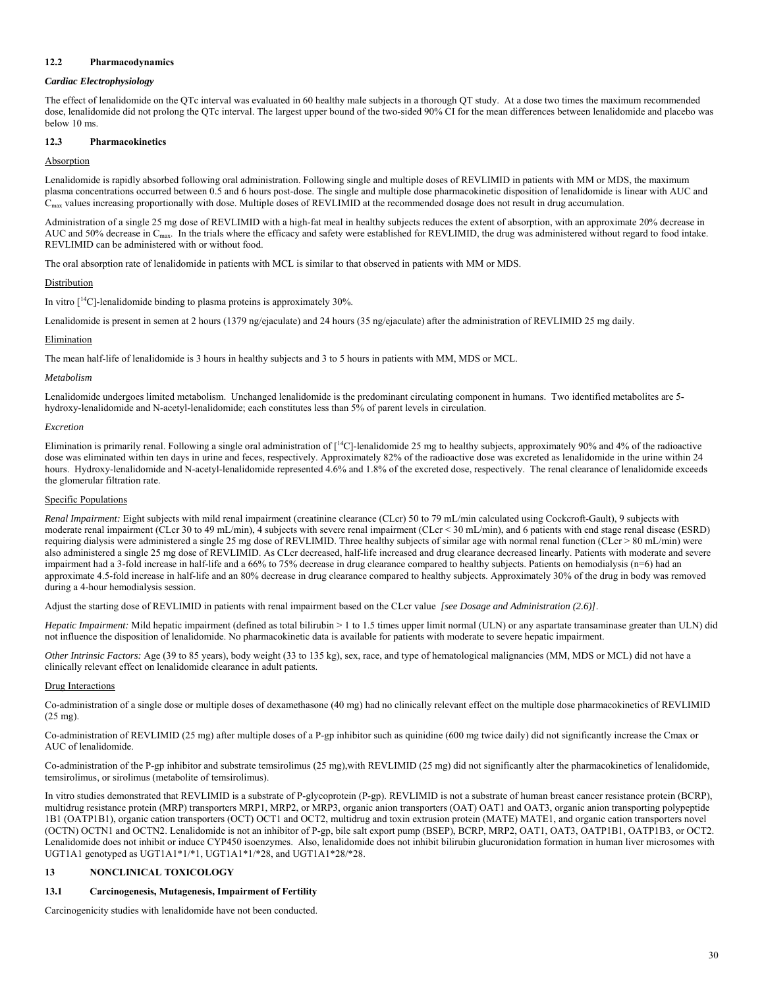## **12.2 Pharmacodynamics**

#### *Cardiac Electrophysiology*

The effect of lenalidomide on the QTc interval was evaluated in 60 healthy male subjects in a thorough QT study. At a dose two times the maximum recommended dose, lenalidomide did not prolong the QTc interval. The largest upper bound of the two-sided 90% CI for the mean differences between lenalidomide and placebo was below 10 ms.

## **12.3 Pharmacokinetics**

## Absorption

Lenalidomide is rapidly absorbed following oral administration. Following single and multiple doses of REVLIMID in patients with MM or MDS, the maximum plasma concentrations occurred between 0.5 and 6 hours post-dose. The single and multiple dose pharmacokinetic disposition of lenalidomide is linear with AUC and  $C<sub>max</sub>$  values increasing proportionally with dose. Multiple doses of REVLIMID at the recommended dosage does not result in drug accumulation.

Administration of a single 25 mg dose of REVLIMID with a high-fat meal in healthy subjects reduces the extent of absorption, with an approximate 20% decrease in AUC and 50% decrease in C<sub>max</sub>. In the trials where the efficacy and safety were established for REVLIMID, the drug was administered without regard to food intake. REVLIMID can be administered with or without food.

The oral absorption rate of lenalidomide in patients with MCL is similar to that observed in patients with MM or MDS.

#### Distribution

In vitro  $[{}^{14}C]$ -lenalidomide binding to plasma proteins is approximately 30%.

Lenalidomide is present in semen at 2 hours (1379 ng/ejaculate) and 24 hours (35 ng/ejaculate) after the administration of REVLIMID 25 mg daily.

#### Elimination

The mean half-life of lenalidomide is 3 hours in healthy subjects and 3 to 5 hours in patients with MM, MDS or MCL.

#### *Metabolism*

Lenalidomide undergoes limited metabolism. Unchanged lenalidomide is the predominant circulating component in humans. Two identified metabolites are 5 hydroxy-lenalidomide and N-acetyl-lenalidomide; each constitutes less than 5% of parent levels in circulation.

#### *Excretion*

Elimination is primarily renal. Following a single oral administration of  $\lceil {^{14}C} \rceil$ -lenalidomide 25 mg to healthy subjects, approximately 90% and 4% of the radioactive dose was eliminated within ten days in urine and feces, respectively. Approximately 82% of the radioactive dose was excreted as lenalidomide in the urine within 24 hours. Hydroxy-lenalidomide and N-acetyl-lenalidomide represented 4.6% and 1.8% of the excreted dose, respectively. The renal clearance of lenalidomide exceeds the glomerular filtration rate.

#### Specific Populations

*Renal Impairment:* Eight subjects with mild renal impairment (creatinine clearance (CLcr) 50 to 79 mL/min calculated using Cockcroft-Gault), 9 subjects with moderate renal impairment (CLcr 30 to 49 mL/min), 4 subjects with severe renal impairment (CLcr < 30 mL/min), and 6 patients with end stage renal disease (ESRD) requiring dialysis were administered a single 25 mg dose of REVLIMID. Three healthy subjects of similar age with normal renal function (CLcr > 80 mL/min) were also administered a single 25 mg dose of REVLIMID. As CLcr decreased, half-life increased and drug clearance decreased linearly. Patients with moderate and severe impairment had a 3-fold increase in half-life and a 66% to 75% decrease in drug clearance compared to healthy subjects. Patients on hemodialysis (n=6) had an approximate 4.5-fold increase in half-life and an 80% decrease in drug clearance compared to healthy subjects. Approximately 30% of the drug in body was removed during a 4-hour hemodialysis session.

Adjust the starting dose of REVLIMID in patients with renal impairment based on the CLcr value *[see Dosage and Administration (2.6)]*.

*Hepatic Impairment:* Mild hepatic impairment (defined as total bilirubin > 1 to 1.5 times upper limit normal (ULN) or any aspartate transaminase greater than ULN) did not influence the disposition of lenalidomide. No pharmacokinetic data is available for patients with moderate to severe hepatic impairment.

*Other Intrinsic Factors:* Age (39 to 85 years), body weight (33 to 135 kg), sex, race, and type of hematological malignancies (MM, MDS or MCL) did not have a clinically relevant effect on lenalidomide clearance in adult patients.

#### Drug Interactions

Co-administration of a single dose or multiple doses of dexamethasone (40 mg) had no clinically relevant effect on the multiple dose pharmacokinetics of REVLIMID (25 mg).

Co-administration of REVLIMID (25 mg) after multiple doses of a P-gp inhibitor such as quinidine (600 mg twice daily) did not significantly increase the Cmax or AUC of lenalidomide.

Co-administration of the P-gp inhibitor and substrate temsirolimus (25 mg),with REVLIMID (25 mg) did not significantly alter the pharmacokinetics of lenalidomide, temsirolimus, or sirolimus (metabolite of temsirolimus).

In vitro studies demonstrated that REVLIMID is a substrate of P-glycoprotein (P-gp). REVLIMID is not a substrate of human breast cancer resistance protein (BCRP), multidrug resistance protein (MRP) transporters MRP1, MRP2, or MRP3, organic anion transporters (OAT) OAT1 and OAT3, organic anion transporting polypeptide 1B1 (OATP1B1), organic cation transporters (OCT) OCT1 and OCT2, multidrug and toxin extrusion protein (MATE) MATE1, and organic cation transporters novel (OCTN) OCTN1 and OCTN2. Lenalidomide is not an inhibitor of P-gp, bile salt export pump (BSEP), BCRP, MRP2, OAT1, OAT3, OATP1B1, OATP1B3, or OCT2. Lenalidomide does not inhibit or induce CYP450 isoenzymes. Also, lenalidomide does not inhibit bilirubin glucuronidation formation in human liver microsomes with UGT1A1 genotyped as UGT1A1\*1/\*1, UGT1A1\*1/\*28, and UGT1A1\*28/\*28.

#### **13 NONCLINICAL TOXICOLOGY**

## **13.1 Carcinogenesis, Mutagenesis, Impairment of Fertility**

Carcinogenicity studies with lenalidomide have not been conducted.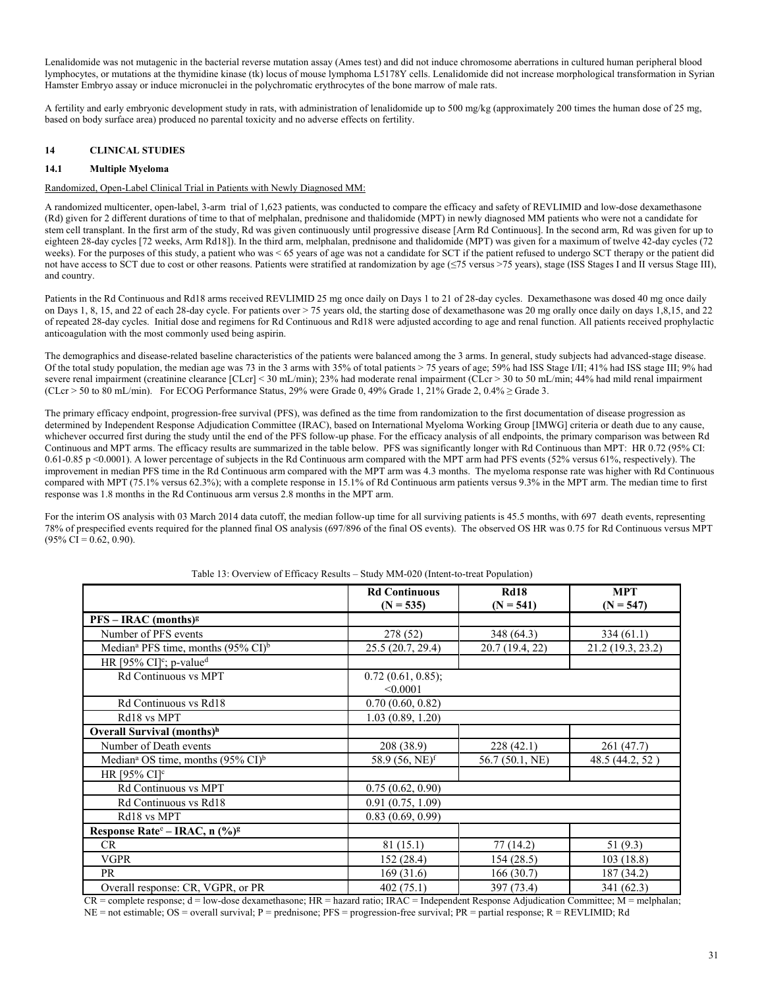Lenalidomide was not mutagenic in the bacterial reverse mutation assay (Ames test) and did not induce chromosome aberrations in cultured human peripheral blood lymphocytes, or mutations at the thymidine kinase (tk) locus of mouse lymphoma L5178Y cells. Lenalidomide did not increase morphological transformation in Syrian Hamster Embryo assay or induce micronuclei in the polychromatic erythrocytes of the bone marrow of male rats.

A fertility and early embryonic development study in rats, with administration of lenalidomide up to 500 mg/kg (approximately 200 times the human dose of 25 mg, based on body surface area) produced no parental toxicity and no adverse effects on fertility.

## **14 CLINICAL STUDIES**

## **14.1 Multiple Myeloma**

#### Randomized, Open-Label Clinical Trial in Patients with Newly Diagnosed MM:

A randomized multicenter, open-label, 3-arm trial of 1,623 patients, was conducted to compare the efficacy and safety of REVLIMID and low-dose dexamethasone (Rd) given for 2 different durations of time to that of melphalan, prednisone and thalidomide (MPT) in newly diagnosed MM patients who were not a candidate for stem cell transplant. In the first arm of the study, Rd was given continuously until progressive disease [Arm Rd Continuous]. In the second arm, Rd was given for up to eighteen 28-day cycles [72 weeks, Arm Rd18]). In the third arm, melphalan, prednisone and thalidomide (MPT) was given for a maximum of twelve 42-day cycles (72 weeks). For the purposes of this study, a patient who was < 65 years of age was not a candidate for SCT if the patient refused to undergo SCT therapy or the patient did not have access to SCT due to cost or other reasons. Patients were stratified at randomization by age (≤75 versus >75 years), stage (ISS Stages I and II versus Stage III), and country.

Patients in the Rd Continuous and Rd18 arms received REVLIMID 25 mg once daily on Days 1 to 21 of 28-day cycles. Dexamethasone was dosed 40 mg once daily on Days 1, 8, 15, and 22 of each 28-day cycle. For patients over > 75 years old, the starting dose of dexamethasone was 20 mg orally once daily on days 1,8,15, and 22 of repeated 28-day cycles. Initial dose and regimens for Rd Continuous and Rd18 were adjusted according to age and renal function. All patients received prophylactic anticoagulation with the most commonly used being aspirin.

The demographics and disease-related baseline characteristics of the patients were balanced among the 3 arms. In general, study subjects had advanced-stage disease. Of the total study population, the median age was 73 in the 3 arms with 35% of total patients > 75 years of age; 59% had ISS Stage I/II; 41% had ISS stage III; 9% had severe renal impairment (creatinine clearance [CLcr] < 30 mL/min); 23% had moderate renal impairment (CLcr > 30 to 50 mL/min; 44% had mild renal impairment (CLcr > 50 to 80 mL/min). For ECOG Performance Status, 29% were Grade 0, 49% Grade 1, 21% Grade 2, 0.4% ≥ Grade 3.

The primary efficacy endpoint, progression-free survival (PFS), was defined as the time from randomization to the first documentation of disease progression as determined by Independent Response Adjudication Committee (IRAC), based on International Myeloma Working Group [IMWG] criteria or death due to any cause, whichever occurred first during the study until the end of the PFS follow-up phase. For the efficacy analysis of all endpoints, the primary comparison was between Rd Continuous and MPT arms. The efficacy results are summarized in the table below. PFS was significantly longer with Rd Continuous than MPT: HR 0.72 (95% CI: 0.61-0.85 p <0.0001). A lower percentage of subjects in the Rd Continuous arm compared with the MPT arm had PFS events (52% versus 61%, respectively). The improvement in median PFS time in the Rd Continuous arm compared with the MPT arm was 4.3 months. The myeloma response rate was higher with Rd Continuous compared with MPT (75.1% versus 62.3%); with a complete response in 15.1% of Rd Continuous arm patients versus 9.3% in the MPT arm. The median time to first response was 1.8 months in the Rd Continuous arm versus 2.8 months in the MPT arm.

For the interim OS analysis with 03 March 2014 data cutoff, the median follow-up time for all surviving patients is 45.5 months, with 697 death events, representing 78% of prespecified events required for the planned final OS analysis (697/896 of the final OS events). The observed OS HR was 0.75 for Rd Continuous versus MPT  $(95\% \text{ CI} = 0.62, 0.90).$ 

|                                                            | <b>Rd Continuous</b><br>$(N = 535)$ | <b>Rd18</b><br>$(N = 541)$ | <b>MPT</b><br>$(N = 547)$ |
|------------------------------------------------------------|-------------------------------------|----------------------------|---------------------------|
| $PFS - IRAC$ (months) <sup>g</sup>                         |                                     |                            |                           |
| Number of PFS events                                       | 278 (52)                            | 348 (64.3)                 | 334(61.1)                 |
| Median <sup>a</sup> PFS time, months $(95\% \text{ CI})^b$ | 25.5 (20.7, 29.4)                   | 20.7 (19.4, 22)            | 21.2 (19.3, 23.2)         |
| HR [95% CI] <sup>c</sup> ; p-value <sup>d</sup>            |                                     |                            |                           |
| Rd Continuous vs MPT                                       | 0.72(0.61, 0.85);<br>< 0.0001       |                            |                           |
| Rd Continuous vs Rd18                                      | 0.70(0.60, 0.82)                    |                            |                           |
| Rd18 vs MPT                                                | 1.03(0.89, 1.20)                    |                            |                           |
| Overall Survival (months) <sup>h</sup>                     |                                     |                            |                           |
| Number of Death events                                     | 208 (38.9)                          | 228(42.1)                  | 261 (47.7)                |
| Median <sup>a</sup> OS time, months $(95\% \text{ CI})^b$  | 58.9 $(56, NE)^f$                   | 56.7 (50.1, NE)            | 48.5 (44.2, 52)           |
| HR [95% $CI$ ] <sup>c</sup>                                |                                     |                            |                           |
| Rd Continuous vs MPT                                       | 0.75(0.62, 0.90)                    |                            |                           |
| Rd Continuous vs Rd18                                      | 0.91(0.75, 1.09)                    |                            |                           |
| Rd18 vs MPT                                                | 0.83(0.69, 0.99)                    |                            |                           |
| Response Rate <sup>e</sup> – IRAC, n $(\frac{9}{9})^g$     |                                     |                            |                           |
| CR                                                         | 81 (15.1)                           | 77(14.2)                   | 51 $(9.3)$                |
| <b>VGPR</b>                                                | 152 (28.4)                          | 154(28.5)                  | 103(18.8)                 |
| PR                                                         | 169 (31.6)                          | 166(30.7)                  | 187 (34.2)                |
| Overall response: CR, VGPR, or PR                          | 402(75.1)                           | 397 (73.4)                 | 341 (62.3)                |

#### Table 13: Overview of Efficacy Results – Study MM-020 (Intent-to-treat Population)

CR = complete response; d = low-dose dexamethasone; HR = hazard ratio; IRAC = Independent Response Adjudication Committee; M = melphalan;  $NE =$  not estimable;  $OS =$  overall survival; P = prednisone; PFS = progression-free survival; PR = partial response; R = REVLIMID; Rd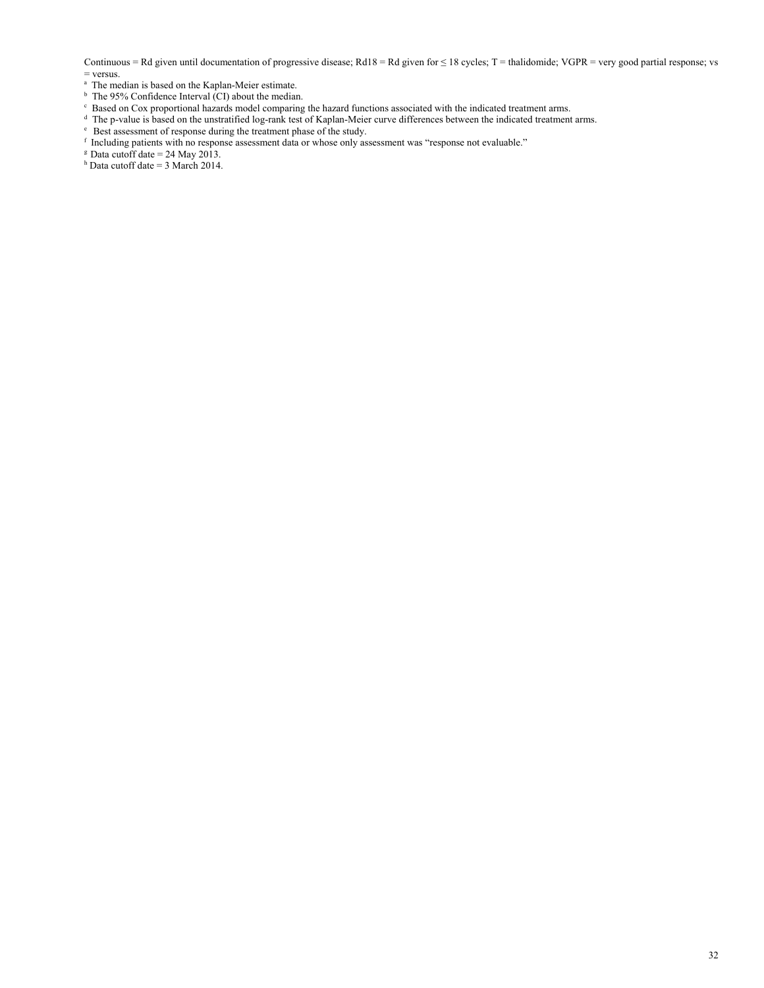Continuous = Rd given until documentation of progressive disease; Rd18 = Rd given for  $\leq$  18 cycles; T = thalidomide; VGPR = very good partial response; vs = versus.

- <sup>a</sup> The median is based on the Kaplan-Meier estimate.
- $\overrightarrow{b}$  The 95% Confidence Interval (CI) about the median.
- 
- $^{\circ}$  Based on Cox proportional hazards model comparing the hazard functions associated with the indicated treatment arms.  $^{\circ}$  The p-value is based on the unstratified log-rank test of Kaplan-Meier curve differences b
- 
- Best assessment of response during the treatment phase of the study.<br>
Finducing patients with no response assessment data or whose only assessment was "response not evaluable."<br>
Bata cutoff date = 24 May 2013.
- 
- h Data cutoff date = 3 March 2014.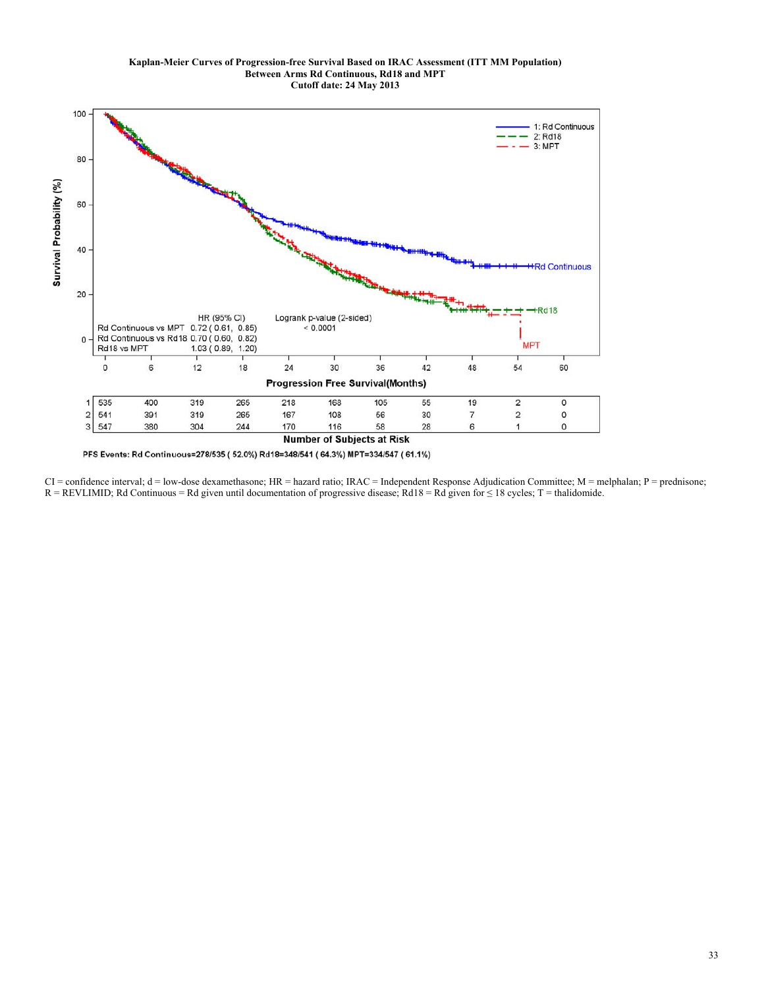

PFS Events: Rd Continuous=278/535 (52.0%) Rd18=348/541 (64.3%) MPT=334/547 (61.1%)

 $CI =$  confidence interval;  $d =$  low-dose dexamethasone;  $HR =$  hazard ratio;  $IRAC =$  Independent Response Adjudication Committee;  $M =$  melphalan;  $P =$  prednisone;  $R = REVLIMID$ ; Rd Continuous = Rd given until documentation of progressive disease; Rd18 = Rd given for  $\leq$  18 cycles; T = thalidomide.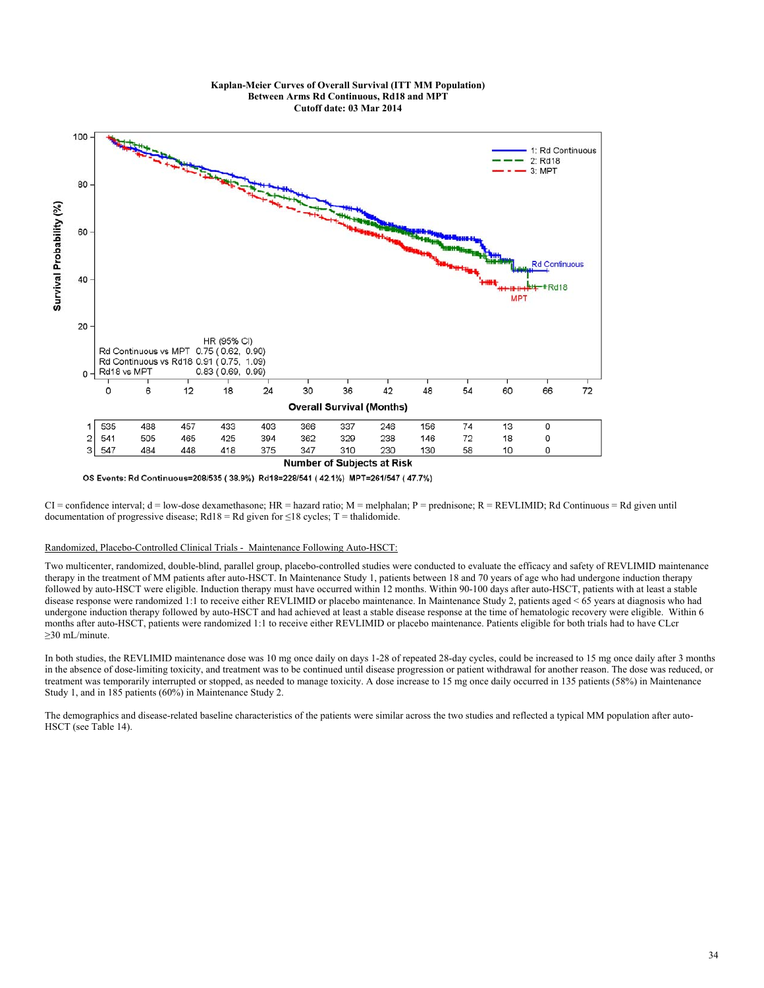#### **Kaplan-Meier Curves of Overall Survival (ITT MM Population) Between Arms Rd Continuous, Rd18 and MPT Cutoff date: 03 Mar 2014**



OS Events: Rd Continuous=208/535 (38.9%) Rd18=228/541 (42.1%) MPT=261/547 (47.7%)

CI = confidence interval; d = low-dose dexamethasone; HR = hazard ratio; M = melphalan; P = prednisone; R = REVLIMID; Rd Continuous = Rd given until documentation of progressive disease; Rd18 = Rd given for  $\leq$ 18 cycles; T = thalidomide.

## Randomized, Placebo-Controlled Clinical Trials - Maintenance Following Auto-HSCT:

Two multicenter, randomized, double-blind, parallel group, placebo-controlled studies were conducted to evaluate the efficacy and safety of REVLIMID maintenance therapy in the treatment of MM patients after auto-HSCT. In Maintenance Study 1, patients between 18 and 70 years of age who had undergone induction therapy followed by auto-HSCT were eligible. Induction therapy must have occurred within 12 months. Within 90-100 days after auto-HSCT, patients with at least a stable disease response were randomized 1:1 to receive either REVLIMID or placebo maintenance. In Maintenance Study 2, patients aged < 65 years at diagnosis who had undergone induction therapy followed by auto-HSCT and had achieved at least a stable disease response at the time of hematologic recovery were eligible. Within 6 months after auto-HSCT, patients were randomized 1:1 to receive either REVLIMID or placebo maintenance. Patients eligible for both trials had to have CLcr ≥30 mL/minute.

In both studies, the REVLIMID maintenance dose was 10 mg once daily on days 1-28 of repeated 28-day cycles, could be increased to 15 mg once daily after 3 months in the absence of dose-limiting toxicity, and treatment was to be continued until disease progression or patient withdrawal for another reason. The dose was reduced, or treatment was temporarily interrupted or stopped, as needed to manage toxicity. A dose increase to 15 mg once daily occurred in 135 patients (58%) in Maintenance Study 1, and in 185 patients (60%) in Maintenance Study 2.

The demographics and disease-related baseline characteristics of the patients were similar across the two studies and reflected a typical MM population after auto-HSCT (see Table 14).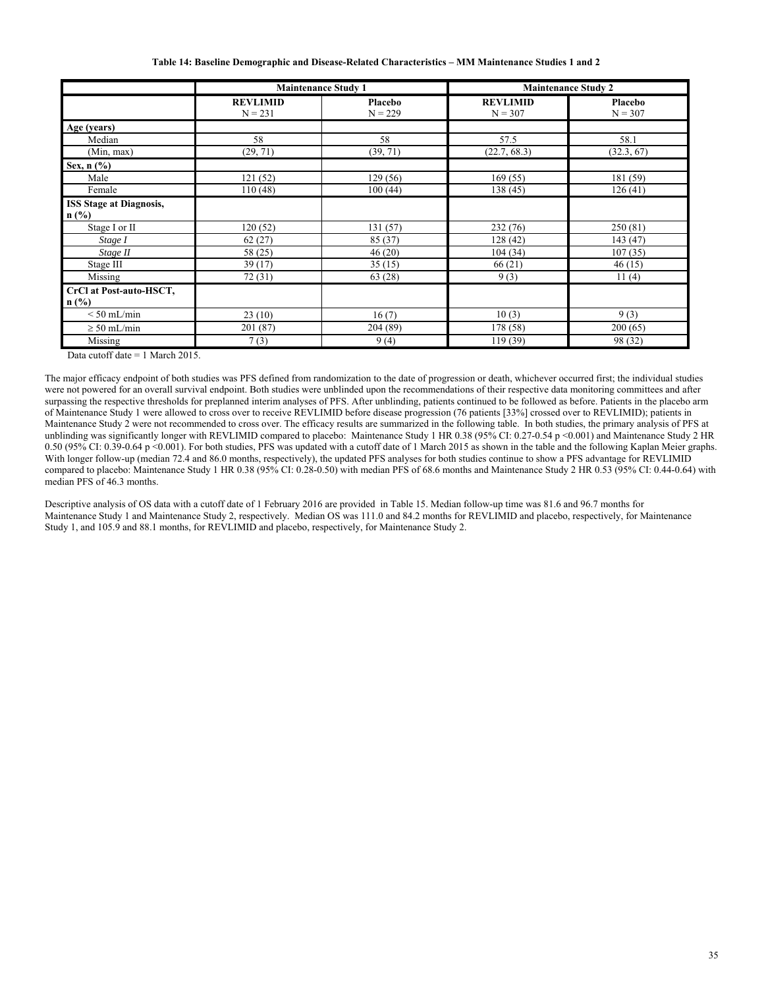**Table 14: Baseline Demographic and Disease-Related Characteristics – MM Maintenance Studies 1 and 2** 

|                                           | <b>Maintenance Study 1</b>   |                      | <b>Maintenance Study 2</b>   |                      |
|-------------------------------------------|------------------------------|----------------------|------------------------------|----------------------|
|                                           | <b>REVLIMID</b><br>$N = 231$ | Placebo<br>$N = 229$ | <b>REVLIMID</b><br>$N = 307$ | Placebo<br>$N = 307$ |
| Age (years)                               |                              |                      |                              |                      |
| Median                                    | 58                           | 58                   | 57.5                         | 58.1                 |
| (Min, max)                                | (29, 71)                     | (39, 71)             | (22.7, 68.3)                 | (32.3, 67)           |
| Sex, n (%)                                |                              |                      |                              |                      |
| Male                                      | 121(52)                      | 129(56)              | 169(55)                      | 181 (59)             |
| Female                                    | 110(48)                      | 100(44)              | 138 (45)                     | 126(41)              |
| <b>ISS Stage at Diagnosis,</b><br>$n$ (%) |                              |                      |                              |                      |
| Stage I or II                             | 120(52)                      | 131(57)              | 232 (76)                     | 250 (81)             |
| Stage I                                   | 62(27)                       | 85 (37)              | 128(42)                      | 143 (47)             |
| Stage II                                  | 58 (25)                      | 46(20)               | 104(34)                      | 107(35)              |
| Stage III                                 | 39(17)                       | 35(15)               | 66(21)                       | 46(15)               |
| Missing                                   | 72 (31)                      | 63 (28)              | 9(3)                         | 11(4)                |
| CrCl at Post-auto-HSCT,<br>$\ln$ (%)      |                              |                      |                              |                      |
| $< 50$ mL/min                             | 23(10)                       | 16(7)                | 10(3)                        | 9(3)                 |
| $\geq 50$ mL/min                          | 201 (87)                     | 204 (89)             | 178 (58)                     | 200(65)              |
| Missing                                   | 7(3)                         | 9(4)                 | 119 (39)                     | 98 (32)              |

Data cutoff date = 1 March 2015.

The major efficacy endpoint of both studies was PFS defined from randomization to the date of progression or death, whichever occurred first; the individual studies were not powered for an overall survival endpoint. Both studies were unblinded upon the recommendations of their respective data monitoring committees and after surpassing the respective thresholds for preplanned interim analyses of PFS. After unblinding, patients continued to be followed as before. Patients in the placebo arm of Maintenance Study 1 were allowed to cross over to receive REVLIMID before disease progression (76 patients [33%] crossed over to REVLIMID); patients in Maintenance Study 2 were not recommended to cross over. The efficacy results are summarized in the following table. In both studies, the primary analysis of PFS at unblinding was significantly longer with REVLIMID compared to placebo: Maintenance Study 1 HR 0.38 (95% CI: 0.27-0.54 p <0.001) and Maintenance Study 2 HR 0.50 (95% CI: 0.39-0.64 p <0.001). For both studies, PFS was updated with a cutoff date of 1 March 2015 as shown in the table and the following Kaplan Meier graphs. With longer follow-up (median 72.4 and 86.0 months, respectively), the updated PFS analyses for both studies continue to show a PFS advantage for REVLIMID compared to placebo: Maintenance Study 1 HR 0.38 (95% CI: 0.28-0.50) with median PFS of 68.6 months and Maintenance Study 2 HR 0.53 (95% CI: 0.44-0.64) with median PFS of 46.3 months.

Descriptive analysis of OS data with a cutoff date of 1 February 2016 are provided in Table 15. Median follow-up time was 81.6 and 96.7 months for Maintenance Study 1 and Maintenance Study 2, respectively. Median OS was 111.0 and 84.2 months for REVLIMID and placebo, respectively, for Maintenance Study 1, and 105.9 and 88.1 months, for REVLIMID and placebo, respectively, for Maintenance Study 2.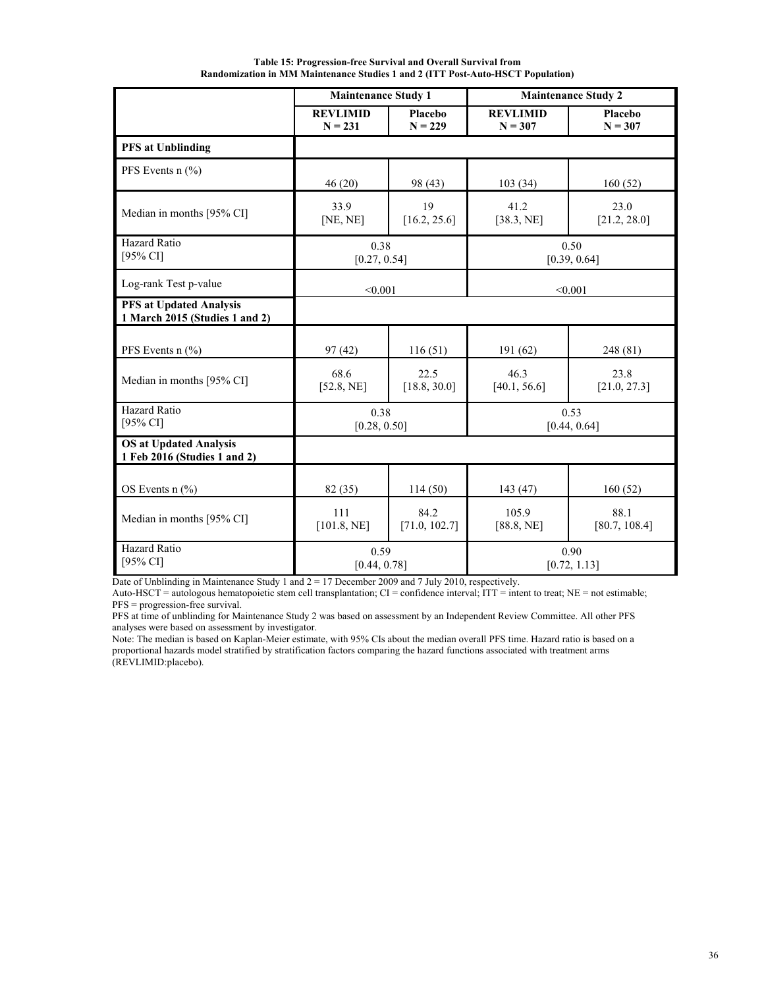**Table 15: Progression-free Survival and Overall Survival from Randomization in MM Maintenance Studies 1 and 2 (ITT Post-Auto-HSCT Population)** 

|                                                                  | <b>Maintenance Study 1</b>   |                       |                              | <b>Maintenance Study 2</b> |
|------------------------------------------------------------------|------------------------------|-----------------------|------------------------------|----------------------------|
|                                                                  | <b>REVLIMID</b><br>$N = 231$ | Placebo<br>$N = 229$  | <b>REVLIMID</b><br>$N = 307$ | Placebo<br>$N = 307$       |
| <b>PFS</b> at Unblinding                                         |                              |                       |                              |                            |
| PFS Events $n$ (%)                                               | 46(20)                       | 98 (43)               | 103(34)                      | 160(52)                    |
| Median in months [95% CI]                                        | 33.9<br>[NE, NE]             | 19<br>[16.2, 25.6]    | 41.2<br>[38.3, NE]           | 23.0<br>[21.2, 28.0]       |
| Hazard Ratio<br>[95% CI]                                         | 0.38<br>[0.27, 0.54]         |                       |                              | 0.50<br>[0.39, 0.64]       |
| Log-rank Test p-value                                            | < 0.001                      | < 0.001               |                              |                            |
| <b>PFS at Updated Analysis</b><br>1 March 2015 (Studies 1 and 2) |                              |                       |                              |                            |
| PFS Events $n$ (%)                                               | 97(42)                       | 116(51)               | 191 (62)                     | 248 (81)                   |
| Median in months [95% CI]                                        | 68.6<br>[52.8, NE]           | 22.5<br>[18.8, 30.0]  | 46.3<br>[40.1, 56.6]         | 23.8<br>[21.0, 27.3]       |
| Hazard Ratio<br>[95% CI]                                         | 0.38<br>[0.28, 0.50]         |                       | 0.53<br>[0.44, 0.64]         |                            |
| <b>OS at Updated Analysis</b><br>1 Feb 2016 (Studies 1 and 2)    |                              |                       |                              |                            |
| OS Events $n$ (%)                                                | 82 (35)                      | 114(50)               | 143 (47)                     | 160(52)                    |
| Median in months [95% CI]                                        | 111<br>[101.8, NE]           | 84.2<br>[71.0, 102.7] | 105.9<br>[88.8, NE]          | 88.1<br>[80.7, 108.4]      |
| Hazard Ratio<br>$[95\% \text{ CI}]$                              | 0.59<br>[0.44, 0.78]         |                       |                              | 0.90<br>[0.72, 1.13]       |

Date of Unblinding in Maintenance Study 1 and 2 = 17 December 2009 and 7 July 2010, respectively.

Auto-HSCT = autologous hematopoietic stem cell transplantation; CI = confidence interval; ITT = intent to treat; NE = not estimable; PFS = progression-free survival.

PFS at time of unblinding for Maintenance Study 2 was based on assessment by an Independent Review Committee. All other PFS analyses were based on assessment by investigator.

Note: The median is based on Kaplan-Meier estimate, with 95% CIs about the median overall PFS time. Hazard ratio is based on a proportional hazards model stratified by stratification factors comparing the hazard functions associated with treatment arms (REVLIMID:placebo).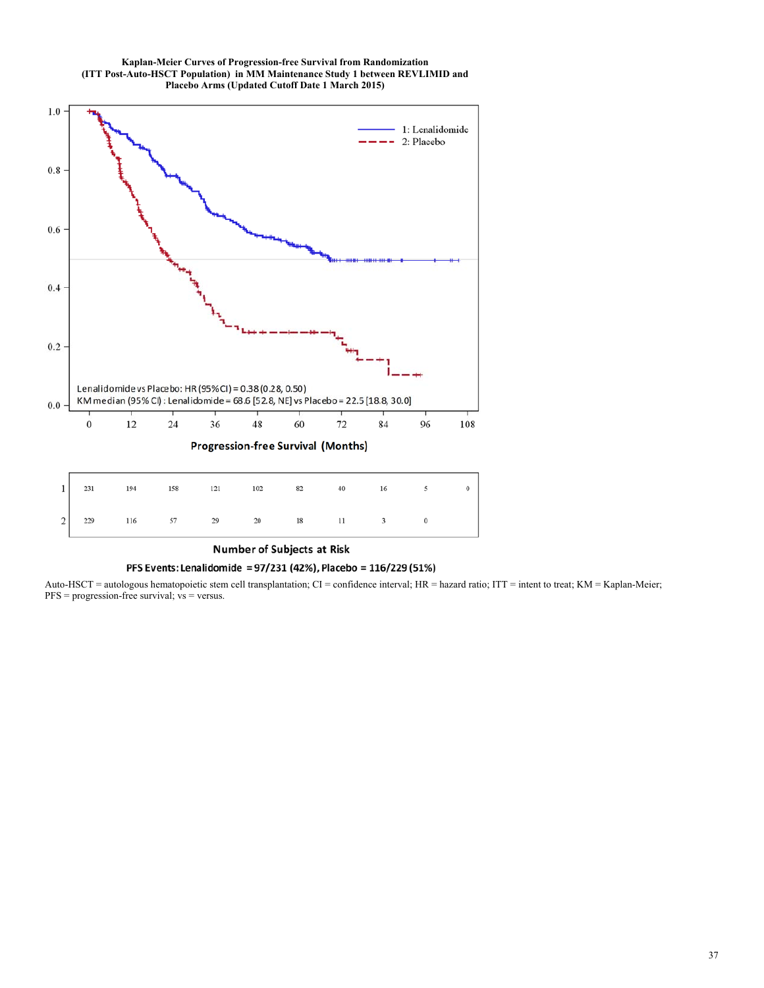



**Number of Subjects at Risk** 

## PFS Events: Lenalidomide = 97/231 (42%), Placebo = 116/229 (51%)

Auto-HSCT = autologous hematopoietic stem cell transplantation; CI = confidence interval; HR = hazard ratio; ITT = intent to treat; KM = Kaplan-Meier;  $PFS = progression-free survival; vs = versus.$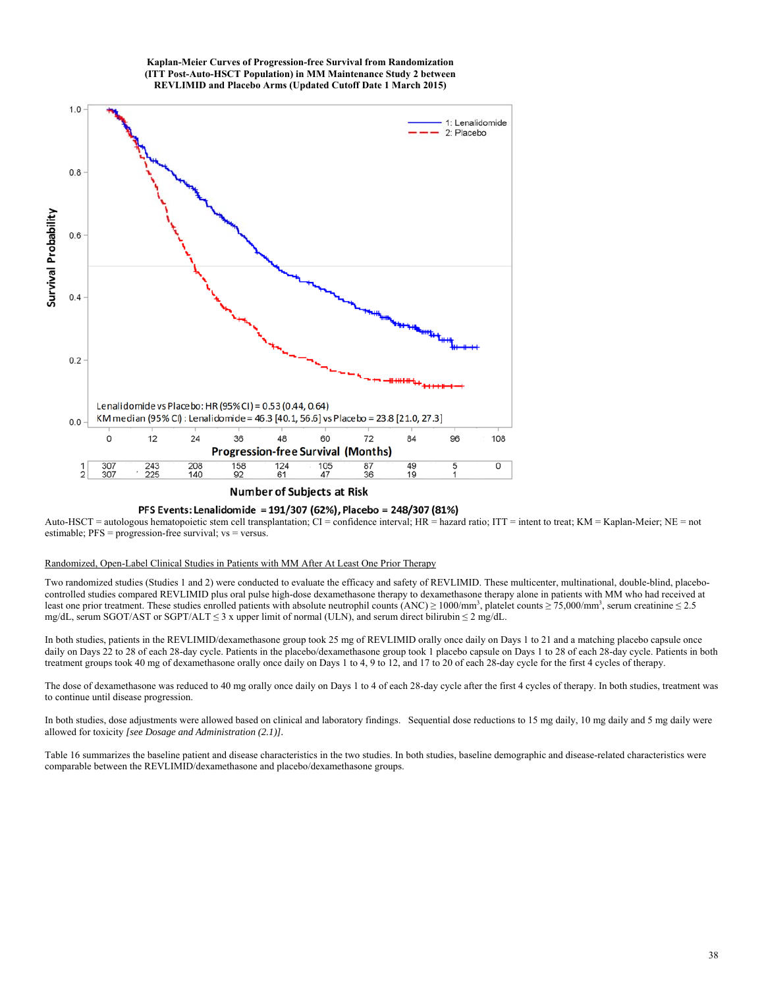#### **Kaplan-Meier Curves of Progression-free Survival from Randomization (ITT Post-Auto-HSCT Population) in MM Maintenance Study 2 between REVLIMID and Placebo Arms (Updated Cutoff Date 1 March 2015)**



# **Number of Subjects at Risk**

#### PFS Events: Lenalidomide = 191/307 (62%), Placebo = 248/307 (81%)

Auto-HSCT = autologous hematopoietic stem cell transplantation; CI = confidence interval; HR = hazard ratio; ITT = intent to treat; KM = Kaplan-Meier; NE = not estimable;  $PFS = progression-free$  survival;  $vs = versus$ .

## Randomized, Open-Label Clinical Studies in Patients with MM After At Least One Prior Therapy

Two randomized studies (Studies 1 and 2) were conducted to evaluate the efficacy and safety of REVLIMID. These multicenter, multinational, double-blind, placebocontrolled studies compared REVLIMID plus oral pulse high-dose dexamethasone therapy to dexamethasone therapy alone in patients with MM who had received at least one prior treatment. These studies enrolled patients with absolute neutrophil counts (ANC)  $\geq$  1000/mm<sup>3</sup>, platelet counts  $\geq$  75,000/mm<sup>3</sup>, serum creatinine  $\leq$  2.5 mg/dL, serum SGOT/AST or SGPT/ALT  $\leq$  3 x upper limit of normal (ULN), and serum direct bilirubin  $\leq$  2 mg/dL.

In both studies, patients in the REVLIMID/dexamethasone group took 25 mg of REVLIMID orally once daily on Days 1 to 21 and a matching placebo capsule once daily on Days 22 to 28 of each 28-day cycle. Patients in the placebo/dexamethasone group took 1 placebo capsule on Days 1 to 28 of each 28-day cycle. Patients in both treatment groups took 40 mg of dexamethasone orally once daily on Days 1 to 4, 9 to 12, and 17 to 20 of each 28-day cycle for the first 4 cycles of therapy.

The dose of dexamethasone was reduced to 40 mg orally once daily on Days 1 to 4 of each 28-day cycle after the first 4 cycles of therapy. In both studies, treatment was to continue until disease progression.

In both studies, dose adjustments were allowed based on clinical and laboratory findings. Sequential dose reductions to 15 mg daily, 10 mg daily and 5 mg daily were allowed for toxicity *[see Dosage and Administration (2.1)].*

Table 16 summarizes the baseline patient and disease characteristics in the two studies. In both studies, baseline demographic and disease-related characteristics were comparable between the REVLIMID/dexamethasone and placebo/dexamethasone groups.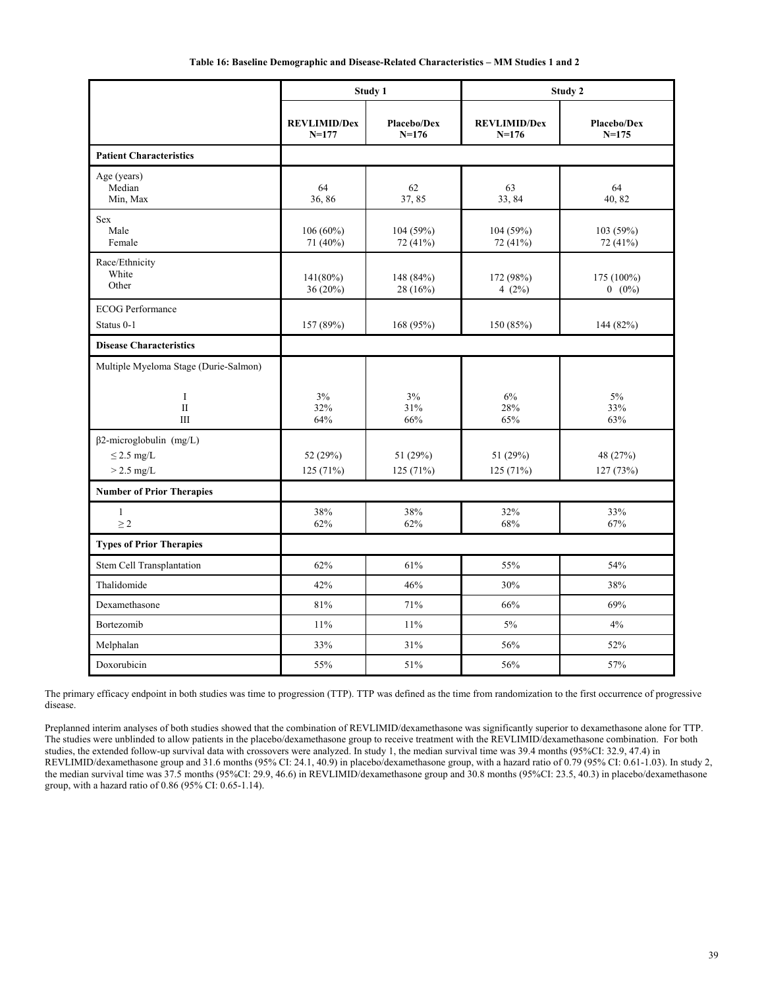|  |  |  |  | Table 16: Baseline Demographic and Disease-Related Characteristics – MM Studies 1 and 2 |
|--|--|--|--|-----------------------------------------------------------------------------------------|
|--|--|--|--|-----------------------------------------------------------------------------------------|

|                                                                   |                                  | Study 1                         |                                | Study 2                         |
|-------------------------------------------------------------------|----------------------------------|---------------------------------|--------------------------------|---------------------------------|
|                                                                   | <b>REVLIMID/Dex</b><br>$N = 177$ | <b>Placebo/Dex</b><br>$N = 176$ | <b>REVLIMID/Dex</b><br>$N=176$ | <b>Placebo/Dex</b><br>$N = 175$ |
| <b>Patient Characteristics</b>                                    |                                  |                                 |                                |                                 |
| Age (years)<br>Median<br>Min. Max                                 | 64<br>36,86                      | 62<br>37,85                     | 63<br>33,84                    | 64<br>40.82                     |
| <b>Sex</b><br>Male<br>Female                                      | $106(60\%)$<br>71 (40%)          | 104 (59%)<br>72 (41%)           | 104 (59%)<br>72 (41%)          | 103 (59%)<br>72 (41%)           |
| Race/Ethnicity<br>White<br>Other                                  | 141(80%)<br>36(20%)              | 148 (84%)<br>28 (16%)           | 172 (98%)<br>4 $(2%)$          | 175 (100%)<br>$0 (0\%)$         |
| <b>ECOG</b> Performance<br>Status 0-1                             | 157 (89%)                        | 168 (95%)                       | 150 (85%)                      | 144 (82%)                       |
| <b>Disease Characteristics</b>                                    |                                  |                                 |                                |                                 |
| Multiple Myeloma Stage (Durie-Salmon)                             |                                  |                                 |                                |                                 |
| $\bf{I}$<br>$\overline{\rm II}$<br>Ш                              | 3%<br>32%<br>64%                 | 3%<br>31%<br>66%                | 6%<br>28%<br>65%               | 5%<br>33%<br>63%                |
| $\beta$ 2-microglobulin (mg/L)<br>$\leq$ 2.5 mg/L<br>$> 2.5$ mg/L | 52 (29%)<br>125 (71%)            | 51 (29%)<br>125(71%)            | 51 (29%)<br>125(71%)           | 48 (27%)<br>127 (73%)           |
| <b>Number of Prior Therapies</b>                                  |                                  |                                 |                                |                                 |
| $\mathbf{1}$<br>$\geq$ 2                                          | 38%<br>62%                       | 38%<br>62%                      | 32%<br>68%                     | 33%<br>67%                      |
| <b>Types of Prior Therapies</b>                                   |                                  |                                 |                                |                                 |
| Stem Cell Transplantation                                         | 62%                              | 61%                             | 55%                            | 54%                             |
| Thalidomide                                                       | 42%                              | 46%                             | 30%                            | 38%                             |
| Dexamethasone                                                     | 81%                              | 71%                             | 66%                            | 69%                             |
| Bortezomib                                                        | 11%                              | 11%                             | 5%                             | 4%                              |
| Melphalan                                                         | 33%                              | 31%                             | 56%                            | 52%                             |
| Doxorubicin                                                       | 55%                              | 51%                             | 56%                            | 57%                             |

The primary efficacy endpoint in both studies was time to progression (TTP). TTP was defined as the time from randomization to the first occurrence of progressive disease.

Preplanned interim analyses of both studies showed that the combination of REVLIMID/dexamethasone was significantly superior to dexamethasone alone for TTP. The studies were unblinded to allow patients in the placebo/dexamethasone group to receive treatment with the REVLIMID/dexamethasone combination. For both studies, the extended follow-up survival data with crossovers were analyzed. In study 1, the median survival time was 39.4 months (95%CI: 32.9, 47.4) in REVLIMID/dexamethasone group and 31.6 months (95% CI: 24.1, 40.9) in placebo/dexamethasone group, with a hazard ratio of 0.79 (95% CI: 0.61-1.03). In study 2, the median survival time was 37.5 months (95%CI: 29.9, 46.6) in REVLIMID/dexamethasone group and 30.8 months (95%CI: 23.5, 40.3) in placebo/dexamethasone group, with a hazard ratio of 0.86 (95% CI: 0.65-1.14).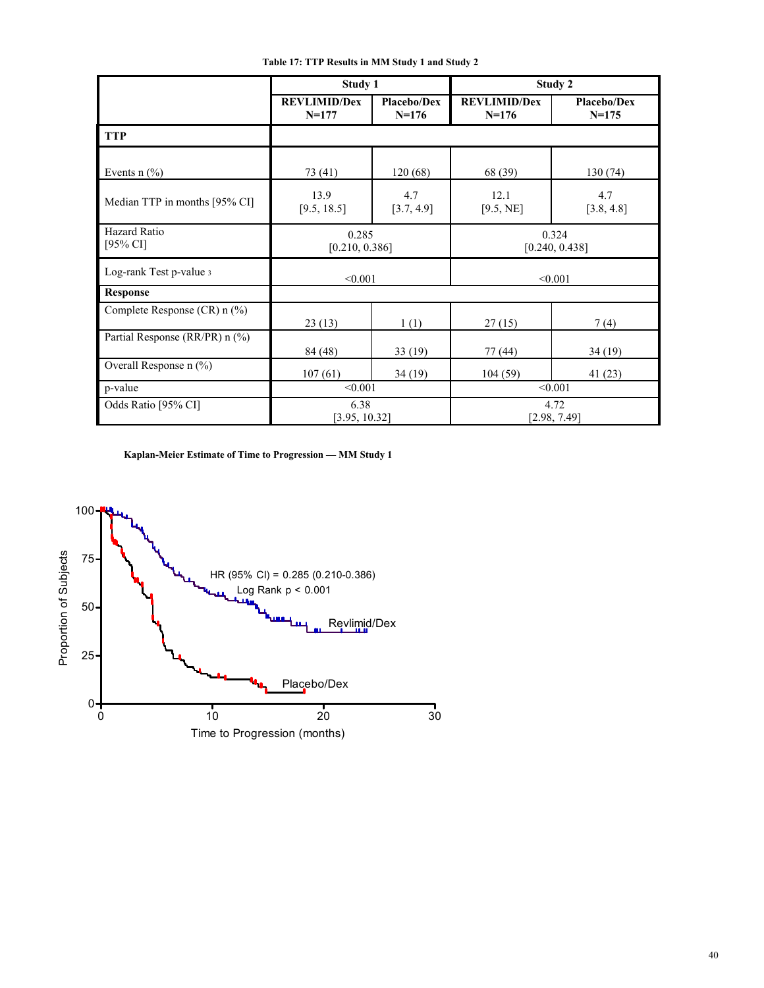**Table 17: TTP Results in MM Study 1 and Study 2** 

|                                       | Study 1                          |                               |                                | Study 2                  |  |
|---------------------------------------|----------------------------------|-------------------------------|--------------------------------|--------------------------|--|
|                                       | <b>REVLIMID/Dex</b><br>$N = 177$ | <b>Placebo/Dex</b><br>$N=176$ | <b>REVLIMID/Dex</b><br>$N=176$ | Placebo/Dex<br>$N = 175$ |  |
| <b>TTP</b>                            |                                  |                               |                                |                          |  |
| Events $n$ $\left(\frac{9}{6}\right)$ | 73 (41)                          | 120(68)                       | 68 (39)                        | 130 (74)                 |  |
| Median TTP in months [95% CI]         | 13.9<br>[9.5, 18.5]              | 4.7<br>[3.7, 4.9]             | 12.1<br>[9.5, NE]              | 4.7<br>[3.8, 4.8]        |  |
| Hazard Ratio<br>[95% CI]              | 0.285<br>[0.210, 0.386]          |                               | 0.324<br>[0.240, 0.438]        |                          |  |
| Log-rank Test p-value 3               | < 0.001                          |                               | < 0.001                        |                          |  |
| <b>Response</b>                       |                                  |                               |                                |                          |  |
| Complete Response (CR) n (%)          | 23(13)                           | 1(1)                          | 27(15)                         | 7(4)                     |  |
| Partial Response (RR/PR) n (%)        | 84 (48)                          | 33(19)                        | 77(44)                         | 34 (19)                  |  |
| Overall Response n (%)                | 107(61)                          | 34(19)                        | 104(59)                        | 41 (23)                  |  |
| p-value                               | < 0.001                          |                               | < 0.001                        |                          |  |
| Odds Ratio [95% CI]                   | 6.38<br>[3.95, 10.32]            |                               |                                | 4.72<br>[2.98, 7.49]     |  |

**Kaplan-Meier Estimate of Time to Progression — MM Study 1** 

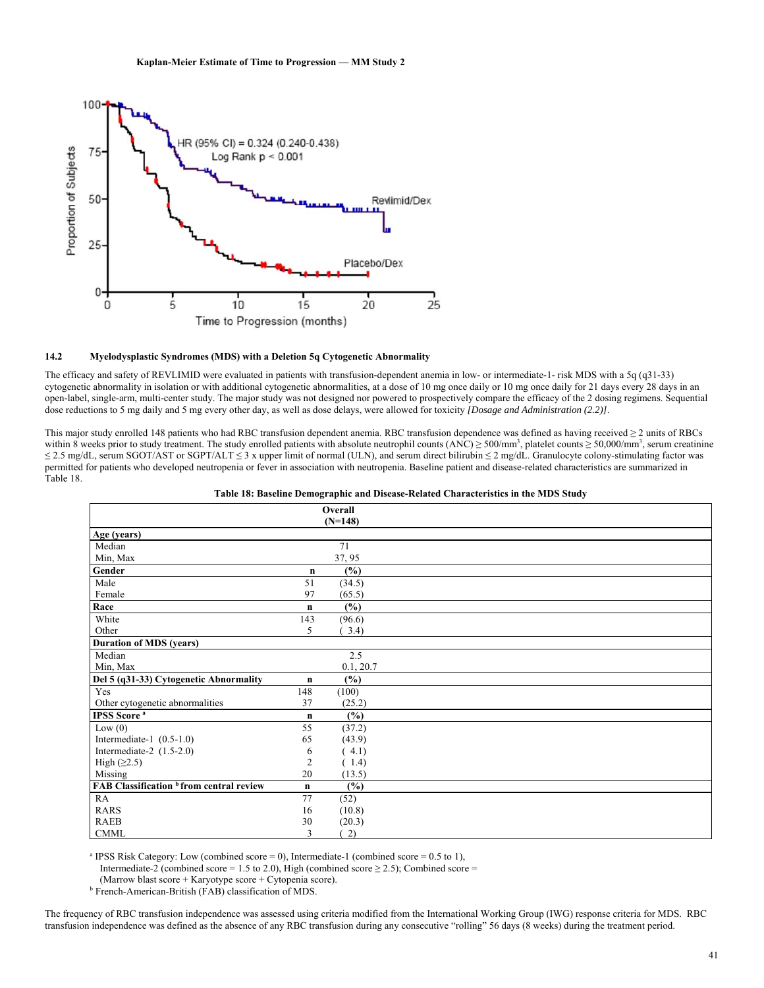

## **14.2 Myelodysplastic Syndromes (MDS) with a Deletion 5q Cytogenetic Abnormality**

The efficacy and safety of REVLIMID were evaluated in patients with transfusion-dependent anemia in low- or intermediate-1- risk MDS with a 5q (q31-33) cytogenetic abnormality in isolation or with additional cytogenetic abnormalities, at a dose of 10 mg once daily or 10 mg once daily for 21 days every 28 days in an open-label, single-arm, multi-center study. The major study was not designed nor powered to prospectively compare the efficacy of the 2 dosing regimens. Sequential dose reductions to 5 mg daily and 5 mg every other day, as well as dose delays, were allowed for toxicity *[Dosage and Administration (2.2)]*.

This major study enrolled 148 patients who had RBC transfusion dependent anemia. RBC transfusion dependence was defined as having received ≥ 2 units of RBCs within 8 weeks prior to study treatment. The study enrolled patients with absolute neutrophil counts (ANC)  $\geq$  500/mm<sup>3</sup>, platelet counts  $\geq$  50,000/mm<sup>3</sup>, serum creatinine ≤ 2.5 mg/dL, serum SGOT/AST or SGPT/ALT ≤ 3 x upper limit of normal (ULN), and serum direct bilirubin ≤ 2 mg/dL. Granulocyte colony-stimulating factor was permitted for patients who developed neutropenia or fever in association with neutropenia. Baseline patient and disease-related characteristics are summarized in Table 18.

| Table 18: Baseline Demographic and Disease-Related Characteristics in the MDS Study |  |  |
|-------------------------------------------------------------------------------------|--|--|
|                                                                                     |  |  |

|                                                     |                | Overall<br>$(N=148)$ |  |
|-----------------------------------------------------|----------------|----------------------|--|
| Age (years)                                         |                |                      |  |
| Median                                              |                | 71                   |  |
| Min, Max                                            |                | 37, 95               |  |
| Gender                                              | $\mathbf n$    | (%)                  |  |
| Male                                                | 51             | (34.5)               |  |
| Female                                              | 97             | (65.5)               |  |
| Race                                                | $\mathbf n$    | $(\%)$               |  |
| White                                               | 143            | (96.6)               |  |
| Other                                               | 5              | 3.4)                 |  |
| <b>Duration of MDS (years)</b>                      |                |                      |  |
| Median                                              |                | 2.5                  |  |
| Min, Max                                            |                | 0.1, 20.7            |  |
| Del 5 (q31-33) Cytogenetic Abnormality              | $\mathbf n$    | $(\%)$               |  |
| Yes                                                 | 148            | (100)                |  |
| Other cytogenetic abnormalities                     | 37             | (25.2)               |  |
| <b>IPSS</b> Score <sup>a</sup>                      | $\mathbf n$    | (%)                  |  |
| Low(0)                                              | 55             | (37.2)               |  |
| Intermediate-1 $(0.5-1.0)$                          | 65             | (43.9)               |  |
| Intermediate-2 $(1.5-2.0)$                          | 6              | (4.1)                |  |
| High $(≥2.5)$                                       | $\overline{c}$ | (1.4)                |  |
| Missing                                             | 20             | (13.5)               |  |
| FAB Classification <sup>b</sup> from central review | $\mathbf n$    | $(\%)$               |  |
| RA                                                  | 77             | (52)                 |  |
| <b>RARS</b>                                         | 16             | (10.8)               |  |
| <b>RAEB</b>                                         | 30             | (20.3)               |  |
| <b>CMML</b>                                         | 3              | 2)                   |  |

<sup>a</sup> IPSS Risk Category: Low (combined score = 0), Intermediate-1 (combined score = 0.5 to 1),

Intermediate-2 (combined score = 1.5 to 2.0), High (combined score  $\geq$  2.5); Combined score =

(Marrow blast score + Karyotype score + Cytopenia score).

<sup>b</sup> French-American-British (FAB) classification of MDS.

The frequency of RBC transfusion independence was assessed using criteria modified from the International Working Group (IWG) response criteria for MDS. RBC transfusion independence was defined as the absence of any RBC transfusion during any consecutive "rolling" 56 days (8 weeks) during the treatment period.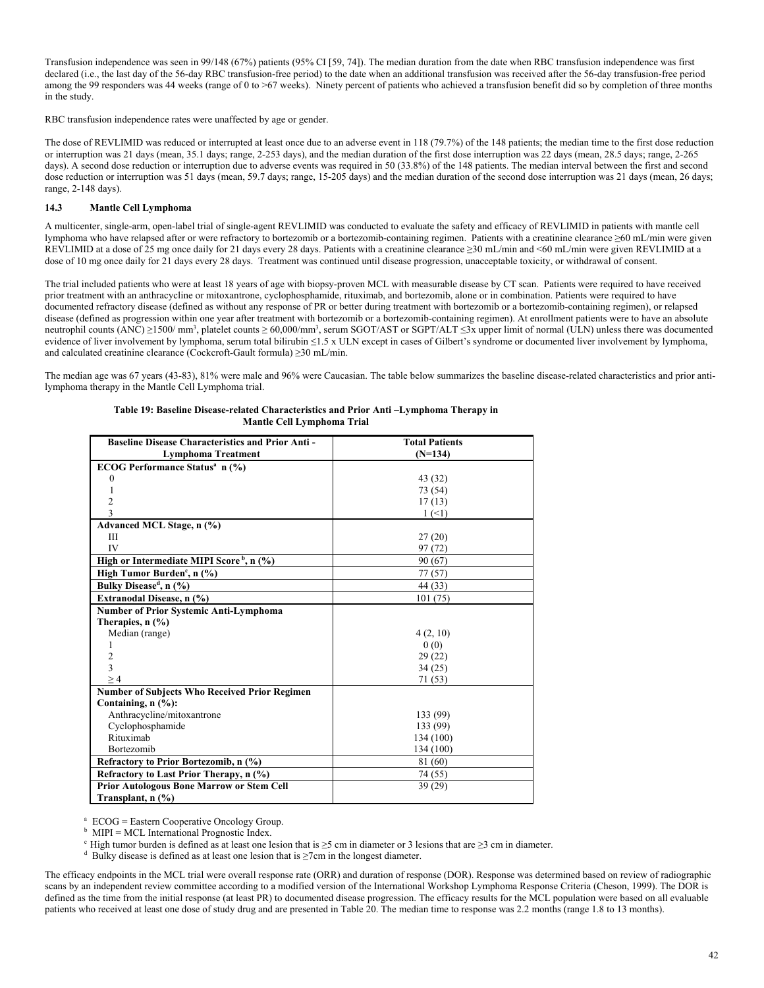Transfusion independence was seen in 99/148 (67%) patients (95% CI [59, 74]). The median duration from the date when RBC transfusion independence was first declared (i.e., the last day of the 56-day RBC transfusion-free period) to the date when an additional transfusion was received after the 56-day transfusion-free period among the 99 responders was 44 weeks (range of 0 to >67 weeks). Ninety percent of patients who achieved a transfusion benefit did so by completion of three months in the study.

RBC transfusion independence rates were unaffected by age or gender.

The dose of REVLIMID was reduced or interrupted at least once due to an adverse event in 118 (79.7%) of the 148 patients; the median time to the first dose reduction or interruption was 21 days (mean, 35.1 days; range, 2-253 days), and the median duration of the first dose interruption was 22 days (mean, 28.5 days; range, 2-265 days). A second dose reduction or interruption due to adverse events was required in 50 (33.8%) of the 148 patients. The median interval between the first and second dose reduction or interruption was 51 days (mean, 59.7 days; range, 15-205 days) and the median duration of the second dose interruption was 21 days (mean, 26 days; range, 2-148 days).

## **14.3 Mantle Cell Lymphoma**

A multicenter, single-arm, open-label trial of single-agent REVLIMID was conducted to evaluate the safety and efficacy of REVLIMID in patients with mantle cell lymphoma who have relapsed after or were refractory to bortezomib or a bortezomib-containing regimen. Patients with a creatinine clearance ≥60 mL/min were given REVLIMID at a dose of 25 mg once daily for 21 days every 28 days. Patients with a creatinine clearance ≥30 mL/min and <60 mL/min were given REVLIMID at a dose of 10 mg once daily for 21 days every 28 days. Treatment was continued until disease progression, unacceptable toxicity, or withdrawal of consent.

The trial included patients who were at least 18 years of age with biopsy-proven MCL with measurable disease by CT scan. Patients were required to have received prior treatment with an anthracycline or mitoxantrone, cyclophosphamide, rituximab, and bortezomib, alone or in combination. Patients were required to have documented refractory disease (defined as without any response of PR or better during treatment with bortezomib or a bortezomib-containing regimen), or relapsed disease (defined as progression within one year after treatment with bortezomib or a bortezomib-containing regimen). At enrollment patients were to have an absolute neutrophil counts (ANC) ≥1500/ mm<sup>3</sup>, platelet counts ≥ 60,000/mm<sup>3</sup>, serum SGOT/AST or SGPT/ALT ≤3x upper limit of normal (ULN) unless there was documented evidence of liver involvement by lymphoma, serum total bilirubin ≤1.5 x ULN except in cases of Gilbert's syndrome or documented liver involvement by lymphoma, and calculated creatinine clearance (Cockcroft-Gault formula) ≥30 mL/min.

The median age was 67 years (43-83), 81% were male and 96% were Caucasian. The table below summarizes the baseline disease-related characteristics and prior antilymphoma therapy in the Mantle Cell Lymphoma trial.

| <b>Baseline Disease Characteristics and Prior Anti -</b> | <b>Total Patients</b> |
|----------------------------------------------------------|-----------------------|
| <b>Lymphoma Treatment</b>                                | $(N=134)$             |
| <b>ECOG Performance Status<sup>a</sup></b> n (%)         |                       |
| 0                                                        | 43 (32)               |
|                                                          | 73 (54)               |
| $\overline{2}$                                           | 17(13)                |
| 3                                                        | $1 (\leq 1)$          |
| Advanced MCL Stage, n (%)                                |                       |
| Ш                                                        | 27(20)                |
| IV                                                       | 97 (72)               |
| High or Intermediate MIPI Score <sup>b</sup> , n $(\%)$  | 90 (67)               |
| High Tumor Burden <sup>c</sup> , n $(\%)$                | 77(57)                |
| Bulky Disease <sup>d</sup> , n (%)                       | 44 (33)               |
| Extranodal Disease, n (%)                                | 101 (75)              |
| Number of Prior Systemic Anti-Lymphoma                   |                       |
| Therapies, $n$ $\left(\frac{9}{6}\right)$                |                       |
| Median (range)                                           | 4(2, 10)              |
|                                                          | 0(0)                  |
| $\overline{c}$                                           | 29(22)                |
| 3                                                        | 34(25)                |
| >4                                                       | 71 (53)               |
| <b>Number of Subjects Who Received Prior Regimen</b>     |                       |
| Containing, n (%):                                       |                       |
| Anthracycline/mitoxantrone                               | 133 (99)              |
| Cyclophosphamide                                         | 133 (99)              |
| Rituximab                                                | 134 (100)             |
| Bortezomib                                               | 134 (100)             |
| Refractory to Prior Bortezomib, n (%)                    | 81 (60)               |
| Refractory to Last Prior Therapy, n (%)                  | 74 (55)               |
| <b>Prior Autologous Bone Marrow or Stem Cell</b>         | 39(29)                |
| Transplant, $n$ $(\%)$                                   |                       |

| Table 19: Baseline Disease-related Characteristics and Prior Anti-Lymphoma Therapy in |
|---------------------------------------------------------------------------------------|
| Mantle Cell Lymphoma Trial                                                            |

a ECOG = Eastern Cooperative Oncology Group.

 $<sup>b</sup>$  MIPI = MCL International Prognostic Index.</sup>

 $\epsilon$  High tumor burden is defined as at least one lesion that is ≥5 cm in diameter or 3 lesions that are ≥3 cm in diameter.

<sup>d</sup> Bulky disease is defined as at least one lesion that is  $\geq$ 7cm in the longest diameter.

The efficacy endpoints in the MCL trial were overall response rate (ORR) and duration of response (DOR). Response was determined based on review of radiographic scans by an independent review committee according to a modified version of the International Workshop Lymphoma Response Criteria (Cheson, 1999). The DOR is defined as the time from the initial response (at least PR) to documented disease progression. The efficacy results for the MCL population were based on all evaluable patients who received at least one dose of study drug and are presented in Table 20. The median time to response was 2.2 months (range 1.8 to 13 months).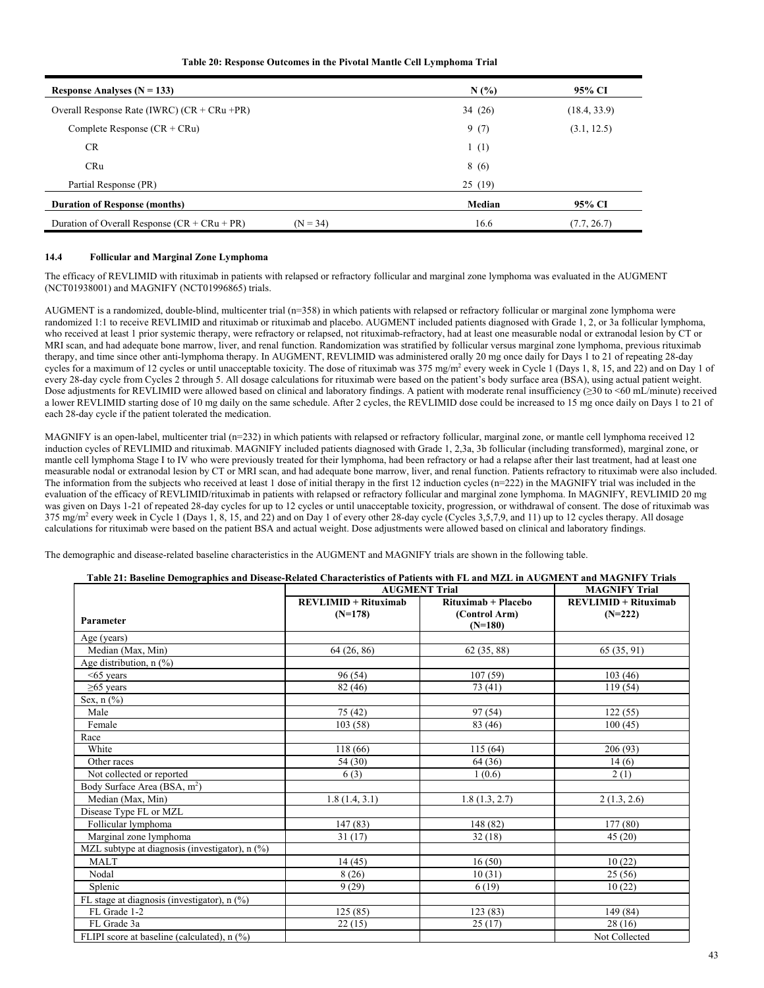## **Table 20: Response Outcomes in the Pivotal Mantle Cell Lymphoma Trial**

| Response Analyses $(N = 133)$                                | N(%)   | 95% CI       |
|--------------------------------------------------------------|--------|--------------|
| Overall Response Rate (IWRC) $(CR + CRu + PR)$               | 34(26) | (18.4, 33.9) |
| Complete Response $(CR + CRu)$                               | 9(7)   | (3.1, 12.5)  |
| <b>CR</b>                                                    | 1(1)   |              |
| <b>CRu</b>                                                   | 8(6)   |              |
| Partial Response (PR)                                        | 25(19) |              |
| <b>Duration of Response (months)</b>                         | Median | 95% CI       |
| Duration of Overall Response $(CR + CRu + PR)$<br>$(N = 34)$ | 16.6   | (7.7, 26.7)  |

## **14.4 Follicular and Marginal Zone Lymphoma**

The efficacy of REVLIMID with rituximab in patients with relapsed or refractory follicular and marginal zone lymphoma was evaluated in the AUGMENT (NCT01938001) and MAGNIFY (NCT01996865) trials.

AUGMENT is a randomized, double-blind, multicenter trial (n=358) in which patients with relapsed or refractory follicular or marginal zone lymphoma were randomized 1:1 to receive REVLIMID and rituximab or rituximab and placebo. AUGMENT included patients diagnosed with Grade 1, 2, or 3a follicular lymphoma, who received at least 1 prior systemic therapy, were refractory or relapsed, not rituximab-refractory, had at least one measurable nodal or extranodal lesion by CT or MRI scan, and had adequate bone marrow, liver, and renal function. Randomization was stratified by follicular versus marginal zone lymphoma, previous rituximab therapy, and time since other anti-lymphoma therapy. In AUGMENT, REVLIMID was administered orally 20 mg once daily for Days 1 to 21 of repeating 28-day cycles for a maximum of 12 cycles or until unacceptable toxicity. The dose of rituximab was 375 mg/m<sup>2</sup> every week in Cycle 1 (Days 1, 8, 15, and 22) and on Day 1 of every 28-day cycle from Cycles 2 through 5. All dosage calculations for rituximab were based on the patient's body surface area (BSA), using actual patient weight. Dose adjustments for REVLIMID were allowed based on clinical and laboratory findings. A patient with moderate renal insufficiency (≥30 to <60 mL/minute) received a lower REVLIMID starting dose of 10 mg daily on the same schedule. After 2 cycles, the REVLIMID dose could be increased to 15 mg once daily on Days 1 to 21 of each 28-day cycle if the patient tolerated the medication.

MAGNIFY is an open-label, multicenter trial (n=232) in which patients with relapsed or refractory follicular, marginal zone, or mantle cell lymphoma received 12 induction cycles of REVLIMID and rituximab. MAGNIFY included patients diagnosed with Grade 1, 2,3a, 3b follicular (including transformed), marginal zone, or mantle cell lymphoma Stage I to IV who were previously treated for their lymphoma, had been refractory or had a relapse after their last treatment, had at least one measurable nodal or extranodal lesion by CT or MRI scan, and had adequate bone marrow, liver, and renal function. Patients refractory to rituximab were also included. The information from the subjects who received at least 1 dose of initial therapy in the first 12 induction cycles  $(n=222)$  in the MAGNIFY trial was included in the evaluation of the efficacy of REVLIMID/rituximab in patients with relapsed or refractory follicular and marginal zone lymphoma. In MAGNIFY, REVLIMID 20 mg was given on Days 1-21 of repeated 28-day cycles for up to 12 cycles or until unacceptable toxicity, progression, or withdrawal of consent. The dose of rituximab was 375 mg/m<sup>2</sup> every week in Cycle 1 (Days 1, 8, 15, and 22) and on Day 1 of every other 28-day cycle (Cycles 3,5,7,9, and 11) up to 12 cycles therapy. All dosage calculations for rituximab were based on the patient BSA and actual weight. Dose adjustments were allowed based on clinical and laboratory findings.

The demographic and disease-related baseline characteristics in the AUGMENT and MAGNIFY trials are shown in the following table.

## **Table 21: Baseline Demographics and Disease-Related Characteristics of Patients with FL and MZL in AUGMENT and MAGNIFY Trials**

|                                                  | <b>AUGMENT Trial</b>   |                            | <b>MAGNIFY Trial</b>   |
|--------------------------------------------------|------------------------|----------------------------|------------------------|
|                                                  | $REVLIMID + Rituximab$ | Rituximab + Placebo        | $REVLIMID + Rituximab$ |
| Parameter                                        | $(N=178)$              | (Control Arm)<br>$(N=180)$ | $(N=222)$              |
| Age (years)                                      |                        |                            |                        |
| Median (Max, Min)                                | 64(26, 86)             | 62 (35, 88)                | 65 (35, 91)            |
| Age distribution, $n$ (%)                        |                        |                            |                        |
| $<65$ years                                      | 96 (54)                | 107(59)                    | 103(46)                |
| $\geq 65$ years                                  | 82 (46)                | 73 (41)                    | 119(54)                |
| Sex, $n$ $(\%)$                                  |                        |                            |                        |
| Male                                             | 75 (42)                | 97(54)                     | 122(55)                |
| Female                                           | 103(58)                | 83 (46)                    | 100(45)                |
| Race                                             |                        |                            |                        |
| White                                            | 118 (66)               | 115(64)                    | 206(93)                |
| Other races                                      | 54 (30)                | 64 (36)                    | 14(6)                  |
| Not collected or reported                        | 6(3)                   | 1(0.6)                     | 2(1)                   |
| Body Surface Area (BSA, m <sup>2</sup> )         |                        |                            |                        |
| Median (Max, Min)                                | 1.8(1.4, 3.1)          | 1.8(1.3, 2.7)              | 2(1.3, 2.6)            |
| Disease Type FL or MZL                           |                        |                            |                        |
| Follicular lymphoma                              | 147(83)                | 148 (82)                   | 177 (80)               |
| Marginal zone lymphoma                           | 31(17)                 | 32(18)                     | 45(20)                 |
| MZL subtype at diagnosis (investigator), $n$ (%) |                        |                            |                        |
| <b>MALT</b>                                      | 14(45)                 | 16(50)                     | 10(22)                 |
| Nodal                                            | 8(26)                  | 10(31)                     | 25(56)                 |
| Splenic                                          | 9(29)                  | 6(19)                      | 10(22)                 |
| FL stage at diagnosis (investigator), n (%)      |                        |                            |                        |
| FL Grade 1-2                                     | 125(85)                | 123(83)                    | $\overline{149} (84)$  |
| FL Grade 3a                                      | 22(15)                 | 25(17)                     | 28(16)                 |
| FLIPI score at baseline (calculated), n (%)      |                        |                            | Not Collected          |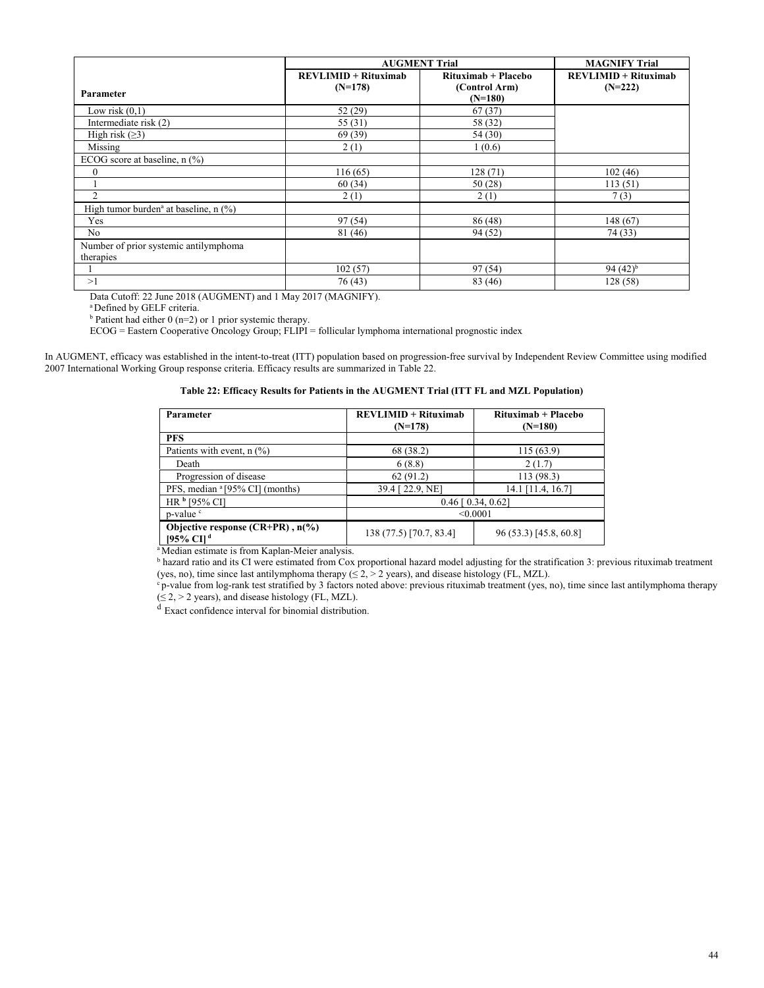|                                                     | <b>AUGMENT Trial</b> |                       | <b>MAGNIFY Trial</b>     |
|-----------------------------------------------------|----------------------|-----------------------|--------------------------|
|                                                     | $REVLIMID + Ritu\xi$ | $Rituximab + Placebo$ | $REVLIMID + Ritu xima b$ |
| Parameter                                           | $(N=178)$            | (Control Arm)         | $(N=222)$                |
|                                                     |                      | $(N=180)$             |                          |
| Low risk $(0,1)$                                    | 52 (29)              | 67(37)                |                          |
| Intermediate risk (2)                               | 55 (31)              | 58 (32)               |                          |
| High risk $(\geq 3)$                                | 69(39)               | 54 (30)               |                          |
| Missing                                             | 2(1)                 | 1(0.6)                |                          |
| ECOG score at baseline, $n$ (%)                     |                      |                       |                          |
| $\theta$                                            | 116(65)              | 128(71)               | 102(46)                  |
|                                                     | 60(34)               | 50(28)                | 113(51)                  |
| $\mathfrak{D}$                                      | 2(1)                 | 2(1)                  | 7(3)                     |
| High tumor burden <sup>a</sup> at baseline, $n$ (%) |                      |                       |                          |
| Yes                                                 | 97(54)               | 86(48)                | 148(67)                  |
| No                                                  | 81 (46)              | 94 (52)               | 74 (33)                  |
| Number of prior systemic antilymphoma               |                      |                       |                          |
| therapies                                           |                      |                       |                          |
|                                                     | 102(57)              | 97(54)                | 94 $(42)^{b}$            |
| >1                                                  | 76(43)               | 83 (46)               | 128(58)                  |

Data Cutoff: 22 June 2018 (AUGMENT) and 1 May 2017 (MAGNIFY).<br><sup>a</sup> Defined by GELF criteria.

 $b$  Patient had either  $0$  (n=2) or 1 prior systemic therapy.

 $ECOG = Eastern Cooperative Oncology Group; FLIPI = follicular lymphoma international prognostic index$ 

In AUGMENT, efficacy was established in the intent-to-treat (ITT) population based on progression-free survival by Independent Review Committee using modified 2007 International Working Group response criteria. Efficacy results are summarized in Table 22.

| Table 22: Efficacy Results for Patients in the AUGMENT Trial (ITT FL and MZL Population) |  |  |  |
|------------------------------------------------------------------------------------------|--|--|--|
|                                                                                          |  |  |  |

| Parameter                                                         | $REVLIMID + Rituxi$<br>$(N=178)$ | Rituximab + Placebo<br>$(N=180)$ |
|-------------------------------------------------------------------|----------------------------------|----------------------------------|
| <b>PFS</b>                                                        |                                  |                                  |
| Patients with event, $n$ (%)                                      | 68 (38.2)                        | 115 (63.9)                       |
| Death                                                             | 6(8.8)                           | 2(1.7)                           |
| Progression of disease                                            | 62(91.2)                         | 113 (98.3)                       |
| PFS, median <sup>a</sup> [95% CI] (months)                        | 39.4 [22.9, NE]                  | 14.1 [11.4, 16.7]                |
| HR <sup>b</sup> [95% CI]                                          | $0.46$ [ $0.34$ , $0.62$ ]       |                                  |
| p-value <sup>c</sup>                                              | < 0.0001                         |                                  |
| Objective response $(CR+PR)$ , $n\llap/$<br>[95% CI] <sup>d</sup> | 138 (77.5) [70.7, 83.4]          | 96 (53.3) [45.8, 60.8]           |

<sup>a</sup> Median estimate is from Kaplan-Meier analysis.

<sup>b</sup> hazard ratio and its CI were estimated from Cox proportional hazard model adjusting for the stratification 3: previous rituximab treatment (yes, no), time since last antilymphoma therapy  $(\le 2, > 2$  years), and disease histology (FL, MZL).<br>
"p-value from log-rank test stratified by 3 factors noted above: previous rituximab treatment (yes, no), time since last

 $(≤ 2, > 2$  years), and disease histology (FL, MZL).

<sup>d</sup> Exact confidence interval for binomial distribution.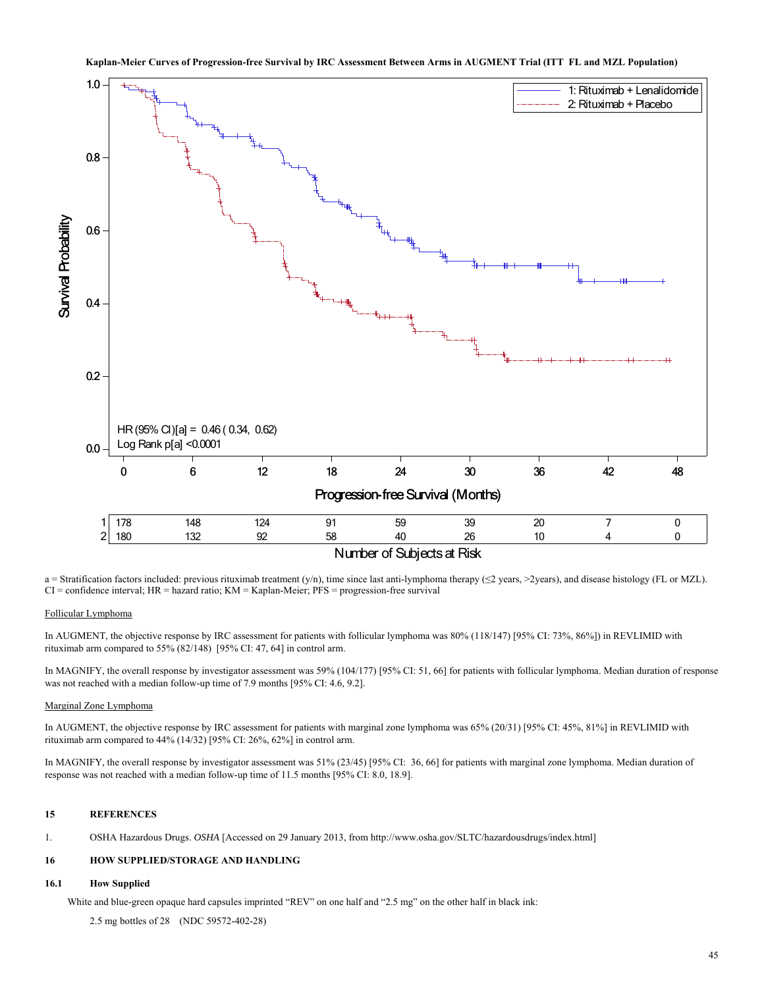

Number of Subjects at Risk

a = Stratification factors included: previous rituximab treatment (y/n), time since last anti-lymphoma therapy ( $\leq$ 2 years, >2years), and disease histology (FL or MZL). CI = confidence interval; HR = hazard ratio; KM = Kaplan-Meier; PFS = progression-free survival

#### Follicular Lymphoma

In AUGMENT, the objective response by IRC assessment for patients with follicular lymphoma was 80% (118/147) [95% CI: 73%, 86%]) in REVLIMID with rituximab arm compared to 55% (82/148) [95% CI: 47, 64] in control arm.

In MAGNIFY, the overall response by investigator assessment was 59% (104/177) [95% CI: 51, 66] for patients with follicular lymphoma. Median duration of response was not reached with a median follow-up time of 7.9 months [95% CI: 4.6, 9.2].

#### Marginal Zone Lymphoma

In AUGMENT, the objective response by IRC assessment for patients with marginal zone lymphoma was 65% (20/31) [95% CI: 45%, 81%] in REVLIMID with rituximab arm compared to 44% (14/32) [95% CI: 26%, 62%] in control arm.

In MAGNIFY, the overall response by investigator assessment was 51% (23/45) [95% CI: 36, 66] for patients with marginal zone lymphoma. Median duration of response was not reached with a median follow-up time of 11.5 months [95% CI: 8.0, 18.9].

## **15 REFERENCES**

1. OSHA Hazardous Drugs. *OSHA* [Accessed on 29 January 2013, from http://www.osha.gov/SLTC/hazardousdrugs/index.html]

## **16 HOW SUPPLIED/STORAGE AND HANDLING**

## **16.1 How Supplied**

White and blue-green opaque hard capsules imprinted "REV" on one half and "2.5 mg" on the other half in black ink:

2.5 mg bottles of 28 (NDC 59572-402-28)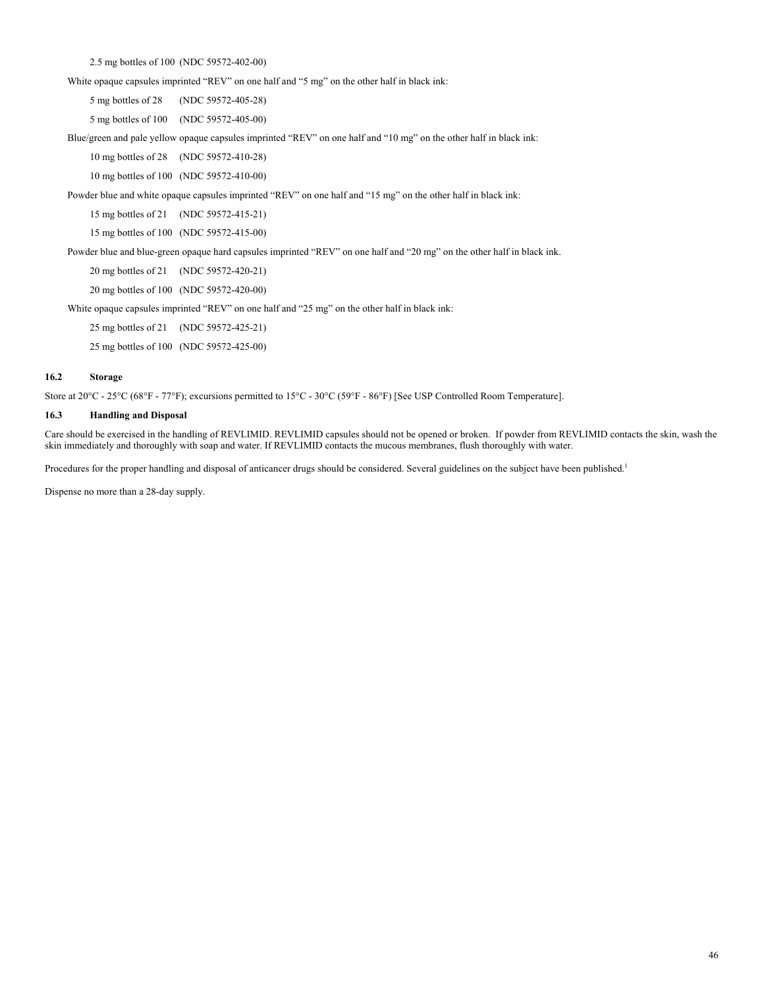2.5 mg bottles of 100 (NDC 59572-402-00)

White opaque capsules imprinted "REV" on one half and "5 mg" on the other half in black ink:

5 mg bottles of 28 (NDC 59572-405-28)

5 mg bottles of 100 (NDC 59572-405-00)

Blue/green and pale yellow opaque capsules imprinted "REV" on one half and "10 mg" on the other half in black ink:

10 mg bottles of 28 (NDC 59572-410-28)

10 mg bottles of 100 (NDC 59572-410-00)

Powder blue and white opaque capsules imprinted "REV" on one half and "15 mg" on the other half in black ink:

15 mg bottles of 21 (NDC 59572-415-21)

15 mg bottles of 100 (NDC 59572-415-00)

Powder blue and blue-green opaque hard capsules imprinted "REV" on one half and "20 mg" on the other half in black ink.

20 mg bottles of 21 (NDC 59572-420-21)

20 mg bottles of 100 (NDC 59572-420-00)

White opaque capsules imprinted "REV" on one half and "25 mg" on the other half in black ink:

25 mg bottles of 21 (NDC 59572-425-21)

25 mg bottles of 100 (NDC 59572-425-00)

## **16.2 Storage**

Store at 20°C - 25°C (68°F - 77°F); excursions permitted to 15°C - 30°C (59°F - 86°F) [See USP Controlled Room Temperature].

#### **16.3 Handling and Disposal**

Care should be exercised in the handling of REVLIMID. REVLIMID capsules should not be opened or broken. If powder from REVLIMID contacts the skin, wash the skin immediately and thoroughly with soap and water. If REVLIMID contacts the mucous membranes, flush thoroughly with water.

Procedures for the proper handling and disposal of anticancer drugs should be considered. Several guidelines on the subject have been published.<sup>1</sup>

Dispense no more than a 28-day supply.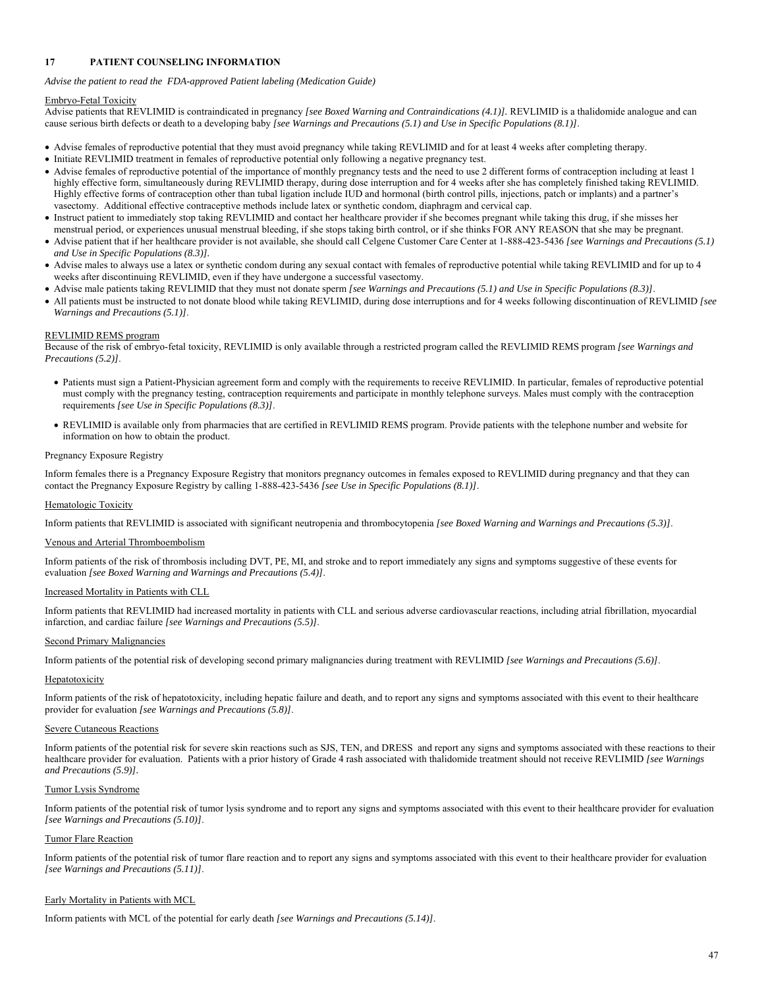## **17 PATIENT COUNSELING INFORMATION**

*Advise the patient to read the FDA-approved Patient labeling (Medication Guide)* 

## Embryo-Fetal Toxicity

Advise patients that REVLIMID is contraindicated in pregnancy *[see Boxed Warning and Contraindications (4.1)]*. REVLIMID is a thalidomide analogue and can cause serious birth defects or death to a developing baby *[see Warnings and Precautions (5.1) and Use in Specific Populations (8.1)]*.

- Advise females of reproductive potential that they must avoid pregnancy while taking REVLIMID and for at least 4 weeks after completing therapy.
- Initiate REVLIMID treatment in females of reproductive potential only following a negative pregnancy test.
- Advise females of reproductive potential of the importance of monthly pregnancy tests and the need to use 2 different forms of contraception including at least 1 highly effective form, simultaneously during REVLIMID therapy, during dose interruption and for 4 weeks after she has completely finished taking REVLIMID. Highly effective forms of contraception other than tubal ligation include IUD and hormonal (birth control pills, injections, patch or implants) and a partner's vasectomy. Additional effective contraceptive methods include latex or synthetic condom, diaphragm and cervical cap.
- Instruct patient to immediately stop taking REVLIMID and contact her healthcare provider if she becomes pregnant while taking this drug, if she misses her menstrual period, or experiences unusual menstrual bleeding, if she stops taking birth control, or if she thinks FOR ANY REASON that she may be pregnant.
- Advise patient that if her healthcare provider is not available, she should call Celgene Customer Care Center at 1-888-423-5436 *[see Warnings and Precautions (5.1) and Use in Specific Populations (8.3)].*
- Advise males to always use a latex or synthetic condom during any sexual contact with females of reproductive potential while taking REVLIMID and for up to 4 weeks after discontinuing REVLIMID, even if they have undergone a successful vasectomy.
- Advise male patients taking REVLIMID that they must not donate sperm *[see Warnings and Precautions (5.1) and Use in Specific Populations (8.3)]*.
- All patients must be instructed to not donate blood while taking REVLIMID, during dose interruptions and for 4 weeks following discontinuation of REVLIMID *[see Warnings and Precautions (5.1)]*.

# REVLIMID REMS program

Because of the risk of embryo-fetal toxicity, REVLIMID is only available through a restricted program called the REVLIMID REMS program *[see Warnings and Precautions (5.2)]*.

- Patients must sign a Patient-Physician agreement form and comply with the requirements to receive REVLIMID. In particular, females of reproductive potential must comply with the pregnancy testing, contraception requirements and participate in monthly telephone surveys. Males must comply with the contraception requirements *[see Use in Specific Populations (8.3)]*.
- REVLIMID is available only from pharmacies that are certified in REVLIMID REMS program. Provide patients with the telephone number and website for information on how to obtain the product.

## Pregnancy Exposure Registry

Inform females there is a Pregnancy Exposure Registry that monitors pregnancy outcomes in females exposed to REVLIMID during pregnancy and that they can contact the Pregnancy Exposure Registry by calling 1-888-423-5436 *[see Use in Specific Populations (8.1)]*.

## Hematologic Toxicity

Inform patients that REVLIMID is associated with significant neutropenia and thrombocytopenia *[see Boxed Warning and Warnings and Precautions (5.3)]*.

## Venous and Arterial Thromboembolism

Inform patients of the risk of thrombosis including DVT, PE, MI, and stroke and to report immediately any signs and symptoms suggestive of these events for evaluation *[see Boxed Warning and Warnings and Precautions (5.4)]*.

## Increased Mortality in Patients with CLL

Inform patients that REVLIMID had increased mortality in patients with CLL and serious adverse cardiovascular reactions, including atrial fibrillation, myocardial infarction, and cardiac failure *[see Warnings and Precautions (5.5)]*.

## Second Primary Malignancies

Inform patients of the potential risk of developing second primary malignancies during treatment with REVLIMID *[see Warnings and Precautions (5.6)]*.

## **Hepatotoxicity**

Inform patients of the risk of hepatotoxicity, including hepatic failure and death, and to report any signs and symptoms associated with this event to their healthcare provider for evaluation *[see Warnings and Precautions (5.8)]*.

## Severe Cutaneous Reactions

Inform patients of the potential risk for severe skin reactions such as SJS, TEN, and DRESS and report any signs and symptoms associated with these reactions to their healthcare provider for evaluation. Patients with a prior history of Grade 4 rash associated with thalidomide treatment should not receive REVLIMID *[see Warnings and Precautions (5.9)].* 

#### Tumor Lysis Syndrome

Inform patients of the potential risk of tumor lysis syndrome and to report any signs and symptoms associated with this event to their healthcare provider for evaluation *[see Warnings and Precautions (5.10)]*.

## Tumor Flare Reaction

Inform patients of the potential risk of tumor flare reaction and to report any signs and symptoms associated with this event to their healthcare provider for evaluation *[see Warnings and Precautions (5.11)]*.

## Early Mortality in Patients with MCL

Inform patients with MCL of the potential for early death *[see Warnings and Precautions (5.14)]*.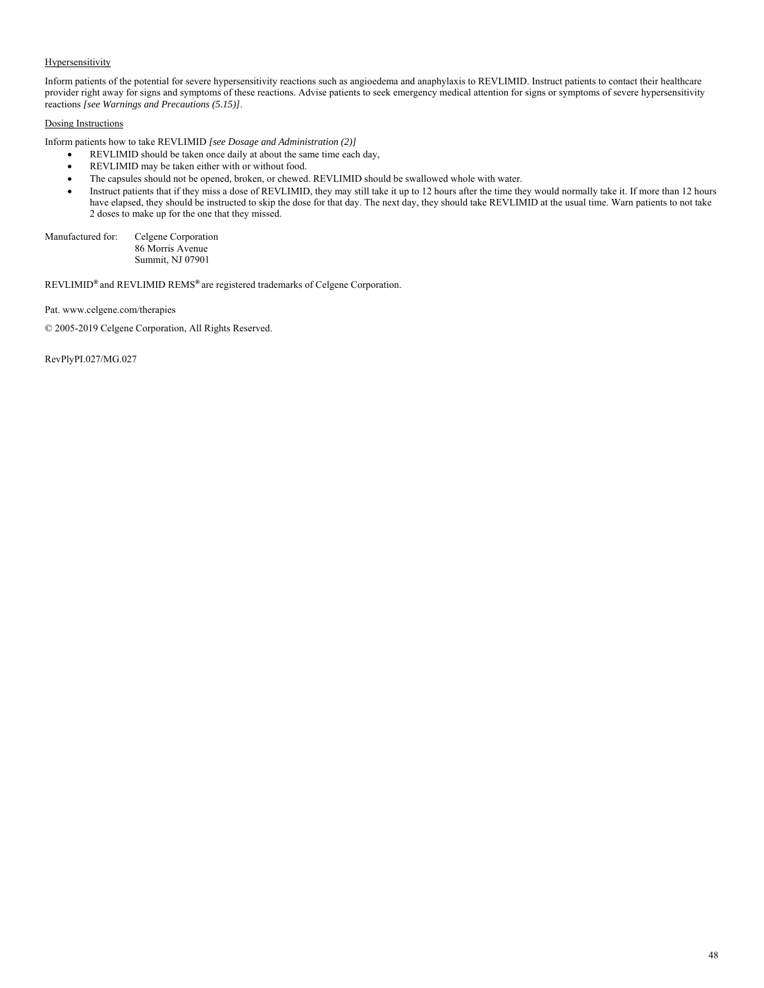## **Hypersensitivity**

Inform patients of the potential for severe hypersensitivity reactions such as angioedema and anaphylaxis to REVLIMID. Instruct patients to contact their healthcare provider right away for signs and symptoms of these reactions. Advise patients to seek emergency medical attention for signs or symptoms of severe hypersensitivity reactions *[see Warnings and Precautions (5.15)]*.

# Dosing Instructions

Inform patients how to take REVLIMID *[see Dosage and Administration (2)]* 

- REVLIMID should be taken once daily at about the same time each day,
- REVLIMID may be taken either with or without food.
- The capsules should not be opened, broken, or chewed. REVLIMID should be swallowed whole with water.
- Instruct patients that if they miss a dose of REVLIMID, they may still take it up to 12 hours after the time they would normally take it. If more than 12 hours have elapsed, they should be instructed to skip the dose for that day. The next day, they should take REVLIMID at the usual time. Warn patients to not take 2 doses to make up for the one that they missed.

Manufactured for: Celgene Corporation 86 Morris Avenue Summit, NJ 07901

REVLIMID**®** and REVLIMID REMS**®** are registered trademarks of Celgene Corporation.

Pat. www.celgene.com/therapies

© 2005-2019 Celgene Corporation, All Rights Reserved.

RevPlyPI.027/MG.027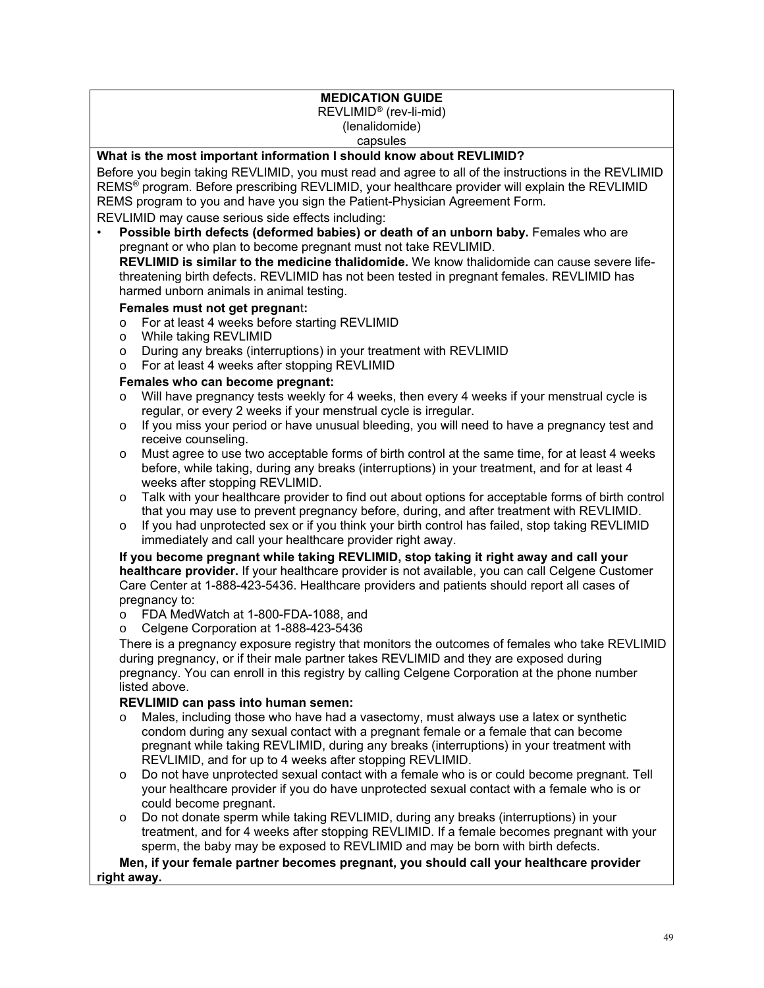# **MEDICATION GUIDE**

REVLIMID® (rev-li-mid) (lenalidomide) capsules

# **What is the most important information I should know about REVLIMID?**

Before you begin taking REVLIMID, you must read and agree to all of the instructions in the REVLIMID REMS® program. Before prescribing REVLIMID, your healthcare provider will explain the REVLIMID REMS program to you and have you sign the Patient-Physician Agreement Form.

REVLIMID may cause serious side effects including:

• **Possible birth defects (deformed babies) or death of an unborn baby.** Females who are pregnant or who plan to become pregnant must not take REVLIMID.

**REVLIMID is similar to the medicine thalidomide.** We know thalidomide can cause severe lifethreatening birth defects. REVLIMID has not been tested in pregnant females. REVLIMID has harmed unborn animals in animal testing.

# **Females must not get pregnan**t**:**

- o For at least 4 weeks before starting REVLIMID
- o While taking REVLIMID
- o During any breaks (interruptions) in your treatment with REVLIMID
- o For at least 4 weeks after stopping REVLIMID

# **Females who can become pregnant:**

- $\circ$  Will have pregnancy tests weekly for 4 weeks, then every 4 weeks if your menstrual cycle is regular, or every 2 weeks if your menstrual cycle is irregular.
- $\circ$  If you miss your period or have unusual bleeding, you will need to have a pregnancy test and receive counseling.
- o Must agree to use two acceptable forms of birth control at the same time, for at least 4 weeks before, while taking, during any breaks (interruptions) in your treatment, and for at least 4 weeks after stopping REVLIMID.
- o Talk with your healthcare provider to find out about options for acceptable forms of birth control that you may use to prevent pregnancy before, during, and after treatment with REVLIMID.
- o If you had unprotected sex or if you think your birth control has failed, stop taking REVLIMID immediately and call your healthcare provider right away.

**If you become pregnant while taking REVLIMID, stop taking it right away and call your healthcare provider.** If your healthcare provider is not available, you can call Celgene Customer Care Center at 1-888-423-5436. Healthcare providers and patients should report all cases of pregnancy to:

- o FDA MedWatch at 1-800-FDA-1088, and
- o Celgene Corporation at 1-888-423-5436

There is a pregnancy exposure registry that monitors the outcomes of females who take REVLIMID during pregnancy, or if their male partner takes REVLIMID and they are exposed during pregnancy. You can enroll in this registry by calling Celgene Corporation at the phone number listed above.

# **REVLIMID can pass into human semen:**

- o Males, including those who have had a vasectomy, must always use a latex or synthetic condom during any sexual contact with a pregnant female or a female that can become pregnant while taking REVLIMID, during any breaks (interruptions) in your treatment with REVLIMID, and for up to 4 weeks after stopping REVLIMID.
- o Do not have unprotected sexual contact with a female who is or could become pregnant. Tell your healthcare provider if you do have unprotected sexual contact with a female who is or could become pregnant.
- o Do not donate sperm while taking REVLIMID, during any breaks (interruptions) in your treatment, and for 4 weeks after stopping REVLIMID. If a female becomes pregnant with your sperm, the baby may be exposed to REVLIMID and may be born with birth defects.

**Men, if your female partner becomes pregnant, you should call your healthcare provider right away.**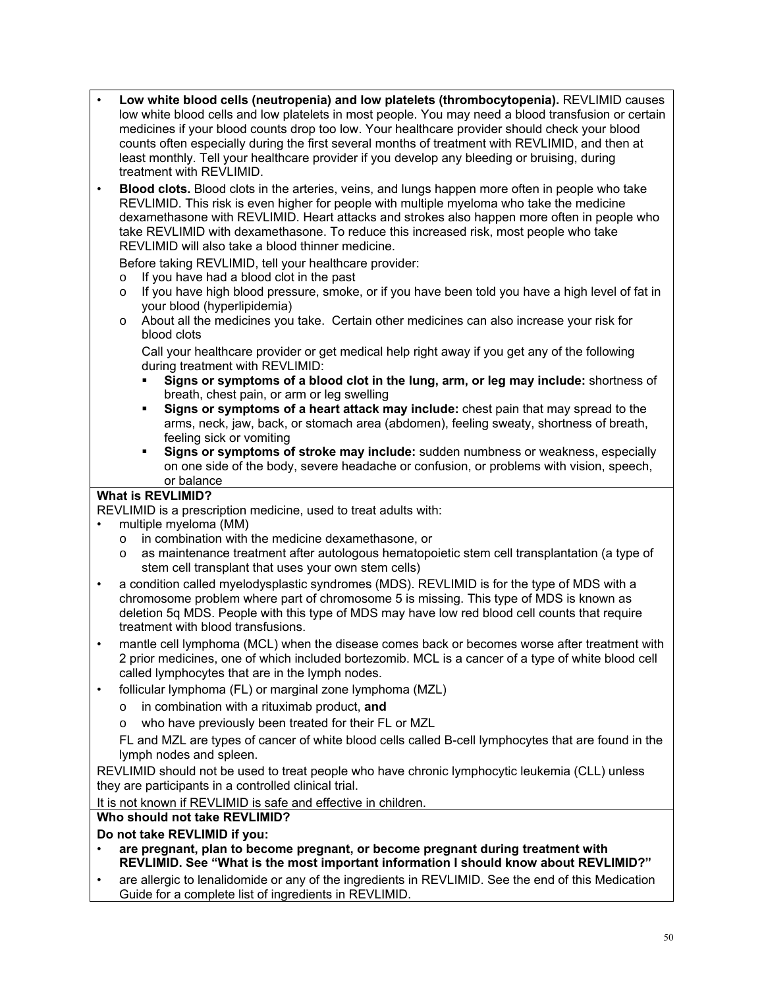- **Low white blood cells (neutropenia) and low platelets (thrombocytopenia).** REVLIMID causes low white blood cells and low platelets in most people. You may need a blood transfusion or certain medicines if your blood counts drop too low. Your healthcare provider should check your blood counts often especially during the first several months of treatment with REVLIMID, and then at least monthly. Tell your healthcare provider if you develop any bleeding or bruising, during treatment with REVLIMID.
- **Blood clots.** Blood clots in the arteries, veins, and lungs happen more often in people who take REVLIMID. This risk is even higher for people with multiple myeloma who take the medicine dexamethasone with REVLIMID. Heart attacks and strokes also happen more often in people who take REVLIMID with dexamethasone. To reduce this increased risk, most people who take REVLIMID will also take a blood thinner medicine.

Before taking REVLIMID, tell your healthcare provider:

- o If you have had a blood clot in the past
- o If you have high blood pressure, smoke, or if you have been told you have a high level of fat in your blood (hyperlipidemia)
- o About all the medicines you take. Certain other medicines can also increase your risk for blood clots

Call your healthcare provider or get medical help right away if you get any of the following during treatment with REVLIMID:

- **Signs or symptoms of a blood clot in the lung, arm, or leg may include:** shortness of breath, chest pain, or arm or leg swelling
- **Signs or symptoms of a heart attack may include:** chest pain that may spread to the arms, neck, jaw, back, or stomach area (abdomen), feeling sweaty, shortness of breath, feeling sick or vomiting
- **Signs or symptoms of stroke may include:** sudden numbness or weakness, especially on one side of the body, severe headache or confusion, or problems with vision, speech, or balance

# **What is REVLIMID?**

REVLIMID is a prescription medicine, used to treat adults with:

- multiple myeloma (MM)
	- o in combination with the medicine dexamethasone, or
	- o as maintenance treatment after autologous hematopoietic stem cell transplantation (a type of stem cell transplant that uses your own stem cells)
- a condition called myelodysplastic syndromes (MDS). REVLIMID is for the type of MDS with a chromosome problem where part of chromosome 5 is missing. This type of MDS is known as deletion 5q MDS. People with this type of MDS may have low red blood cell counts that require treatment with blood transfusions.
- mantle cell lymphoma (MCL) when the disease comes back or becomes worse after treatment with 2 prior medicines, one of which included bortezomib. MCL is a cancer of a type of white blood cell called lymphocytes that are in the lymph nodes.
- follicular lymphoma (FL) or marginal zone lymphoma (MZL)
	- o in combination with a rituximab product, **and**
	- o who have previously been treated for their FL or MZL

FL and MZL are types of cancer of white blood cells called B-cell lymphocytes that are found in the lymph nodes and spleen.

REVLIMID should not be used to treat people who have chronic lymphocytic leukemia (CLL) unless they are participants in a controlled clinical trial.

It is not known if REVLIMID is safe and effective in children.

# **Who should not take REVLIMID?**

# **Do not take REVLIMID if you:**

- **are pregnant, plan to become pregnant, or become pregnant during treatment with REVLIMID. See "What is the most important information I should know about REVLIMID?"**
- are allergic to lenalidomide or any of the ingredients in REVLIMID. See the end of this Medication Guide for a complete list of ingredients in REVLIMID.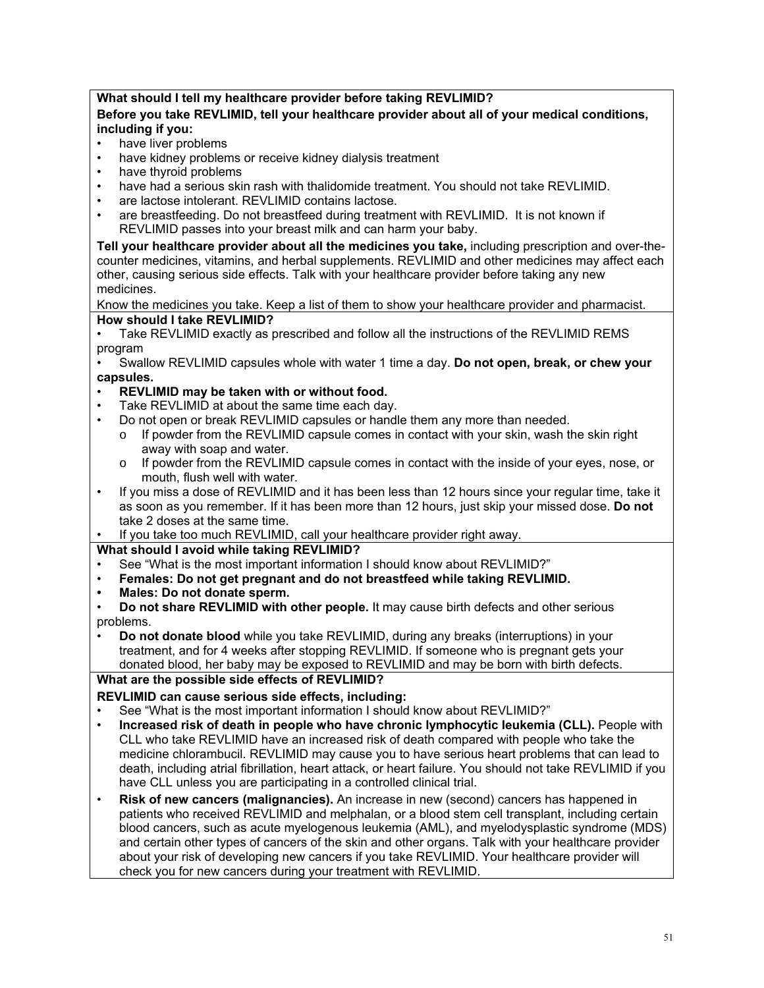# **What should I tell my healthcare provider before taking REVLIMID?**

# **Before you take REVLIMID, tell your healthcare provider about all of your medical conditions, including if you:**

- have liver problems
- have kidney problems or receive kidney dialysis treatment
- have thyroid problems
- have had a serious skin rash with thalidomide treatment. You should not take REVLIMID.
- are lactose intolerant. REVLIMID contains lactose.
- are breastfeeding. Do not breastfeed during treatment with REVLIMID. It is not known if REVLIMID passes into your breast milk and can harm your baby.

**Tell your healthcare provider about all the medicines you take,** including prescription and over-thecounter medicines, vitamins, and herbal supplements. REVLIMID and other medicines may affect each other, causing serious side effects. Talk with your healthcare provider before taking any new medicines.

Know the medicines you take. Keep a list of them to show your healthcare provider and pharmacist.

# **How should I take REVLIMID?**

• Take REVLIMID exactly as prescribed and follow all the instructions of the REVLIMID REMS program

• Swallow REVLIMID capsules whole with water 1 time a day. **Do not open, break, or chew your capsules.** 

- **REVLIMID may be taken with or without food.**
- Take REVLIMID at about the same time each day.
- Do not open or break REVLIMID capsules or handle them any more than needed.
	- o If powder from the REVLIMID capsule comes in contact with your skin, wash the skin right away with soap and water.
	- $\circ$  If powder from the REVLIMID capsule comes in contact with the inside of your eyes, nose, or mouth, flush well with water.
- If you miss a dose of REVLIMID and it has been less than 12 hours since your regular time, take it as soon as you remember. If it has been more than 12 hours, just skip your missed dose. **Do not** take 2 doses at the same time.
- If you take too much REVLIMID, call your healthcare provider right away.

**What should I avoid while taking REVLIMID?** 

- See "What is the most important information I should know about REVLIMID?"
- **Females: Do not get pregnant and do not breastfeed while taking REVLIMID.**
- **Males: Do not donate sperm.**

• **Do not donate blood** while you take REVLIMID, during any breaks (interruptions) in your treatment, and for 4 weeks after stopping REVLIMID. If someone who is pregnant gets your donated blood, her baby may be exposed to REVLIMID and may be born with birth defects.

# **What are the possible side effects of REVLIMID?**

**REVLIMID can cause serious side effects, including:** 

- See "What is the most important information I should know about REVLIMID?"
- **Increased risk of death in people who have chronic lymphocytic leukemia (CLL).** People with CLL who take REVLIMID have an increased risk of death compared with people who take the medicine chlorambucil. REVLIMID may cause you to have serious heart problems that can lead to death, including atrial fibrillation, heart attack, or heart failure. You should not take REVLIMID if you have CLL unless you are participating in a controlled clinical trial.
- **Risk of new cancers (malignancies).** An increase in new (second) cancers has happened in patients who received REVLIMID and melphalan, or a blood stem cell transplant, including certain blood cancers, such as acute myelogenous leukemia (AML), and myelodysplastic syndrome (MDS) and certain other types of cancers of the skin and other organs. Talk with your healthcare provider about your risk of developing new cancers if you take REVLIMID. Your healthcare provider will check you for new cancers during your treatment with REVLIMID.

<sup>•</sup> **Do not share REVLIMID with other people.** It may cause birth defects and other serious problems.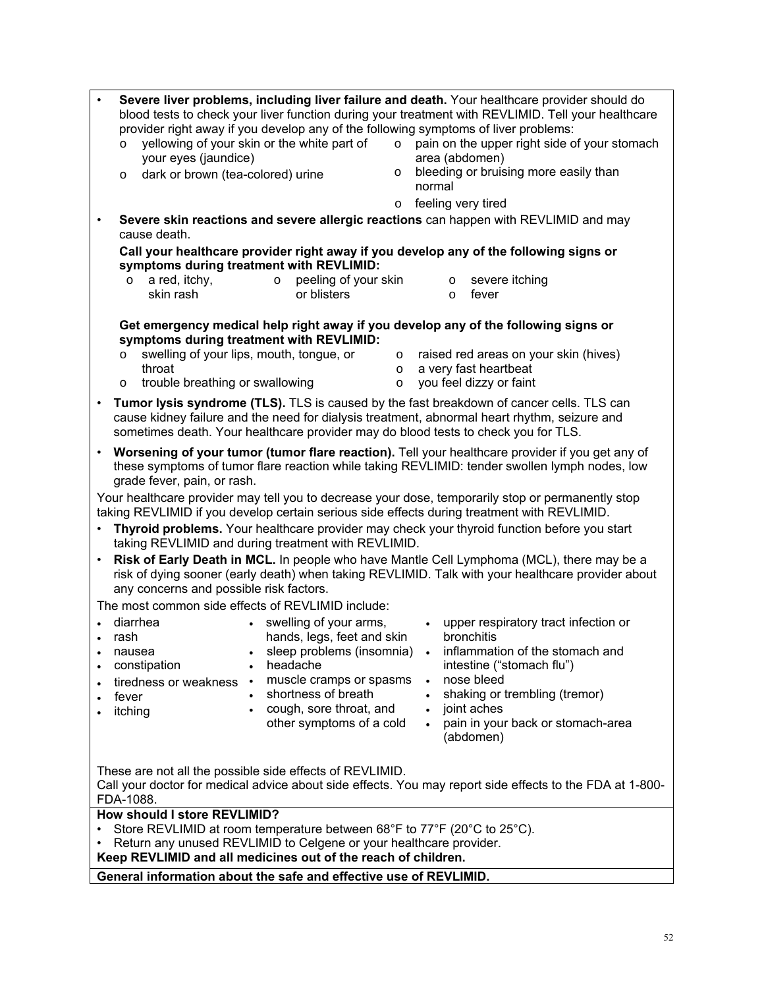| Severe liver problems, including liver failure and death. Your healthcare provider should do<br>$\bullet$<br>blood tests to check your liver function during your treatment with REVLIMID. Tell your healthcare<br>provider right away if you develop any of the following symptoms of liver problems:<br>yellowing of your skin or the white part of<br>$\circ$ pain on the upper right side of your stomach<br>$\circ$ |  |  |  |
|--------------------------------------------------------------------------------------------------------------------------------------------------------------------------------------------------------------------------------------------------------------------------------------------------------------------------------------------------------------------------------------------------------------------------|--|--|--|
| your eyes (jaundice)<br>area (abdomen)<br>bleeding or bruising more easily than<br>dark or brown (tea-colored) urine<br>$\circ$<br>$\circ$                                                                                                                                                                                                                                                                               |  |  |  |
| normal<br>feeling very tired<br>$\circ$                                                                                                                                                                                                                                                                                                                                                                                  |  |  |  |
| Severe skin reactions and severe allergic reactions can happen with REVLIMID and may<br>$\bullet$<br>cause death.                                                                                                                                                                                                                                                                                                        |  |  |  |
| Call your healthcare provider right away if you develop any of the following signs or                                                                                                                                                                                                                                                                                                                                    |  |  |  |
| symptoms during treatment with REVLIMID:                                                                                                                                                                                                                                                                                                                                                                                 |  |  |  |
| peeling of your skin<br>a red, itchy,<br>severe itching<br>$\circ$<br>$\circ$<br>$\circ$<br>skin rash<br>or blisters<br>fever<br>$\circ$                                                                                                                                                                                                                                                                                 |  |  |  |
| Get emergency medical help right away if you develop any of the following signs or<br>symptoms during treatment with REVLIMID:                                                                                                                                                                                                                                                                                           |  |  |  |
| swelling of your lips, mouth, tongue, or<br>raised red areas on your skin (hives)<br>$\circ$<br>$\circ$                                                                                                                                                                                                                                                                                                                  |  |  |  |
| throat<br>a very fast heartbeat<br>$\circ$<br>you feel dizzy or faint<br>trouble breathing or swallowing<br>$\circ$<br>$\circ$                                                                                                                                                                                                                                                                                           |  |  |  |
| Tumor lysis syndrome (TLS). TLS is caused by the fast breakdown of cancer cells. TLS can<br>$\bullet$<br>cause kidney failure and the need for dialysis treatment, abnormal heart rhythm, seizure and<br>sometimes death. Your healthcare provider may do blood tests to check you for TLS.                                                                                                                              |  |  |  |
| Worsening of your tumor (tumor flare reaction). Tell your healthcare provider if you get any of<br>$\bullet$<br>these symptoms of tumor flare reaction while taking REVLIMID: tender swollen lymph nodes, low<br>grade fever, pain, or rash.                                                                                                                                                                             |  |  |  |
| Your healthcare provider may tell you to decrease your dose, temporarily stop or permanently stop<br>taking REVLIMID if you develop certain serious side effects during treatment with REVLIMID.                                                                                                                                                                                                                         |  |  |  |
| Thyroid problems. Your healthcare provider may check your thyroid function before you start<br>$\bullet$<br>taking REVLIMID and during treatment with REVLIMID.                                                                                                                                                                                                                                                          |  |  |  |
| Risk of Early Death in MCL. In people who have Mantle Cell Lymphoma (MCL), there may be a<br>$\bullet$<br>risk of dying sooner (early death) when taking REVLIMID. Talk with your healthcare provider about<br>any concerns and possible risk factors.                                                                                                                                                                   |  |  |  |
| The most common side effects of REVLIMID include:                                                                                                                                                                                                                                                                                                                                                                        |  |  |  |
| diarrhea<br>swelling of your arms,<br>• upper respiratory tract infection or<br>$\bullet$                                                                                                                                                                                                                                                                                                                                |  |  |  |
| bronchitis<br>hands, legs, feet and skin<br>rash                                                                                                                                                                                                                                                                                                                                                                         |  |  |  |
| sleep problems (insomnia) . inflammation of the stomach and<br>nausea<br>intestine ("stomach flu")<br>constipation<br>headache                                                                                                                                                                                                                                                                                           |  |  |  |
| $\bullet$<br>muscle cramps or spasms<br>nose bleed<br>$\bullet$<br>tiredness or weakness<br>$\bullet$                                                                                                                                                                                                                                                                                                                    |  |  |  |
| shortness of breath<br>shaking or trembling (tremor)<br>fever                                                                                                                                                                                                                                                                                                                                                            |  |  |  |
| cough, sore throat, and<br>joint aches<br>itching<br>$\bullet$                                                                                                                                                                                                                                                                                                                                                           |  |  |  |
| other symptoms of a cold<br>pain in your back or stomach-area<br>$\bullet$<br>(abdomen)                                                                                                                                                                                                                                                                                                                                  |  |  |  |
|                                                                                                                                                                                                                                                                                                                                                                                                                          |  |  |  |
| These are not all the possible side effects of REVLIMID.<br>Call your doctor for medical advice about side effects. You may report side effects to the FDA at 1-800-                                                                                                                                                                                                                                                     |  |  |  |
| FDA-1088.                                                                                                                                                                                                                                                                                                                                                                                                                |  |  |  |
| How should I store REVLIMID?                                                                                                                                                                                                                                                                                                                                                                                             |  |  |  |
| Store REVLIMID at room temperature between 68°F to 77°F (20°C to 25°C).                                                                                                                                                                                                                                                                                                                                                  |  |  |  |
| Return any unused REVLIMID to Celgene or your healthcare provider.<br>٠<br>Keep REVLIMID and all medicines out of the reach of children.                                                                                                                                                                                                                                                                                 |  |  |  |
| General information about the safe and effective use of REVLIMID.                                                                                                                                                                                                                                                                                                                                                        |  |  |  |